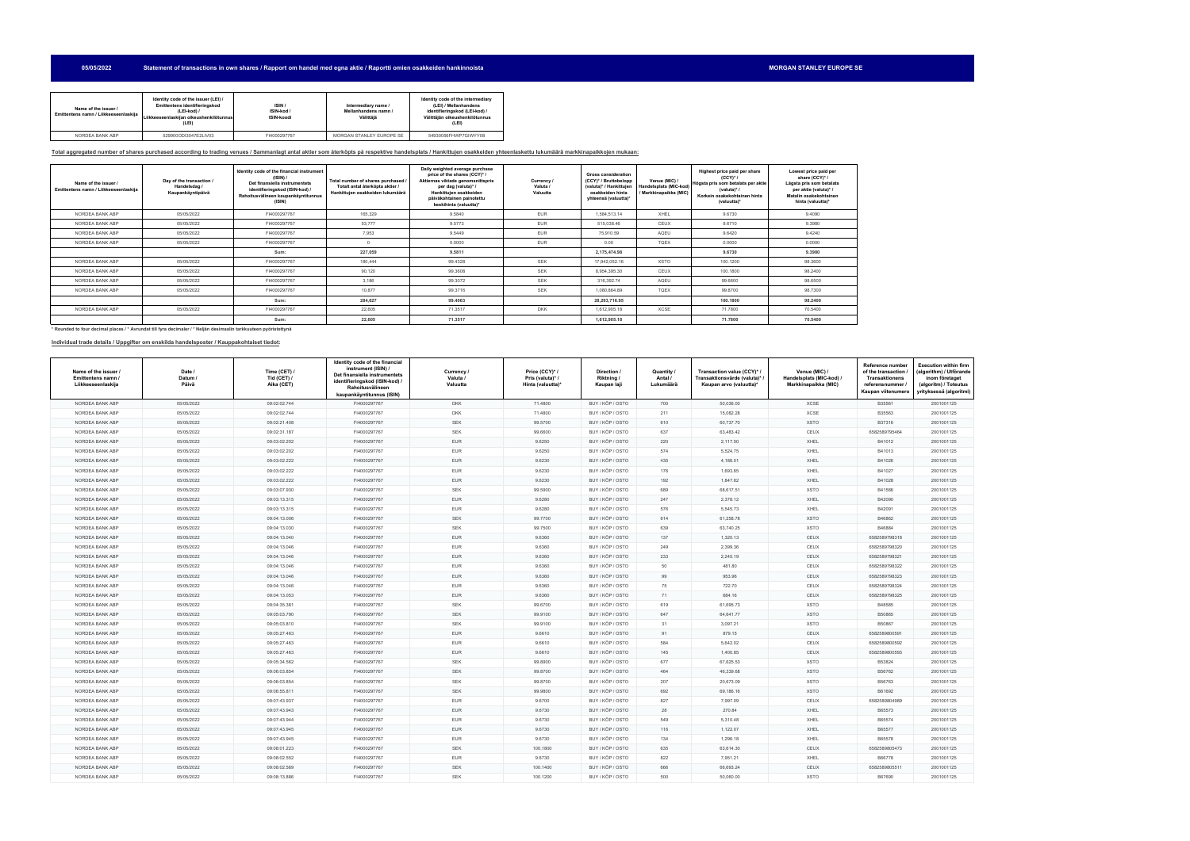**05/05/2022** Statement of transactions in own shares / Rapport om handel med egna aktie / Raportti omien osakkeiden hankinnoista **MORGAN STAN STAN STAN STANLEY EUROPE SE** 

| Name of the issuer /<br>Emittentens namn / Liikkeeseenlaskija | Identity code of the issuer (LEI) /<br>Emittentens identifieringskod<br>(LEI-kod) /<br>Liikkeeseenlaskiian oikeushenkilötunnus<br>(LEI) | ISIN /<br>ISIN-kod /<br><b>ISIN-koodi</b> | Intermediary name /<br>Mellanhandens namn /<br>Välittäjä | Identity code of the intermediary<br>(LEI) / Mellanhandens<br>identifieringskod (LEI-kod) /<br>Välittäjän oikeushenkilötunnus<br>(LEI) |
|---------------------------------------------------------------|-----------------------------------------------------------------------------------------------------------------------------------------|-------------------------------------------|----------------------------------------------------------|----------------------------------------------------------------------------------------------------------------------------------------|
| NORDEA BANK ABP                                               | 529900ODI3047E2LIV03                                                                                                                    | FI4000297767                              | MORGAN STANLEY EUROPE SE                                 | 54930056FHWP7GIWYY08                                                                                                                   |

## **Total aggregated number of shares purchased according to trading venues / Sammanlagt antal aktier som återköpts på respektive handelsplats / Hankittujen osakkeiden yhteenlaskettu lukumäärä markkinapaikkojen mukaan:**

| Name of the issuer<br>Emittentens namn / Liikkeeseenlaskija | Day of the transaction /<br>Handelsdag /<br>Kaupankäyntipäivä | Identity code of the financial instrument<br>(ISIM) /<br>Det finansiella instrumentets<br>identifieringskod (ISIN-kod) /<br>Rahoitusvälineen kaupankäyntitunnus<br>(ISIN) | Total number of shares purchased<br>Totalt antal återköpta aktier /<br>Hankittuien osakkeiden lukumäärä | Daily weighted average purchase<br>price of the shares (CCY)*/<br>Aktiernas viktade genomsnittspris<br>per dag (valuta)* /<br>Hankittujen osakkeiden<br>päiväkohtainen painotettu<br>keskihinta (valuutta)* | Currency /<br>Valuta /<br>Valuutta | <b>Gross consideration</b><br>(CCY)* / Bruttobelopp<br>(valuta)* / Hankittujen<br>osakkeiden hinta<br>yhteensä (valuutta)* | Venue (MIC) /<br>Handelsplats (MIC-kod)<br>/ Markkinapaikka (MIC) | Highest price paid per share<br>$(CCY)^*$<br>Högsta pris som betalats per aktie<br>(valuta)*/<br>Korkein osakekohtainen hinta<br>(valuutta)* | Lowest price paid per<br>share (CCY)* /<br>Lägsta pris som betalats<br>per aktie (valuta)* /<br>Matalin osakekohtainen<br>hinta (valuutta)* |
|-------------------------------------------------------------|---------------------------------------------------------------|---------------------------------------------------------------------------------------------------------------------------------------------------------------------------|---------------------------------------------------------------------------------------------------------|-------------------------------------------------------------------------------------------------------------------------------------------------------------------------------------------------------------|------------------------------------|----------------------------------------------------------------------------------------------------------------------------|-------------------------------------------------------------------|----------------------------------------------------------------------------------------------------------------------------------------------|---------------------------------------------------------------------------------------------------------------------------------------------|
| NORDEA BANK ABP                                             | 05/05/2022                                                    | FI4000297767                                                                                                                                                              | 165,329                                                                                                 | 9,5840                                                                                                                                                                                                      | <b>EUR</b>                         | 1,584,513.14                                                                                                               | XHEL                                                              | 9.6730                                                                                                                                       | 9.4090                                                                                                                                      |
| NORDEA BANK ABP                                             | 05/05/2022                                                    | FI4000297767                                                                                                                                                              | 53,777                                                                                                  | 9.5773                                                                                                                                                                                                      | <b>EUR</b>                         | 515,038.46                                                                                                                 | CEUX                                                              | 9.6710                                                                                                                                       | 9.3980                                                                                                                                      |
| NORDEA BANK ABP                                             | 05/05/2022                                                    | FI4000297767                                                                                                                                                              | 7,953                                                                                                   | 9.5449                                                                                                                                                                                                      | <b>EUR</b>                         | 75,910.59                                                                                                                  | AQEU                                                              | 9.6420                                                                                                                                       | 9.4240                                                                                                                                      |
| NORDEA BANK ABP                                             | 05/05/2022                                                    | FI4000297767                                                                                                                                                              |                                                                                                         | 0.0000                                                                                                                                                                                                      | <b>EUR</b>                         | 0.00                                                                                                                       | <b>TOEX</b>                                                       | 0.0000                                                                                                                                       | 0.0000                                                                                                                                      |
|                                                             |                                                               | Sum:                                                                                                                                                                      | 227,059                                                                                                 | 9.5811                                                                                                                                                                                                      |                                    | 2,175,474.98                                                                                                               |                                                                   | 9.6730                                                                                                                                       | 9.3980                                                                                                                                      |
| NORDEA BANK ABP                                             | 05/05/2022                                                    | FI4000297767                                                                                                                                                              | 180.444                                                                                                 | 99.4328                                                                                                                                                                                                     | <b>SEK</b>                         | 17,942,052.16                                                                                                              | <b>XSTO</b>                                                       | 100.1200                                                                                                                                     | 98.3600                                                                                                                                     |
| NORDEA BANK ABP                                             | 05/05/2022                                                    | FI4000297767                                                                                                                                                              | 90,120                                                                                                  | 99.3608                                                                                                                                                                                                     | <b>SEK</b>                         | 8,954,395.30                                                                                                               | CEUX                                                              | 100.1800                                                                                                                                     | 98.2400                                                                                                                                     |
| NORDEA BANK ABP                                             | 05/05/2022                                                    | FI4000297767                                                                                                                                                              | 3,186                                                                                                   | 99.3072                                                                                                                                                                                                     | <b>SEK</b>                         | 316,392.74                                                                                                                 | AQEU                                                              | 99.6600                                                                                                                                      | 98.6500                                                                                                                                     |
| NORDEA BANK ABP                                             | 05/05/2022                                                    | FI4000297767                                                                                                                                                              | 10.877                                                                                                  | 99.3716                                                                                                                                                                                                     | <b>SEK</b>                         | 1,080,864.89                                                                                                               | <b>TOEX</b>                                                       | 99,8700                                                                                                                                      | 98.7300                                                                                                                                     |
|                                                             |                                                               | Sum:                                                                                                                                                                      | 284,627                                                                                                 | 99,4063                                                                                                                                                                                                     |                                    | 28,293,716.95                                                                                                              |                                                                   | 100.1800                                                                                                                                     | 98,2400                                                                                                                                     |
| NORDEA BANK ABP                                             | 05/05/2022                                                    | FI4000297767                                                                                                                                                              | 22.605                                                                                                  | 71.3517                                                                                                                                                                                                     | <b>DKK</b>                         | 1,612,905.18                                                                                                               | <b>XCSE</b>                                                       | 71,7800                                                                                                                                      | 70.5400                                                                                                                                     |
|                                                             |                                                               | Sum:                                                                                                                                                                      | 22,605                                                                                                  | 71.3517                                                                                                                                                                                                     |                                    | 1,612,905.18                                                                                                               |                                                                   | 71.7800                                                                                                                                      | 70.5400                                                                                                                                     |

**\* Rounded to four decimal places / \* Avrundat till fyra decimaler / \* Neljän desimaalin tarkkuuteen pyöristettynä**

## **Individual trade details / Uppgifter om enskilda handelsposter / Kauppakohtaiset tiedot:**

| Name of the issuer<br>Emittentens namn<br>Liikkeeseenlaskija | Date /<br>Datum /<br>Päivä | Time (CET) /<br><b>Tid (CET) /</b><br>Aika (CET) | Identity code of the financial<br>instrument (ISIN) /<br>Det finansiella instrumentets<br>identifieringskod (ISIN-kod) /<br>Rahoitusvälineen<br>kaupankäyntitunnus (ISIN) | Currency /<br>Valuta /<br>Valuutta | Price (CCY)*/<br>Pris (valuta)* /<br>Hinta (valuutta)* | Direction /<br>Riktning/<br>Kaupan laji | Quantity /<br>Antal /<br>Lukumäärä | Transaction value (CCY)* /<br>Transaktionsvärde (valuta)*<br>Kaupan arvo (valuutta)* | Venue (MIC) /<br>Handelsplats (MIC-kod)<br>Markkinapaikka (MIC) | Reference number<br>of the transaction /<br><b>Transaktionens</b><br>referensnummer<br>Kaupan viitenumero | <b>Execution within firm</b><br>algorithm) / Utförande<br>inom företaget<br>(algoritm) / Toteutus<br>yrityksessä (algoritmi) |
|--------------------------------------------------------------|----------------------------|--------------------------------------------------|---------------------------------------------------------------------------------------------------------------------------------------------------------------------------|------------------------------------|--------------------------------------------------------|-----------------------------------------|------------------------------------|--------------------------------------------------------------------------------------|-----------------------------------------------------------------|-----------------------------------------------------------------------------------------------------------|------------------------------------------------------------------------------------------------------------------------------|
| NORDEA BANK ABP                                              | 05/05/2022                 | 09:02:02.744                                     | FI4000297767                                                                                                                                                              | <b>DKK</b>                         | 71.4800                                                | BUY / KÖP / OSTO                        | 700                                | 50,036.00                                                                            | XCSE                                                            | B35561                                                                                                    | 2001001125                                                                                                                   |
| NORDEA BANK ABP                                              | 05/05/2022                 | 09:02:02.744                                     | FI4000297767                                                                                                                                                              | <b>DKK</b>                         | 71.4800                                                | BUY / KÖP / OSTO                        | 211                                | 15,082.28                                                                            | XCSE                                                            | B35563                                                                                                    | 2001001125                                                                                                                   |
| NORDEA BANK ABP                                              | 05/05/2022                 | 09:02:21.408                                     | FI4000297767                                                                                                                                                              | <b>SEK</b>                         | 99.5700                                                | BUY / KÖP / OSTO                        | 610                                | 60,737.70                                                                            | <b>XSTO</b>                                                     | B37316                                                                                                    | 2001001125                                                                                                                   |
| NORDEA BANK ABP                                              | 05/05/2022                 | 09:02:31.187                                     | FI4000297767                                                                                                                                                              | <b>SEK</b>                         | 99.6600                                                | BUY / KÖP / OSTO                        | 637                                | 63,483.42                                                                            | CEUX                                                            | 6582589795464                                                                                             | 2001001125                                                                                                                   |
| NORDEA BANK ABP                                              | 05/05/2022                 | 09:03:02.202                                     | FI4000297767                                                                                                                                                              | <b>EUR</b>                         | 9.6250                                                 | BUY / KÖP / OSTO                        | 220                                | 2,117.50                                                                             | XHEL                                                            | B41012                                                                                                    | 2001001125                                                                                                                   |
| NORDEA BANK ABP                                              | 05/05/2022                 | 09:03:02.202                                     | FI4000297767                                                                                                                                                              | <b>EUR</b>                         | 9.6250                                                 | BUY / KÖP / OSTO                        | 574                                | 5,524.75                                                                             | XHEL                                                            | B41013                                                                                                    | 2001001125                                                                                                                   |
| NORDEA BANK ABP                                              | 05/05/2022                 | 09:03:02.222                                     | FI4000297767                                                                                                                                                              | <b>EUR</b>                         | 9.6230                                                 | BUY / KÖP / OSTO                        | 435                                | 4,186.01                                                                             | XHEL                                                            | B41026                                                                                                    | 2001001125                                                                                                                   |
| NORDEA BANK ABP                                              | 05/05/2022                 | 09:03:02.222                                     | FI4000297767                                                                                                                                                              | <b>EUR</b>                         | 9.6230                                                 | BUY / KÖP / OSTO                        | 176                                | 1,693.65                                                                             | XHEL                                                            | B41027                                                                                                    | 2001001125                                                                                                                   |
| NORDEA BANK ABP                                              | 05/05/2022                 | 09:03:02.222                                     | FI4000297767                                                                                                                                                              | <b>EUR</b>                         | 9.6230                                                 | BUY / KÖP / OSTO                        | 192                                | 1.847.62                                                                             | XHEL                                                            | B41028                                                                                                    | 2001001125                                                                                                                   |
| NORDEA BANK ABP                                              | 05/05/2022                 | 09:03:07.930                                     | FI4000297767                                                                                                                                                              | <b>SEK</b>                         | 99.5900                                                | BUY / KÖP / OSTO                        | 689                                | 68,617.51                                                                            | <b>XSTO</b>                                                     | B41586                                                                                                    | 2001001125                                                                                                                   |
| NORDEA BANK ABP                                              | 05/05/2022                 | 09:03:13.315                                     | FI4000297767                                                                                                                                                              | <b>EUR</b>                         | 9.6280                                                 | BUY / KÖP / OSTO                        | 247                                | 2,378.12                                                                             | XHEL                                                            | B42090                                                                                                    | 2001001125                                                                                                                   |
| NORDEA BANK ABP                                              | 05/05/2022                 | 09:03:13.315                                     | FI4000297767                                                                                                                                                              | <b>EUR</b>                         | 9.6280                                                 | BUY / KÖP / OSTO                        | 576                                | 5,545.73                                                                             | XHEL                                                            | B42091                                                                                                    | 2001001125                                                                                                                   |
| NORDEA BANK ABP                                              | 05/05/2022                 | 09:04:13.006                                     | FI4000297767                                                                                                                                                              | <b>SEK</b>                         | 99.7700                                                | BUY / KÖP / OSTO                        | 614                                | 61,258.78                                                                            | <b>XSTO</b>                                                     | B46862                                                                                                    | 2001001125                                                                                                                   |
| NORDEA BANK ABP                                              | 05/05/2022                 | 09:04:13.030                                     | FI4000297767                                                                                                                                                              | <b>SEK</b>                         | 99.7500                                                | BUY / KÖP / OSTO                        | 639                                | 63,740.25                                                                            | <b>XSTO</b>                                                     | B46884                                                                                                    | 2001001125                                                                                                                   |
| NORDEA BANK ABP                                              | 05/05/2022                 | 09:04:13.040                                     | FI4000297767                                                                                                                                                              | <b>EUR</b>                         | 9.6360                                                 | BUY / KÖP / OSTO                        | 137                                | 1,320.13                                                                             | CEUX                                                            | 6582589798318                                                                                             | 2001001125                                                                                                                   |
| NORDEA BANK ABP                                              | 05/05/2022                 | 09:04:13.046                                     | FI4000297767                                                                                                                                                              | <b>EUR</b>                         | 9.6360                                                 | BUY / KÖP / OSTO                        | 249                                | 2.399.36                                                                             | CEUX                                                            | 6582589798320                                                                                             | 2001001125                                                                                                                   |
| NORDEA BANK ABP                                              | 05/05/2022                 | 09:04:13.046                                     | FI4000297767                                                                                                                                                              | <b>EUR</b>                         | 9.6360                                                 | BUY / KÖP / OSTO                        | 233                                | 2,245.19                                                                             | CEUX                                                            | 6582589798321                                                                                             | 2001001125                                                                                                                   |
| NORDEA BANK ABP                                              | 05/05/2022                 | 09:04:13.046                                     | FI4000297767                                                                                                                                                              | <b>EUR</b>                         | 9.6360                                                 | BUY / KÖP / OSTO                        | 50                                 | 481.80                                                                               | CEUX                                                            | 6582589798322                                                                                             | 2001001125                                                                                                                   |
| NORDEA BANK ABP                                              | 05/05/2022                 | 09:04:13.046                                     | FI4000297767                                                                                                                                                              | <b>EUR</b>                         | 9.6360                                                 | BUY / KÖP / OSTO                        | 99                                 | 953.96                                                                               | CEUX                                                            | 6582589798323                                                                                             | 2001001125                                                                                                                   |
| NORDEA BANK ABP                                              | 05/05/2022                 | 09:04:13.046                                     | FI4000297767                                                                                                                                                              | <b>EUR</b>                         | 9.6360                                                 | BUY / KÖP / OSTO                        | 75                                 | 722.70                                                                               | CEUX                                                            | 6582589798324                                                                                             | 2001001125                                                                                                                   |
| NORDEA BANK ABP                                              | 05/05/2022                 | 09:04:13.053                                     | FI4000297767                                                                                                                                                              | <b>EUR</b>                         | 9.6360                                                 | BUY / KÖP / OSTO                        | 71                                 | 684.16                                                                               | CEUX                                                            | 6582589798325                                                                                             | 2001001125                                                                                                                   |
| NORDEA BANK ABP                                              | 05/05/2022                 | 09:04:35.381                                     | FI4000297767                                                                                                                                                              | <b>SEK</b>                         | 99.6700                                                | BUY / KÖP / OSTO                        | 619                                | 61,695.73                                                                            | <b>XSTO</b>                                                     | B48585                                                                                                    | 2001001125                                                                                                                   |
| NORDEA BANK ABP                                              | 05/05/2022                 | 09:05:03.790                                     | FI4000297767                                                                                                                                                              | SEK                                | 99.9100                                                | BUY / KÖP / OSTO                        | 647                                | 64,641.77                                                                            | <b>XSTO</b>                                                     | B50865                                                                                                    | 2001001125                                                                                                                   |
| NORDEA BANK ABP                                              | 05/05/2022                 | 09:05:03.810                                     | FI4000297767                                                                                                                                                              | <b>SEK</b>                         | 99.9100                                                | BUY / KÖP / OSTO                        | 31                                 | 3,097.21                                                                             | <b>XSTO</b>                                                     | B50867                                                                                                    | 2001001125                                                                                                                   |
| NORDEA BANK ABP                                              | 05/05/2022                 | 09:05:27.463                                     | FI4000297767                                                                                                                                                              | <b>EUR</b>                         | 9.6610                                                 | BUY / KÖP / OSTO                        | 91                                 | 879.15                                                                               | CEUX                                                            | 6582589800591                                                                                             | 2001001125                                                                                                                   |
| NORDEA BANK ABP                                              | 05/05/2022                 | 09:05:27.463                                     | FI4000297767                                                                                                                                                              | <b>EUR</b>                         | 9.6610                                                 | BUY / KÖP / OSTO                        | 584                                | 5,642.02                                                                             | CEUX                                                            | 6582589800592                                                                                             | 2001001125                                                                                                                   |
| NORDEA BANK ABP                                              | 05/05/2022                 | 09:05:27.463                                     | FI4000297767                                                                                                                                                              | <b>EUR</b>                         | 9.6610                                                 | BUY / KÖP / OSTO                        | 145                                | 1,400.85                                                                             | CEUX                                                            | 6582589800593                                                                                             | 2001001125                                                                                                                   |
| NORDEA BANK ABP                                              | 05/05/2022                 | 09:05:34.562                                     | FI4000297767                                                                                                                                                              | <b>SEK</b>                         | 99.8900                                                | BUY / KÖP / OSTO                        | 677                                | 67,625.53                                                                            | <b>XSTO</b>                                                     | B53824                                                                                                    | 2001001125                                                                                                                   |
| NORDEA BANK ABP                                              | 05/05/2022                 | 09:06:03.854                                     | FI4000297767                                                                                                                                                              | <b>SEK</b>                         | 99.8700                                                | BUY / KÖP / OSTO                        | 464                                | 46.339.68                                                                            | <b>XSTO</b>                                                     | B56762                                                                                                    | 2001001125                                                                                                                   |
| NORDEA BANK ABP                                              | 05/05/2022                 | 09:06:03.854                                     | FI4000297767                                                                                                                                                              | <b>SEK</b>                         | 99.8700                                                | BUY / KÖP / OSTO                        | 207                                | 20,673.09                                                                            | <b>XSTO</b>                                                     | B56763                                                                                                    | 2001001125                                                                                                                   |
| NORDEA BANK ABP                                              | 05/05/2022                 | 09:06:55.811                                     | FI4000297767                                                                                                                                                              | SEK                                | 99.9800                                                | BUY / KÖP / OSTO                        | 692                                | 69,186.16                                                                            | <b>XSTO</b>                                                     | B61692                                                                                                    | 2001001125                                                                                                                   |
| NORDEA BANK ABP                                              | 05/05/2022                 | 09:07:43.937                                     | FI4000297767                                                                                                                                                              | <b>EUR</b>                         | 9.6700                                                 | BUY / KÖP / OSTO                        | 827                                | 7,997.09                                                                             | CEUX                                                            | 6582589804989                                                                                             | 2001001125                                                                                                                   |
| NORDEA BANK ABP                                              | 05/05/2022                 | 09:07:43.943                                     | FI4000297767                                                                                                                                                              | <b>EUR</b>                         | 9.6730                                                 | BUY / KÖP / OSTO                        | 28                                 | 270.84                                                                               | XHEL                                                            | B65573                                                                                                    | 2001001125                                                                                                                   |
| NORDEA BANK ABP                                              | 05/05/2022                 | 09:07:43.944                                     | FI4000297767                                                                                                                                                              | <b>EUR</b>                         | 9.6730                                                 | BUY / KÖP / OSTO                        | 549                                | 5,310.48                                                                             | XHEL                                                            | B65574                                                                                                    | 2001001125                                                                                                                   |
| NORDEA BANK ABP                                              | 05/05/2022                 | 09:07:43.945                                     | FI4000297767                                                                                                                                                              | <b>EUR</b>                         | 9.6730                                                 | BUY / KÖP / OSTO                        | 116                                | 1,122.07                                                                             | XHEL                                                            | B65577                                                                                                    | 2001001125                                                                                                                   |
| NORDEA BANK ABP                                              | 05/05/2022                 | 09:07:43.945                                     | FI4000297767                                                                                                                                                              | <b>EUR</b>                         | 9.6730                                                 | BUY / KÖP / OSTO                        | 134                                | 1,296.18                                                                             | XHEL                                                            | B65578                                                                                                    | 2001001125                                                                                                                   |
| NORDEA BANK ABP                                              | 05/05/2022                 | 09:08:01.223                                     | FI4000297767                                                                                                                                                              | <b>SEK</b>                         | 100.1800                                               | BUY / KÖP / OSTO                        | 635                                | 63,614.30                                                                            | CEUX                                                            | 6582589805473                                                                                             | 2001001125                                                                                                                   |
| NORDEA BANK ABP                                              | 05/05/2022                 | 09:08:02.552                                     | FI4000297767                                                                                                                                                              | <b>EUR</b>                         | 9.6730                                                 | BUY / KÖP / OSTO                        | 822                                | 7,951.21                                                                             | XHEL                                                            | B66778                                                                                                    | 2001001125                                                                                                                   |
| NORDEA BANK ABP                                              | 05/05/2022                 | 09:08:02.569                                     | FI4000297767                                                                                                                                                              | <b>SEK</b>                         | 100.1400                                               | BUY / KÖP / OSTO                        | 666                                | 66,693.24                                                                            | CEUX                                                            | 6582589805511                                                                                             | 2001001125                                                                                                                   |
| NORDEA BANK ABP                                              | 05/05/2022                 | 09:08:13.886                                     | FI4000297767                                                                                                                                                              | <b>SEK</b>                         | 100.1200                                               | BUY / KÖP / OSTO                        | 500                                | 50.060.00                                                                            | <b>XSTO</b>                                                     | B67690                                                                                                    | 2001001125                                                                                                                   |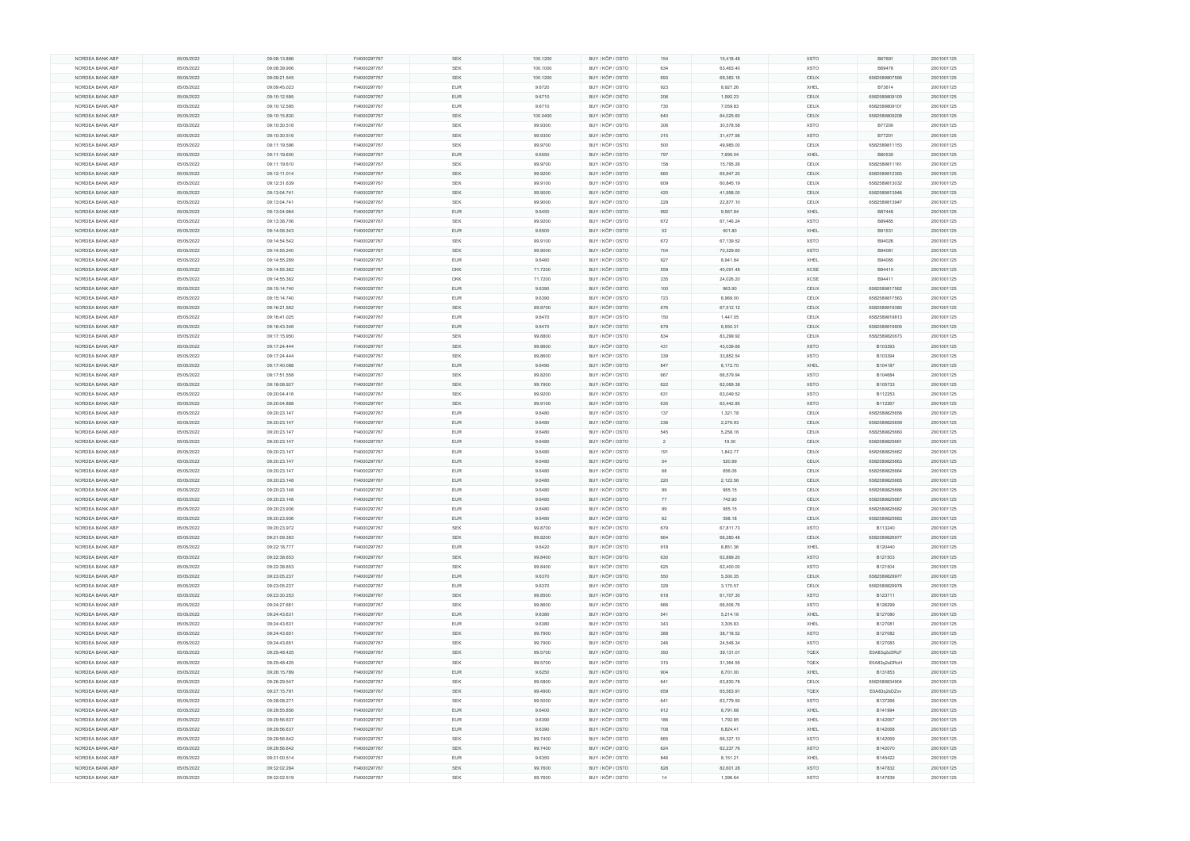| NORDEA BANK ABP | 05/05/2022 | 09:08:13.886 | FI4000297767 | <b>SEK</b> | 100.1200 | BUY / KÖP / OSTO | 154 | 15,418.48 | <b>XSTO</b> | B67691        | 2001001125 |
|-----------------|------------|--------------|--------------|------------|----------|------------------|-----|-----------|-------------|---------------|------------|
| NORDEA BANK ABP | 05/05/2022 | 09:08:39.906 | FI4000297767 | <b>SEK</b> | 100.1000 | BUY / KÖP / OSTO | 634 | 63,463.40 | <b>XSTO</b> | B69478        | 2001001125 |
| NORDEA BANK ABP | 05/05/2022 | 09:09:21.545 | FI4000297767 | <b>SEK</b> | 100.1200 | BUY / KÖP / OSTO | 693 | 69,383.16 | CEUX        | 6582589807595 | 2001001125 |
| NORDEA BANK ABP | 05/05/2022 | 09:09:45.023 | FI4000297767 | EUR        | 9.6720   | BUY / KÖP / OSTO | 923 | 8,927.26  | XHEL        | B73614        | 2001001125 |
| NORDEA BANK ABP | 05/05/2022 | 09:10:12.595 | FI4000297767 | <b>EUR</b> | 9.6710   | BUY / KÖP / OSTO | 206 | 1,992.23  | CEUX        | 6582589809100 | 2001001125 |
|                 |            |              |              |            |          |                  |     |           |             |               |            |
| NORDEA BANK ABP | 05/05/2022 | 09:10:12.595 | FI4000297767 | <b>EUR</b> | 9.6710   | BUY / KÖP / OSTO | 730 | 7,059.83  | CEUX        | 6582589809101 | 2001001125 |
| NORDEA BANK ABP | 05/05/2022 | 09:10:15.830 | FI4000297767 | <b>SEK</b> | 100.0400 | BUY / KÖP / OSTO | 640 | 64,025.60 | CEUX        | 6582589809208 | 2001001125 |
| NORDEA BANK ABP | 05/05/2022 | 09:10:30.516 | FI4000297767 | <b>SEK</b> | 99.9300  | BUY / KÖP / OSTO | 306 | 30,578.58 | <b>XSTO</b> | B77200        | 2001001125 |
| NORDEA BANK ABP | 05/05/2022 | 09:10:30.516 | FI4000297767 | SEK        | 99.9300  | BUY / KÖP / OSTO | 315 | 31,477.95 | <b>XSTO</b> | B77201        | 2001001125 |
| NORDEA BANK ABP | 05/05/2022 | 09:11:19.596 | FI4000297767 | <b>SEK</b> | 99.9700  | BUY / KÖP / OSTO | 500 | 49,985.00 | CEUX        | 6582589811153 | 2001001125 |
| NORDEA BANK ABP | 05/05/2022 | 09:11:19.600 | FI4000297767 | <b>EUR</b> | 9.6550   | BUY / KÖP / OSTO | 797 | 7,695.04  | XHEL        | B80535        | 2001001125 |
| NORDEA BANK ABP | 05/05/2022 | 09:11:19.610 | FI4000297767 | SEK        | 99.9700  | BUY / KÖP / OSTO | 158 | 15,795.26 | CEUX        | 6582589811161 | 2001001125 |
| NORDEA BANK ABP | 05/05/2022 | 09:12:11.014 | FI4000297767 | <b>SEK</b> | 99.9200  | BUY / KÖP / OSTO | 660 | 65,947.20 | CEUX        | 6582589812393 | 2001001125 |
| NORDEA BANK ABP | 05/05/2022 | 09:12:31.639 | FI4000297767 | SEK        | 99.9100  | BUY / KÖP / OSTO | 609 | 60,845.19 | CEUX        | 6582589813032 | 2001001125 |
| NORDEA BANK ABP | 05/05/2022 | 09:13:04.741 | FI4000297767 | <b>SEK</b> |          | BUY / KÖP / OSTO | 420 |           | CEUX        | 6582589813946 |            |
|                 |            |              |              |            | 99.9000  |                  |     | 41,958.00 |             |               | 2001001125 |
| NORDEA BANK ABP | 05/05/2022 | 09:13:04.741 | FI4000297767 | <b>SEK</b> | 99.9000  | BUY / KÖP / OSTO | 229 | 22,877.10 | CEUX        | 6582589813947 | 2001001125 |
| NORDEA BANK ABP | 05/05/2022 | 09:13:04.964 | FI4000297767 | EUR        | 9.6450   | BUY / KÖP / OSTO | 992 | 9,567.84  | XHEL        | B87448        | 2001001125 |
| NORDEA BANK ABP | 05/05/2022 | 09:13:38.706 | FI4000297767 | <b>SEK</b> | 99.9200  | BUY / KÖP / OSTO | 672 | 67,146.24 | <b>XSTO</b> | B89485        | 2001001125 |
| NORDEA BANK ABP | 05/05/2022 | 09:14:06.343 | FI4000297767 | EUR        | 9.6500   | BUY / KÖP / OSTO | 52  | 501.80    | XHEL        | B91531        | 2001001125 |
| NORDEA BANK ABP | 05/05/2022 | 09:14:54.542 | FI4000297767 | <b>SEK</b> | 99.9100  | BUY / KÖP / OSTO | 672 | 67,139.52 | <b>XSTO</b> | B94026        | 2001001125 |
| NORDEA BANK ABP | 05/05/2022 | 09:14:55.240 | FI4000297767 | <b>SEK</b> | 99.9000  | BUY / KÖP / OSTO | 704 | 70,329.60 | <b>XSTO</b> | B94081        | 2001001125 |
| NORDEA BANK ABP | 05/05/2022 | 09:14:55.269 | FI4000297767 | EUR        | 9.6460   | BUY / KÖP / OSTO | 927 | 8,941.84  | XHEL        | B94085        | 2001001125 |
| NORDEA BANK ABP | 05/05/2022 | 09:14:55.362 | FI4000297767 | <b>DKK</b> | 71.7200  | BUY / KÖP / OSTO | 559 | 40,091.48 | <b>XCSE</b> | B94410        | 2001001125 |
| NORDEA BANK ABP | 05/05/2022 | 09:14:55.362 | FI4000297767 | DKK        | 71.7200  | BUY / KÖP / OSTO | 335 | 24,026.20 | XCSE        | B94411        | 2001001125 |
| NORDEA BANK ABP | 05/05/2022 | 09:15:14.740 | FI4000297767 | <b>EUR</b> | 9.6390   | BUY / KÖP / OSTO | 100 | 963.90    | CEUX        | 6582589817562 | 2001001125 |
| NORDEA BANK ABP | 05/05/2022 | 09:15:14.740 | FI4000297767 | <b>EUR</b> | 9.6390   | BUY / KÖP / OSTO | 723 | 6,969.00  | CEUX        | 6582589817563 | 2001001125 |
| NORDEA BANK ABP | 05/05/2022 | 09:16:21.562 | FI4000297767 | SEK        | 99.8700  | BUY / KÖP / OSTO | 676 | 67,512.12 | CEUX        | 6582589819380 | 2001001125 |
|                 |            |              |              | <b>EUR</b> |          |                  |     | 1,447.05  | CEUX        |               |            |
| NORDEA BANK ABP | 05/05/2022 | 09:16:41.025 | FI4000297767 |            | 9.6470   | BUY / KÖP / OSTO | 150 |           |             | 6582589819813 | 2001001125 |
| NORDEA BANK ABP | 05/05/2022 | 09:16:43.346 | FI4000297767 | EUR        | 9.6470   | BUY / KÖP / OSTO | 679 | 6,550.31  | CEUX        | 6582589819905 | 2001001125 |
| NORDEA BANK ABP | 05/05/2022 | 09:17:15.950 | FI4000297767 | <b>SEK</b> | 99.8800  | BUY / KÖP / OSTO | 834 | 83,299.92 | CEUX        | 6582589820673 | 2001001125 |
| NORDEA BANK ABP | 05/05/2022 | 09:17:24.444 | FI4000297767 | <b>SEK</b> | 99.8600  | BUY / KÖP / OSTO | 431 | 43,039.66 | <b>XSTO</b> | B103393       | 2001001125 |
| NORDEA BANK ABP | 05/05/2022 | 09:17:24.444 | FI4000297767 | SEK        | 99.8600  | BUY / KÖP / OSTO | 339 | 33,852.54 | <b>XSTO</b> | B103394       | 2001001125 |
| NORDEA BANK ABP | 05/05/2022 | 09:17:40.088 | FI4000297767 | <b>EUR</b> | 9.6490   | BUY / KÖP / OSTO | 847 | 8,172.70  | XHEL        | B104187       | 2001001125 |
| NORDEA BANK ABP | 05/05/2022 | 09:17:51.558 | FI4000297767 | SEK        | 99.8200  | BUY / KÖP / OSTO | 667 | 66,579.94 | <b>XSTO</b> | B104684       | 2001001125 |
| NORDEA BANK ABP | 05/05/2022 | 09:18:08.927 | FI4000297767 | SEK        | 99.7900  | BUY / KÖP / OSTO | 622 | 62,069.38 | <b>XSTO</b> | B105733       | 2001001125 |
| NORDEA BANK ABP | 05/05/2022 | 09:20:04.416 | FI4000297767 | <b>SEK</b> | 99.9200  | BUY / KÖP / OSTO | 631 | 63,049.52 | <b>XSTO</b> | B112253       | 2001001125 |
| NORDEA BANK ABP | 05/05/2022 | 09:20:04.888 | FI4000297767 | SEK        | 99.9100  | BUY / KÖP / OSTO | 635 | 63,442.85 | <b>XSTO</b> | B112267       | 2001001125 |
| NORDEA BANK ABP | 05/05/2022 | 09:20:23.147 | FI4000297767 | <b>EUR</b> | 9.6480   | BUY / KÖP / OSTO | 137 | 1,321.78  | CEUX        | 6582589825658 | 2001001125 |
| NORDEA BANK ABP | 05/05/2022 | 09:20:23.147 | FI4000297767 | EUR        | 9.6480   | BUY / KÖP / OSTO | 236 | 2,276.93  | CEUX        | 6582589825659 | 2001001125 |
| NORDEA BANK ABP | 05/05/2022 | 09:20:23.147 | FI4000297767 | <b>EUR</b> | 9.6480   | BUY / KÖP / OSTO | 545 | 5,258.16  | CEUX        | 6582589825660 | 2001001125 |
| NORDEA BANK ABP |            |              |              |            |          |                  |     |           |             |               |            |
|                 | 05/05/2022 | 09:20:23.147 | FI4000297767 | <b>EUR</b> | 9.6480   | BUY / KÖP / OSTO | 2   | 19.30     | CEUX        | 6582589825661 | 2001001125 |
| NORDEA BANK ABP | 05/05/2022 | 09:20:23.147 | FI4000297767 | EUR        | 9.6480   | BUY / KÖP / OSTO | 191 | 1,842.77  | CEUX        | 6582589825662 | 2001001125 |
| NORDEA BANK ABP | 05/05/2022 | 09:20:23.147 | FI4000297767 | <b>EUR</b> | 9.6480   | BUY / KÖP / OSTO | 54  | 520.99    | CEUX        | 6582589825663 | 2001001125 |
| NORDEA BANK ABP | 05/05/2022 | 09:20:23.147 | FI4000297767 | EUR        | 9.6480   | BUY / KÖP / OSTO | 68  | 656.06    | CEUX        | 6582589825664 | 2001001125 |
| NORDEA BANK ABP | 05/05/2022 | 09:20:23.148 | FI4000297767 | <b>EUR</b> | 9.6480   | BUY / KÖP / OSTO | 220 | 2,122.56  | CEUX        | 6582589825665 | 2001001125 |
| NORDEA BANK ABP | 05/05/2022 | 09:20:23.148 | FI4000297767 | <b>EUR</b> | 9.6480   | BUY / KÖP / OSTO | 99  | 955.15    | CEUX        | 6582589825666 | 2001001125 |
| NORDEA BANK ABP | 05/05/2022 | 09:20:23.148 | FI4000297767 | <b>EUR</b> | 9.6480   | BUY / KÖP / OSTO | 77  | 742.90    | CEUX        | 6582589825667 | 2001001125 |
| NORDEA BANK ABP | 05/05/2022 | 09:20:23.936 | FI4000297767 | <b>EUR</b> | 9.6480   | BUY / KÖP / OSTO | 99  | 955.15    | CEUX        | 6582589825682 | 2001001125 |
| NORDEA BANK ABP | 05/05/2022 | 09:20:23.936 | FI4000297767 | EUR        | 9.6480   | BUY / KÖP / OSTO | 62  | 598.18    | CEUX        | 6582589825683 | 2001001125 |
| NORDEA BANK ABP | 05/05/2022 | 09:20:23.972 | FI4000297767 | <b>SEK</b> | 99.8700  | BUY / KÖP / OSTO | 679 | 67,811.73 | <b>XSTO</b> | B113240       | 2001001125 |
| NORDEA BANK ABP | 05/05/2022 | 09:21:09.393 | FI4000297767 | SEK        | 99.8200  | BUY / KÖP / OSTO | 664 | 66,280.48 | CEUX        | 6582589826977 | 2001001125 |
| NORDEA BANK ABP | 05/05/2022 | 09:22:18.777 | FI4000297767 | <b>EUR</b> | 9.6420   | BUY / KÖP / OSTO | 918 | 8,851.36  | XHEL        | B120440       | 2001001125 |
| NORDEA BANK ABP | 05/05/2022 | 09:22:38.653 | FI4000297767 | <b>SEK</b> | 99.8400  | BUY / KÖP / OSTO | 630 | 62,899.20 | XSTO        | B121503       | 2001001125 |
| NORDEA BANK ABP | 05/05/2022 | 09:22:38.653 | FI4000297767 | SEK        | 99.8400  | BUY / KÖP / OSTO | 625 | 62,400.00 | XSTO        | B121504       | 2001001125 |
|                 | 05/05/2022 |              |              | <b>EUR</b> |          | BUY / KÖP / OSTO | 550 | 5,300.35  | CEUX        |               |            |
| NORDEA BANK ABP |            | 09:23:05.237 | FI4000297767 |            | 9.6370   |                  |     |           |             | 6582589829977 | 2001001125 |
| NORDEA BANK ABP | 05/05/2022 | 09:23:05.237 | FI4000297767 | <b>EUR</b> | 9.6370   | BUY / KÖP / OSTO | 329 | 3,170.57  | CEUX        | 6582589829978 | 2001001125 |
| NORDEA BANK ABP | 05/05/2022 | 09:23:30.253 | FI4000297767 | SEK        | 99.8500  | BUY / KÖP / OSTO | 618 | 61,707.30 | <b>XSTO</b> | B123711       | 2001001125 |
| NORDEA BANK ABP | 05/05/2022 | 09:24:27.661 | FI4000297767 | <b>SEK</b> | 99.8600  | BUY / KÖP / OSTO | 666 | 66,506.76 | <b>XSTO</b> | B126299       | 2001001125 |
| NORDEA BANK ABP | 05/05/2022 | 09:24:43.631 | FI4000297767 | EUR        | 9.6380   | BUY / KÖP / OSTO | 541 | 5,214.16  | XHEL        | B127080       | 2001001125 |
| NORDEA BANK ABP | 05/05/2022 | 09:24:43.631 | FI4000297767 | <b>EUR</b> | 9.6380   | BUY / KÖP / OSTO | 343 | 3,305.83  | XHEL        | B127081       | 2001001125 |
| NORDEA BANK ABP | 05/05/2022 | 09:24:43.651 | FI4000297767 | SEK        | 99.7900  | BUY / KÖP / OSTO | 388 | 38,718.52 | <b>XSTO</b> | B127082       | 2001001125 |
| NORDEA BANK ABP | 05/05/2022 | 09:24:43.651 | FI4000297767 | <b>SEK</b> | 99.7900  | BUY / KÖP / OSTO | 246 | 24,548.34 | <b>XSTO</b> | B127083       | 2001001125 |
| NORDEA BANK ABP | 05/05/2022 | 09:25:48.425 | FI4000297767 | <b>SEK</b> | 99.5700  | BUY / KÖP / OSTO | 393 | 39,131.01 | <b>TQEX</b> | E0A83q2sDRcF  | 2001001125 |
| NORDEA BANK ABP | 05/05/2022 | 09:25:48.425 | FI4000297767 | SEK        | 99.5700  | BUY / KÖP / OSTO | 315 | 31,364.55 | TQEX        | E0A83q2sDRcH  | 2001001125 |
| NORDEA BANK ABP | 05/05/2022 | 09:26:15.789 | FI4000297767 | <b>EUR</b> | 9.6250   | BUY / KÖP / OSTO | 904 | 8,701.00  | XHEL        | B131853       | 2001001125 |
| NORDEA BANK ABP | 05/05/2022 | 09:26:29.547 | FI4000297767 | <b>SEK</b> | 99.5800  | BUY / KÖP / OSTO | 641 | 63,830.78 | CEUX        | 6582589834904 | 2001001125 |
| NORDEA BANK ABP | 05/05/2022 | 09:27:15.791 | FI4000297767 | SEK        | 99.4900  | BUY / KÖP / OSTO | 659 | 65,563.91 | <b>TQEX</b> | E0A83q2sDZvv  | 2001001125 |
| NORDEA BANK ABP | 05/05/2022 | 09:28:08.271 | FI4000297767 | <b>SEK</b> | 99.5000  | BUY / KÖP / OSTO | 641 | 63,779.50 | <b>XSTO</b> | B137266       | 2001001125 |
|                 |            |              |              |            |          |                  |     |           |             |               |            |
| NORDEA BANK ABP | 05/05/2022 | 09:29:55.856 | FI4000297767 | EUR        | 9.6400   | BUY / KÖP / OSTO | 912 | 8,791.68  | XHEL        | B141994       | 2001001125 |
| NORDEA BANK ABP | 05/05/2022 | 09:29:56.637 | FI4000297767 | <b>EUR</b> | 9.6390   | BUY / KÖP / OSTO | 186 | 1,792.85  | XHEL        | B142067       | 2001001125 |
| NORDEA BANK ABP | 05/05/2022 | 09:29:56.637 | FI4000297767 | <b>EUR</b> | 9.6390   | BUY / KÖP / OSTO | 708 | 6,824.41  | XHEL        | B142068       | 2001001125 |
| NORDEA BANK ABP | 05/05/2022 | 09:29:56.642 | FI4000297767 | <b>SEK</b> | 99.7400  | BUY / KÖP / OSTO | 665 | 66,327.10 | <b>XSTO</b> | B142069       | 2001001125 |
| NORDEA BANK ABP | 05/05/2022 | 09:29:56.642 | FI4000297767 | <b>SEK</b> | 99.7400  | BUY / KÖP / OSTO | 624 | 62,237.76 | XSTO        | B142070       | 2001001125 |
| NORDEA BANK ABP | 05/05/2022 | 09:31:00.514 | FI4000297767 | EUR        | 9.6350   | BUY / KÖP / OSTO | 846 | 8,151.21  | XHEL        | B145422       | 2001001125 |
| NORDEA BANK ABP | 05/05/2022 | 09:32:02.284 | FI4000297767 | <b>SEK</b> | 99.7600  | BUY / KÖP / OSTO | 828 | 82,601.28 | <b>XSTO</b> | B147832       | 2001001125 |
| NORDEA BANK ABP | 05/05/2022 | 09:32:02.519 | FI4000297767 | <b>SEK</b> | 99.7600  | BUY / KÖP / OSTO | 14  | 1,396.64  | <b>XSTO</b> | B147839       | 2001001125 |
|                 |            |              |              |            |          |                  |     |           |             |               |            |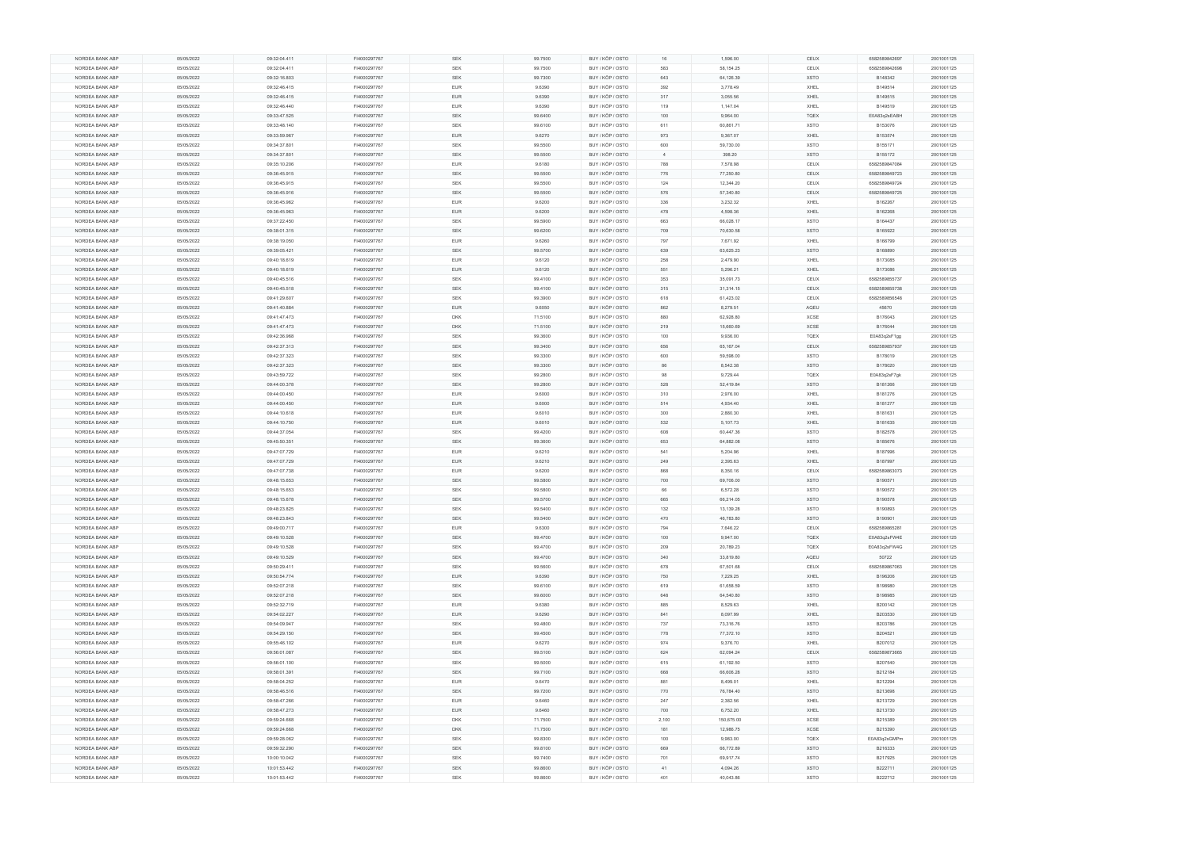|                 | 05/05/2022 | 09:32:04.411 | FI4000297767 | <b>SEK</b> | 99.7500 | BUY / KÖP / OSTO | 16             | 1,596.00   | CEUX        | 6582589842697 | 2001001125 |
|-----------------|------------|--------------|--------------|------------|---------|------------------|----------------|------------|-------------|---------------|------------|
| NORDEA BANK ABP | 05/05/2022 | 09:32:04.411 | FI4000297767 | SEK        | 99.7500 | BUY / KÖP / OSTO | 583            | 58,154.25  | CEUX        | 6582589842698 | 2001001125 |
|                 |            |              |              |            |         |                  |                |            |             |               |            |
| NORDEA BANK ABP | 05/05/2022 | 09:32:16.803 | FI4000297767 | <b>SEK</b> | 99.7300 | BUY / KÖP / OSTO | 643            | 64,126.39  | <b>XSTO</b> | B148342       | 2001001125 |
| NORDEA BANK ABP | 05/05/2022 | 09:32:46.415 | FI4000297767 | <b>EUR</b> | 9.6390  | BUY / KÖP / OSTO | 392            | 3,778.49   | XHEL        | B149514       | 2001001125 |
| NORDEA BANK ABP | 05/05/2022 | 09:32:46.415 | FI4000297767 | EUR        | 9.6390  | BUY / KÖP / OSTO | 317            | 3,055.56   | XHEL        | B149515       | 2001001125 |
|                 |            |              |              |            |         |                  |                |            |             |               |            |
| NORDEA BANK ABP | 05/05/2022 | 09:32:46.440 | FI4000297767 | <b>EUR</b> | 9.6390  | BUY / KÖP / OSTO | 119            | 1,147.04   | XHEL        | B149519       | 2001001125 |
| NORDEA BANK ABP | 05/05/2022 | 09:33:47.525 | FI4000297767 | SEK        | 99.6400 | BUY / KÖP / OSTO | 100            | 9,964.00   | <b>TQEX</b> | E0A83q2sEABH  | 2001001125 |
| NORDEA BANK ABP | 05/05/2022 | 09:33:48.140 | FI4000297767 | <b>SEK</b> | 99.6100 | BUY / KÖP / OSTO | 611            | 60,861.71  | <b>XSTO</b> | B153076       | 2001001125 |
|                 |            |              |              |            |         |                  |                |            |             |               |            |
| NORDEA BANK ABP | 05/05/2022 | 09:33:59.967 | FI4000297767 | EUR        | 9.6270  | BUY / KÖP / OSTO | 973            | 9,367.07   | XHEL        | B153574       | 2001001125 |
| NORDEA BANK ABP | 05/05/2022 | 09:34:37.801 | FI4000297767 | SEK        | 99.5500 | BUY / KÖP / OSTO | 600            | 59,730.00  | <b>XSTO</b> | B155171       | 2001001125 |
| NORDEA BANK ABP | 05/05/2022 | 09:34:37.801 | FI4000297767 | <b>SEK</b> | 99.5500 | BUY / KÖP / OSTO | $\overline{4}$ | 398.20     | <b>XSTO</b> | B155172       | 2001001125 |
| NORDEA BANK ABP |            |              |              | <b>EUR</b> |         |                  | 788            |            |             |               |            |
|                 | 05/05/2022 | 09:35:10.206 | FI4000297767 |            | 9.6180  | BUY / KÖP / OSTO |                | 7,578.98   | CEUX        | 6582589847084 | 2001001125 |
| NORDEA BANK ABP | 05/05/2022 | 09:36:45.915 | FI4000297767 | SEK        | 99.5500 | BUY / KÖP / OSTO | 776            | 77,250.80  | CEUX        | 6582589849723 | 2001001125 |
| NORDEA BANK ABP | 05/05/2022 | 09:36:45.915 | FI4000297767 | SEK        | 99.5500 | BUY / KÖP / OSTO | 124            | 12,344.20  | CEUX        | 6582589849724 | 2001001125 |
|                 |            |              |              |            |         |                  |                |            |             |               |            |
| NORDEA BANK ABP | 05/05/2022 | 09:36:45.916 | FI4000297767 | SEK        | 99.5500 | BUY / KÖP / OSTO | 576            | 57,340.80  | CEUX        | 6582589849725 | 2001001125 |
| NORDEA BANK ABP | 05/05/2022 | 09:36:45.962 | FI4000297767 | <b>EUR</b> | 9.6200  | BUY / KÖP / OSTO | 336            | 3,232.32   | XHEL        | B162267       | 2001001125 |
| NORDEA BANK ABP | 05/05/2022 | 09:36:45.963 | FI4000297767 | <b>EUR</b> | 9.6200  | BUY / KÖP / OSTO | 478            | 4,598.36   | <b>XHEL</b> | B162268       | 2001001125 |
|                 |            |              |              |            |         |                  |                |            |             |               |            |
| NORDEA BANK ABP | 05/05/2022 | 09:37:22.450 | FI4000297767 | <b>SEK</b> | 99.5900 | BUY / KÖP / OSTO | 663            | 66,028.17  | XSTO        | B164437       | 2001001125 |
| NORDEA BANK ABP | 05/05/2022 | 09:38:01.315 | FI4000297767 | SEK        | 99.6200 | BUY / KÖP / OSTO | 709            | 70,630.58  | <b>XSTO</b> | B165922       | 2001001125 |
| NORDEA BANK ABP | 05/05/2022 | 09:38:19.050 | FI4000297767 | EUR        | 9.6260  | BUY / KÖP / OSTO | 797            | 7,671.92   | XHEL        | B166799       | 2001001125 |
|                 |            |              |              |            |         |                  |                |            |             |               |            |
| NORDEA BANK ABP | 05/05/2022 | 09:39:05.421 | FI4000297767 | <b>SEK</b> | 99.5700 | BUY / KÖP / OSTO | 639            | 63,625.23  | <b>XSTO</b> | B168890       | 2001001125 |
| NORDEA BANK ABP | 05/05/2022 | 09:40:18.619 | FI4000297767 | <b>EUR</b> | 9.6120  | BUY / KÖP / OSTO | 258            | 2,479.90   | XHEL        | B173085       | 2001001125 |
| NORDEA BANK ABP | 05/05/2022 | 09:40:18.619 | FI4000297767 | EUR        | 9.6120  | BUY / KÖP / OSTO | 551            | 5,296.21   | XHEL        | B173086       | 2001001125 |
|                 |            |              |              |            |         |                  |                |            |             |               |            |
| NORDEA BANK ABP | 05/05/2022 | 09:40:45.516 | FI4000297767 | SEK        | 99.4100 | BUY / KÖP / OSTO | 353            | 35,091.73  | CEUX        | 6582589855737 | 2001001125 |
| NORDEA BANK ABP | 05/05/2022 | 09:40:45.518 | FI4000297767 | SEK        | 99.4100 | BUY / KÖP / OSTO | 315            | 31,314.15  | CEUX        | 6582589855738 | 2001001125 |
| NORDEA BANK ABP | 05/05/2022 | 09:41:29.607 | FI4000297767 | <b>SEK</b> | 99.3900 | BUY / KÖP / OSTO | 618            | 61,423.02  | CEUX        | 6582589856548 | 2001001125 |
|                 |            |              |              |            |         |                  |                |            |             |               |            |
| NORDEA BANK ABP | 05/05/2022 | 09:41:40.884 | FI4000297767 | <b>EUR</b> | 9.6050  | BUY / KÖP / OSTO | 862            | 8,279.51   | AQEU        | 45670         | 2001001125 |
| NORDEA BANK ABP | 05/05/2022 | 09:41:47.473 | FI4000297767 | DKK        | 71.5100 | BUY / KÖP / OSTO | 880            | 62,928.80  | XCSE        | B176043       | 2001001125 |
| NORDEA BANK ABP | 05/05/2022 | 09:41:47.473 | FI4000297767 | <b>DKK</b> | 71.5100 | BUY / KÖP / OSTO | 219            | 15,660.69  | XCSE        | B176044       | 2001001125 |
|                 |            |              |              |            |         |                  |                |            |             |               |            |
| NORDEA BANK ABP | 05/05/2022 | 09:42:36.968 | FI4000297767 | SEK        | 99.3600 | BUY / KÖP / OSTO | 100            | 9,936.00   | TQEX        | E0A83q2sF1gg  | 2001001125 |
| NORDEA BANK ABP | 05/05/2022 | 09:42:37.313 | FI4000297767 | <b>SEK</b> | 99.3400 | BUY / KÖP / OSTO | 656            | 65,167.04  | CEUX        | 6582589857937 | 2001001125 |
| NORDEA BANK ABP | 05/05/2022 | 09:42:37.323 | FI4000297767 | SEK        | 99.3300 | BUY / KÖP / OSTO | 600            | 59,598.00  | <b>XSTO</b> | B178019       | 2001001125 |
|                 |            |              |              |            |         |                  |                |            |             |               |            |
| NORDEA BANK ABP | 05/05/2022 | 09:42:37.323 | FI4000297767 | SEK        | 99.3300 | BUY / KÖP / OSTO | 86             | 8,542.38   | <b>XSTO</b> | B178020       | 2001001125 |
| NORDEA BANK ABP | 05/05/2022 | 09:43:59.722 | FI4000297767 | SEK        | 99.2800 | BUY / KÖP / OSTO | 98             | 9,729.44   | <b>TQEX</b> | E0A83q2sF7gk  | 2001001125 |
| NORDEA BANK ABP | 05/05/2022 | 09:44:00.378 | FI4000297767 | SEK        | 99.2800 | BUY / KÖP / OSTO | 528            | 52,419.84  | <b>XSTO</b> | B181266       | 2001001125 |
|                 |            |              |              |            |         |                  |                |            |             |               |            |
| NORDEA BANK ABP | 05/05/2022 | 09:44:00.450 | FI4000297767 | <b>EUR</b> | 9.6000  | BUY / KÖP / OSTO | 310            | 2,976.00   | XHEL        | B181276       | 2001001125 |
| NORDEA BANK ABP | 05/05/2022 | 09:44:00.450 | FI4000297767 | <b>EUR</b> | 9.6000  | BUY / KÖP / OSTO | 514            | 4,934.40   | XHEL        | B181277       | 2001001125 |
| NORDEA BANK ABP | 05/05/2022 |              |              | <b>EUR</b> |         |                  | 300            |            | XHEL        |               |            |
|                 |            | 09:44:10.618 | FI4000297767 |            | 9.6010  | BUY / KÖP / OSTO |                | 2,880.30   |             | B181631       | 2001001125 |
| NORDEA BANK ABP | 05/05/2022 | 09:44:10.750 | FI4000297767 | EUR        | 9.6010  | BUY / KÖP / OSTO | 532            | 5,107.73   | XHEL        | B181635       | 2001001125 |
| NORDEA BANK ABP | 05/05/2022 | 09:44:37.054 | FI4000297767 | SEK        | 99.4200 | BUY / KÖP / OSTO | 608            | 60,447.36  | <b>XSTO</b> | B182578       | 2001001125 |
| NORDEA BANK ABP | 05/05/2022 | 09:45:50.351 | FI4000297767 | <b>SEK</b> | 99.3600 | BUY / KÖP / OSTO | 653            | 64,882.08  | <b>XSTO</b> | B185676       | 2001001125 |
|                 |            |              |              |            |         |                  |                |            |             |               |            |
| NORDEA BANK ABP | 05/05/2022 | 09:47:07.729 | FI4000297767 | EUR        | 9.6210  | BUY / KÖP / OSTO | 541            | 5,204.96   | XHEL        | B187996       | 2001001125 |
| NORDEA BANK ABP | 05/05/2022 | 09:47:07.729 | FI4000297767 | <b>EUR</b> | 9.6210  | BUY / KÖP / OSTO | 249            | 2,395.63   | XHEL        | B187997       | 2001001125 |
|                 |            | 09:47:07.738 |              | EUR        |         | BUY / KÖP / OSTO | 868            | 8,350.16   |             | 6582589863073 |            |
| NORDEA BANK ABP | 05/05/2022 |              | FI4000297767 |            | 9.6200  |                  |                |            | CEUX        |               | 2001001125 |
| NORDEA BANK ABP | 05/05/2022 | 09:48:15.653 | FI4000297767 | SEK        | 99.5800 | BUY / KÖP / OSTO | 700            | 69,706.00  | <b>XSTO</b> | B190571       | 2001001125 |
| NORDEA BANK ABP | 05/05/2022 | 09:48:15.653 | FI4000297767 | <b>SEK</b> | 99.5800 | BUY / KÖP / OSTO | 66             |            | <b>XSTO</b> | B190572       | 2001001125 |
| NORDEA BANK ABP |            |              |              |            |         |                  |                |            |             |               |            |
|                 | 05/05/2022 |              |              |            |         |                  |                | 6,572.28   |             |               |            |
| NORDEA BANK ABP |            | 09:48:15.678 | FI4000297767 | <b>SEK</b> | 99.5700 | BUY / KÖP / OSTO | 665            | 66,214.05  | <b>XSTO</b> | B190578       | 2001001125 |
|                 | 05/05/2022 | 09:48:23.825 | FI4000297767 | <b>SEK</b> | 99.5400 | BUY / KÖP / OSTO | 132            | 13,139.28  | XSTO        | B190893       | 2001001125 |
|                 |            |              |              |            |         |                  |                |            |             |               |            |
| NORDEA BANK ABP | 05/05/2022 | 09:48:23.843 | FI4000297767 | SEK        | 99.5400 | BUY / KÖP / OSTO | 470            | 46,783.80  | <b>XSTO</b> | B190901       | 2001001125 |
| NORDEA BANK ABP | 05/05/2022 | 09:49:00.717 | FI4000297767 | EUR        | 9.6300  | BUY / KÖP / OSTO | 794            | 7,646.22   | CEUX        | 6582589865281 | 2001001125 |
| NORDEA BANK ABP | 05/05/2022 | 09:49:10.528 | FI4000297767 | SEK        | 99.4700 | BUY / KÖP / OSTO | 100            | 9,947.00   | <b>TQEX</b> | E0A83q2sFW4E  | 2001001125 |
| NORDEA BANK ABP |            | 09:49:10.528 | FI4000297767 | SEK        | 99.4700 | BUY / KÖP / OSTO | 209            | 20,789.23  | TQEX        |               | 2001001125 |
|                 | 05/05/2022 |              |              |            |         |                  |                |            |             | E0A83q2sFW4G  |            |
| NORDEA BANK ABP | 05/05/2022 | 09:49:10.529 | FI4000297767 | SEK        | 99.4700 | BUY / KÖP / OSTO | 340            | 33,819.80  | AQEU        | 50722         | 2001001125 |
| NORDEA BANK ABP | 05/05/2022 | 09:50:29.411 | FI4000297767 | SEK        | 99.5600 | BUY / KÖP / OSTO | 678            | 67,501.68  | CEUX        | 6582589867063 | 2001001125 |
| NORDEA BANK ABP | 05/05/2022 | 09:50:54.774 | FI4000297767 | EUR        | 9.6390  | BUY / KÖP / OSTO | 750            | 7,229.25   | XHEL        | B196206       | 2001001125 |
|                 |            |              |              |            |         |                  |                |            |             |               |            |
| NORDEA BANK ABP | 05/05/2022 | 09:52:07.218 | FI4000297767 | <b>SEK</b> | 99.6100 | BUY / KÖP / OSTO | 619            | 61,658.59  | XSTO        | B198980       | 2001001125 |
| NORDEA BANK ABP | 05/05/2022 | 09:52:07.218 | FI4000297767 | SEK        | 99.6000 | BUY / KÖP / OSTO | 648            | 64,540.80  | XSTO        | B198985       | 2001001125 |
| NORDEA BANK ABP | 05/05/2022 | 09:52:32.719 | FI4000297767 | EUR        | 9.6380  | BUY / KÖP / OSTO | 885            | 8,529.63   | XHEL        | B200142       | 2001001125 |
|                 |            |              |              |            |         |                  |                |            |             |               |            |
| NORDEA BANK ABP | 05/05/2022 | 09:54:02.227 | FI4000297767 | <b>EUR</b> | 9.6290  | BUY / KÖP / OSTO | 841            | 8,097.99   | XHEL        | B203530       | 2001001125 |
| NORDEA BANK ABP | 05/05/2022 | 09:54:09.947 | FI4000297767 | SEK        | 99.4800 | BUY / KÖP / OSTO | 737            | 73,316.76  | XSTO        | B203786       | 2001001125 |
| NORDEA BANK ABP | 05/05/2022 | 09:54:29.150 | FI4000297767 | SEK        | 99.4500 | BUY / KÖP / OSTO | 778            | 77,372.10  | <b>XSTO</b> | B204521       | 2001001125 |
|                 |            |              |              |            |         |                  |                |            |             |               |            |
| NORDEA BANK ABP | 05/05/2022 | 09:55:46.102 | FI4000297767 | EUR        | 9.6270  | BUY / KÖP / OSTO | 974            | 9,376.70   | XHEL        | B207012       | 2001001125 |
| NORDEA BANK ABP | 05/05/2022 | 09:56:01.087 | FI4000297767 | SEK        | 99.5100 | BUY / KÖP / OSTO | 624            | 62,094.24  | CEUX        | 6582589873665 | 2001001125 |
|                 |            |              |              |            |         |                  |                |            |             |               |            |
| NORDEA BANK ABP | 05/05/2022 | 09:56:01.100 | FI4000297767 | SEK        | 99.5000 | BUY / KÖP / OSTO | 615            | 61,192.50  | <b>XSTO</b> | B207540       | 2001001125 |
| NORDEA BANK ABP | 05/05/2022 | 09:58:01.391 | FI4000297767 | SEK        | 99.7100 | BUY / KÖP / OSTO | 668            | 66,606.28  | XSTO        | B212184       | 2001001125 |
| NORDEA BANK ABP | 05/05/2022 | 09:58:04.252 | FI4000297767 | <b>EUR</b> | 9.6470  | BUY / KÖP / OSTO | 881            | 8,499.01   | XHEL        | B212294       | 2001001125 |
|                 |            |              |              |            |         |                  |                |            |             |               |            |
| NORDEA BANK ABP | 05/05/2022 | 09:58:46.516 | FI4000297767 | SEK        | 99.7200 | BUY / KÖP / OSTO | 770            | 76,784.40  | <b>XSTO</b> | B213698       | 2001001125 |
| NORDEA BANK ABP | 05/05/2022 | 09:58:47.266 | FI4000297767 | <b>EUR</b> | 9.6460  | BUY / KÖP / OSTO | 247            | 2,382.56   | XHEL        | B213729       | 2001001125 |
| NORDEA BANK ABP | 05/05/2022 | 09:58:47.273 | FI4000297767 | <b>EUR</b> | 9.6460  | BUY / KÖP / OSTO | 700            | 6,752.20   | XHEL        | B213730       | 2001001125 |
|                 |            |              |              |            |         |                  |                |            |             |               |            |
| NORDEA BANK ABP | 05/05/2022 | 09:59:24.668 | FI4000297767 | DKK        | 71.7500 | BUY / KÖP / OSTO | 2,100          | 150,675.00 | XCSE        | B215389       | 2001001125 |
| NORDEA BANK ABP | 05/05/2022 | 09:59:24.668 | FI4000297767 | DKK        | 71.7500 | BUY / KÖP / OSTO | 181            | 12,986.75  | XCSE        | B215390       | 2001001125 |
| NORDEA BANK ABP | 05/05/2022 | 09:59:28.062 | FI4000297767 | SEK        | 99.8300 | BUY / KÖP / OSTO | 100            | 9,983.00   | TQEX        | E0A83q2sGMPm  | 2001001125 |
|                 |            |              |              | SEK        |         |                  |                |            |             |               |            |
| NORDEA BANK ABP | 05/05/2022 | 09:59:32.290 | FI4000297767 |            | 99.8100 | BUY / KÖP / OSTO | 669            | 66,772.89  | XSTO        | B216333       | 2001001125 |
| NORDEA BANK ABP | 05/05/2022 | 10:00:10.042 | FI4000297767 | SEK        | 99.7400 | BUY / KÖP / OSTO | 701            | 69,917.74  | <b>XSTO</b> | B217925       | 2001001125 |
| NORDEA BANK ABP | 05/05/2022 | 10:01:53.442 | FI4000297767 | SEK        | 99.8600 | BUY / KÖP / OSTO | 41             | 4,094.26   | XSTO        | B222711       | 2001001125 |
| NORDEA BANK ABP | 05/05/2022 | 10:01:53.442 | FI4000297767 | SEK        | 99.8600 | BUY / KÖP / OSTO | 401            | 40,043.86  | <b>XSTO</b> | B222712       | 2001001125 |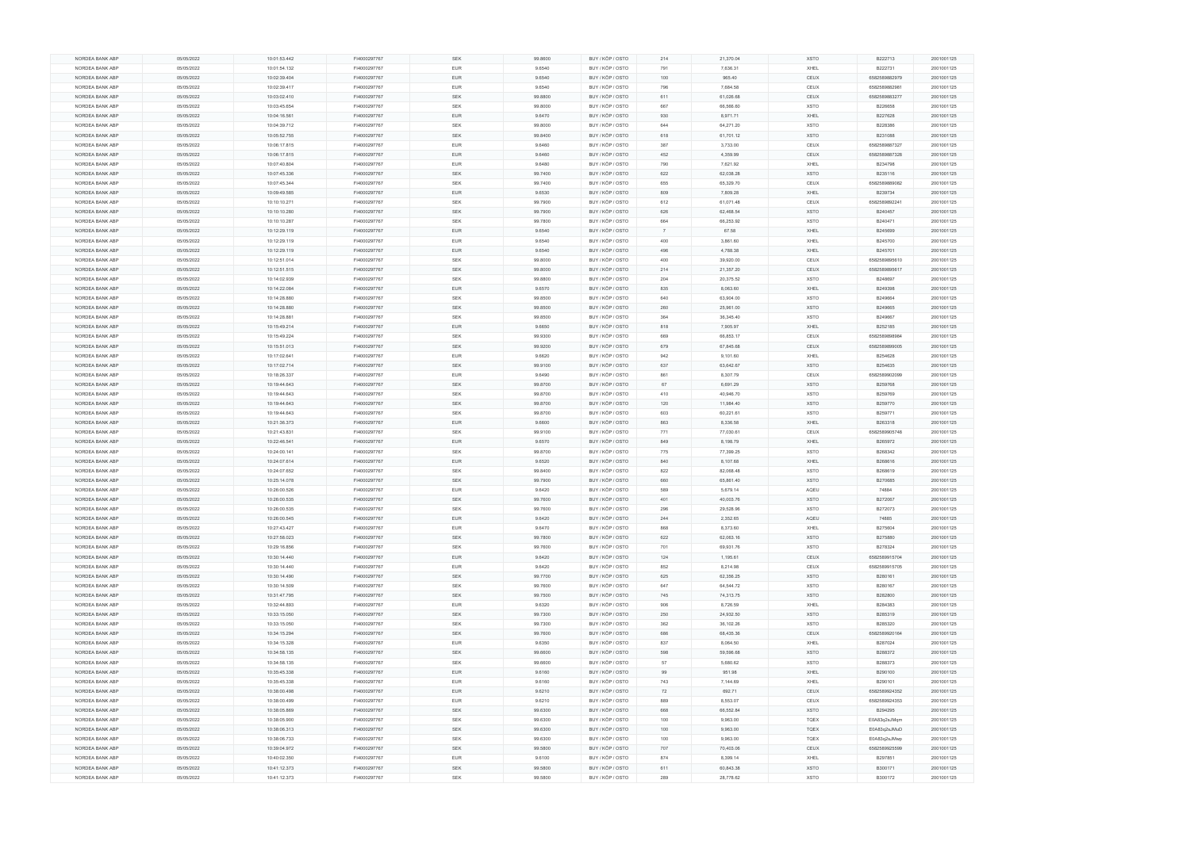| NORDEA BANK ABP | 05/05/2022 | 10:01:53.442 | FI4000297767 | SEK        | 99.8600 | BUY / KÖP / OSTO | 214            | 21,370.04 | <b>XSTO</b> | B222713       | 2001001125 |
|-----------------|------------|--------------|--------------|------------|---------|------------------|----------------|-----------|-------------|---------------|------------|
| NORDEA BANK ABP | 05/05/2022 | 10:01:54.132 | FI4000297767 | <b>EUR</b> | 9.6540  | BUY / KÖP / OSTO | 791            | 7,636.31  | XHEL        | B222731       | 2001001125 |
| NORDEA BANK ABP | 05/05/2022 | 10:02:39.404 | FI4000297767 | <b>EUR</b> | 9.6540  | BUY / KÖP / OSTO | 100            | 965.40    | CEUX        | 6582589882979 | 2001001125 |
| NORDEA BANK ABP | 05/05/2022 | 10:02:39.417 | FI4000297767 | <b>EUR</b> | 9.6540  | BUY / KÖP / OSTO | 796            | 7,684.58  | CEUX        | 6582589882981 | 2001001125 |
|                 |            |              |              |            |         |                  |                |           |             |               |            |
| NORDEA BANK ABP | 05/05/2022 | 10:03:02.410 | FI4000297767 | SEK        | 99.8800 | BUY / KÖP / OSTO | 611            | 61,026.68 | CEUX        | 6582589883277 | 2001001125 |
| NORDEA BANK ABP | 05/05/2022 | 10:03:45.654 | FI4000297767 | <b>SEK</b> | 99.8000 | BUY / KÖP / OSTO | 667            | 66,566.60 | <b>XSTO</b> | B226658       | 2001001125 |
| NORDEA BANK ABP | 05/05/2022 | 10:04:16.561 | FI4000297767 | <b>EUR</b> | 9.6470  | BUY / KÖP / OSTO | 930            | 8,971.71  | XHEL        | B227628       | 2001001125 |
| NORDEA BANK ABP | 05/05/2022 | 10:04:39.712 | FI4000297767 | <b>SEK</b> | 99.8000 | BUY / KÖP / OSTO | 644            | 64,271.20 | <b>XSTO</b> | B228386       | 2001001125 |
|                 |            |              |              | SEK        |         |                  |                | 61,701.12 |             |               |            |
| NORDEA BANK ABP | 05/05/2022 | 10:05:52.755 | FI4000297767 |            | 99.8400 | BUY / KÖP / OSTO | 618            |           | <b>XSTO</b> | B231088       | 2001001125 |
| NORDEA BANK ABP | 05/05/2022 | 10:06:17.815 | FI4000297767 | <b>EUR</b> | 9.6460  | BUY / KÖP / OSTO | 387            | 3,733.00  | CEUX        | 6582589887327 | 2001001125 |
| NORDEA BANK ABP | 05/05/2022 | 10:06:17.815 | FI4000297767 | <b>EUR</b> | 9.6460  | BUY / KÖP / OSTO | 452            | 4,359.99  | CEUX        | 6582589887328 | 2001001125 |
| NORDEA BANK ABP | 05/05/2022 | 10:07:40.804 | FI4000297767 | <b>EUR</b> | 9.6480  | BUY / KÖP / OSTO | 790            | 7,621.92  | XHEL        | B234798       | 2001001125 |
| NORDEA BANK ABP | 05/05/2022 | 10:07:45.336 | FI4000297767 | <b>SEK</b> | 99.7400 | BUY / KÖP / OSTO | 622            | 62,038.28 | <b>XSTO</b> | B235116       | 2001001125 |
|                 |            |              |              |            |         |                  |                |           |             |               |            |
| NORDEA BANK ABP | 05/05/2022 | 10:07:45.344 | FI4000297767 | SEK        | 99.7400 | BUY / KÖP / OSTO | 655            | 65,329.70 | CEUX        | 6582589889082 | 2001001125 |
| NORDEA BANK ABP | 05/05/2022 | 10:09:49.585 | FI4000297767 | <b>EUR</b> | 9.6530  | BUY / KÖP / OSTO | 809            | 7,809.28  | XHEL        | B239734       | 2001001125 |
| NORDEA BANK ABP | 05/05/2022 | 10:10:10.271 | FI4000297767 | SEK        | 99.7900 | BUY / KÖP / OSTO | 612            | 61,071.48 | CEUX        | 6582589892241 | 2001001125 |
| NORDEA BANK ABP | 05/05/2022 | 10:10:10.280 | FI4000297767 | SEK        | 99.7900 | BUY / KÖP / OSTO | 626            | 62,468.54 | <b>XSTO</b> | B240457       | 2001001125 |
| NORDEA BANK ABP | 05/05/2022 | 10:10:10.287 | FI4000297767 | <b>SEK</b> | 99.7800 | BUY / KÖP / OSTO | 664            | 66,253.92 | <b>XSTO</b> | B240471       | 2001001125 |
|                 |            |              |              |            |         |                  |                |           |             |               |            |
| NORDEA BANK ABP | 05/05/2022 | 10:12:29.119 | FI4000297767 | <b>EUR</b> | 9.6540  | BUY / KÖP / OSTO | $\overline{7}$ | 67.58     | XHEL        | B245699       | 2001001125 |
| NORDEA BANK ABP | 05/05/2022 | 10:12:29.119 | FI4000297767 | <b>EUR</b> | 9.6540  | BUY / KÖP / OSTO | 400            | 3,861.60  | XHEL        | B245700       | 2001001125 |
| NORDEA BANK ABP | 05/05/2022 | 10:12:29.119 | FI4000297767 | <b>EUR</b> | 9.6540  | BUY / KÖP / OSTO | 496            | 4,788.38  | XHEL        | B245701       | 2001001125 |
| NORDEA BANK ABP | 05/05/2022 | 10:12:51.014 | FI4000297767 | SEK        | 99.8000 | BUY / KÖP / OSTO | 400            | 39,920.00 | CEUX        | 6582589895610 | 2001001125 |
| NORDEA BANK ABP | 05/05/2022 | 10:12:51.515 | FI4000297767 | <b>SEK</b> | 99.8000 | BUY / KÖP / OSTO | 214            | 21,357.20 | CEUX        | 6582589895617 | 2001001125 |
|                 |            |              |              |            |         |                  |                |           |             |               |            |
| NORDEA BANK ABP | 05/05/2022 | 10:14:02.939 | FI4000297767 | SEK        | 99.8800 | BUY / KÖP / OSTO | 204            | 20,375.52 | <b>XSTO</b> | B248697       | 2001001125 |
| NORDEA BANK ABP | 05/05/2022 | 10:14:22.084 | FI4000297767 | <b>EUR</b> | 9.6570  | BUY / KÖP / OSTO | 835            | 8,063.60  | XHEL        | B249398       | 2001001125 |
| NORDEA BANK ABP | 05/05/2022 | 10:14:28.880 | FI4000297767 | <b>SEK</b> | 99.8500 | BUY / KÖP / OSTO | 640            | 63,904.00 | <b>XSTO</b> | B249664       | 2001001125 |
| NORDEA BANK ABP | 05/05/2022 | 10:14:28.880 | FI4000297767 | <b>SEK</b> | 99.8500 | BUY / KÖP / OSTO | 260            | 25,961.00 | <b>XSTO</b> | B249665       | 2001001125 |
|                 |            |              |              |            |         |                  |                |           |             |               |            |
| NORDEA BANK ABP | 05/05/2022 | 10:14:28.881 | FI4000297767 | <b>SEK</b> | 99.8500 | BUY / KÖP / OSTO | 364            | 36,345.40 | <b>XSTO</b> | B249667       | 2001001125 |
| NORDEA BANK ABP | 05/05/2022 | 10:15:49.214 | FI4000297767 | <b>EUR</b> | 9.6650  | BUY / KÖP / OSTO | 818            | 7,905.97  | XHEL        | B252185       | 2001001125 |
| NORDEA BANK ABP | 05/05/2022 | 10:15:49.224 | FI4000297767 | SEK        | 99.9300 | BUY / KÖP / OSTO | 669            | 66,853.17 | CEUX        | 6582589898984 | 2001001125 |
| NORDEA BANK ABP | 05/05/2022 | 10:15:51.013 | FI4000297767 | <b>SEK</b> | 99.9200 | BUY / KÖP / OSTO | 679            | 67,845.68 | CEUX        | 6582589899005 | 2001001125 |
| NORDEA BANK ABP | 05/05/2022 | 10:17:02.641 | FI4000297767 | <b>EUR</b> | 9.6620  | BUY / KÖP / OSTO | 942            | 9,101.60  | XHEL        | B254628       | 2001001125 |
|                 |            |              |              |            |         |                  |                |           |             |               |            |
| NORDEA BANK ABP | 05/05/2022 | 10:17:02.714 | FI4000297767 | <b>SEK</b> | 99.9100 | BUY / KÖP / OSTO | 637            | 63,642.67 | <b>XSTO</b> | B254635       | 2001001125 |
| NORDEA BANK ABP | 05/05/2022 | 10:18:26.337 | FI4000297767 | <b>EUR</b> | 9.6490  | BUY / KÖP / OSTO | 861            | 8,307.79  | CEUX        | 6582589902099 | 2001001125 |
| NORDEA BANK ABP | 05/05/2022 | 10:19:44.643 | FI4000297767 | SEK        | 99.8700 | BUY / KÖP / OSTO | 67             | 6,691.29  | <b>XSTO</b> | B259768       | 2001001125 |
| NORDEA BANK ABP | 05/05/2022 | 10:19:44.643 | FI4000297767 | <b>SEK</b> | 99.8700 | BUY / KÖP / OSTO | 410            | 40,946.70 | <b>XSTO</b> | B259769       | 2001001125 |
|                 |            |              |              |            |         |                  |                |           |             |               |            |
| NORDEA BANK ABP | 05/05/2022 | 10:19:44.643 | FI4000297767 | <b>SEK</b> | 99.8700 | BUY / KÖP / OSTO | 120            | 11,984.40 | <b>XSTO</b> | B259770       | 2001001125 |
| NORDEA BANK ABP | 05/05/2022 | 10:19:44.643 | FI4000297767 | <b>SEK</b> | 99.8700 | BUY / KÖP / OSTO | 603            | 60,221.61 | <b>XSTO</b> | B259771       | 2001001125 |
| NORDEA BANK ABP | 05/05/2022 | 10:21:36.373 | FI4000297767 | <b>EUR</b> | 9.6600  | BUY / KÖP / OSTO | 863            | 8,336.58  | XHEL        | B263318       | 2001001125 |
| NORDEA BANK ABP | 05/05/2022 | 10:21:43.831 | FI4000297767 | <b>SEK</b> | 99.9100 | BUY / KÖP / OSTO | 771            | 77,030.61 | CEUX        | 6582589905748 | 2001001125 |
| NORDEA BANK ABP | 05/05/2022 | 10:22:46.541 | FI4000297767 | <b>EUR</b> | 9.6570  | BUY / KÖP / OSTO | 849            | 8,198.79  | XHEL        | B265972       | 2001001125 |
|                 |            |              |              |            |         |                  |                |           |             |               |            |
| NORDEA BANK ABP | 05/05/2022 | 10:24:00.141 | FI4000297767 | SEK        | 99.8700 | BUY / KÖP / OSTO | 775            | 77,399.25 | <b>XSTO</b> | B268342       | 2001001125 |
| NORDEA BANK ABP | 05/05/2022 | 10:24:07.614 | FI4000297767 | <b>EUR</b> | 9.6520  | BUY / KÖP / OSTO | 840            | 8,107.68  | XHEL        | B268616       | 2001001125 |
| NORDEA BANK ABP | 05/05/2022 | 10:24:07.652 | FI4000297767 | SEK        | 99.8400 | BUY / KÖP / OSTO | 822            | 82,068.48 | <b>XSTO</b> | B268619       | 2001001125 |
| NORDEA BANK ABP | 05/05/2022 | 10:25:14.078 | FI4000297767 | <b>SEK</b> | 99.7900 | BUY / KÖP / OSTO | 660            | 65,861.40 | <b>XSTO</b> | B270685       | 2001001125 |
|                 |            |              |              | <b>EUR</b> |         |                  | 589            |           |             | 74884         |            |
| NORDEA BANK ABP | 05/05/2022 | 10:26:00.526 | FI4000297767 |            | 9.6420  | BUY / KÖP / OSTO |                | 5,679.14  | AQEU        |               | 2001001125 |
| NORDEA BANK ABP | 05/05/2022 | 10:26:00.535 | FI4000297767 | <b>SEK</b> | 99.7600 | BUY / KÖP / OSTO | 401            | 40,003.76 | <b>XSTO</b> | B272067       | 2001001125 |
| NORDEA BANK ABP | 05/05/2022 | 10:26:00.535 | FI4000297767 | SEK        | 99.7600 | BUY / KÖP / OSTO | 296            | 29,528.96 | <b>XSTO</b> | B272073       | 2001001125 |
| NORDEA BANK ABP | 05/05/2022 | 10:26:00.545 | FI4000297767 | <b>EUR</b> | 9.6420  | BUY / KÖP / OSTO | 244            | 2,352.65  | AQEU        | 74885         | 2001001125 |
| NORDEA BANK ABP | 05/05/2022 | 10:27:43.427 | FI4000297767 | <b>EUR</b> | 9.6470  | BUY / KÖP / OSTO | 868            | 8,373.60  | XHEL        | B275604       | 2001001125 |
|                 |            |              |              |            |         |                  |                |           |             |               |            |
| NORDEA BANK ABP | 05/05/2022 | 10:27:58.023 | FI4000297767 | SEK        | 99.7800 | BUY / KÖP / OSTO | 622            | 62,063.16 | <b>XSTO</b> | B275880       | 2001001125 |
| NORDEA BANK ABP | 05/05/2022 | 10:29:16.856 | FI4000297767 | <b>SEK</b> | 99.7600 | BUY / KÖP / OSTO | 701            | 69,931.76 | <b>XSTO</b> | B278324       | 2001001125 |
| NORDEA BANK ABP | 05/05/2022 | 10:30:14.440 | FI4000297767 | <b>EUR</b> | 9.6420  | BUY / KÖP / OSTO | 124            | 1,195.61  | CEUX        | 6582589915704 | 2001001125 |
| NORDEA BANK ABP | 05/05/2022 | 10:30:14.440 | FI4000297767 | EUR        | 9.6420  | BUY / KÖP / OSTO | 852            | 8,214.98  | CEUX        | 6582589915705 | 2001001125 |
| NORDEA BANK ABP | 05/05/2022 | 10:30:14.490 | FI4000297767 | <b>SEK</b> | 99.7700 | BUY / KÖP / OSTO | 625            | 62,356.25 | <b>XSTO</b> | B280161       | 2001001125 |
|                 |            |              |              |            |         |                  |                |           |             |               |            |
| NORDEA BANK ABP | 05/05/2022 | 10:30:14.509 | FI4000297767 | SEK        | 99.7600 | BUY / KÖP / OSTO | 647            | 64,544.72 | <b>XSTO</b> | B280167       | 2001001125 |
| NORDEA BANK ABP | 05/05/2022 | 10:31:47.795 | FI4000297767 | <b>SEK</b> | 99.7500 | BUY / KÖP / OSTO | 745            | 74,313.75 | <b>XSTO</b> | B282800       | 2001001125 |
| NORDEA BANK ABP | 05/05/2022 | 10:32:44.893 | FI4000297767 | <b>EUR</b> | 9.6320  | BUY / KÖP / OSTO | 906            | 8,726.59  | XHEL        | B284383       | 2001001125 |
| NORDEA BANK ABP | 05/05/2022 | 10:33:15.050 | FI4000297767 | SEK        | 99.7300 | BUY / KÖP / OSTO | 250            | 24,932.50 | <b>XSTO</b> | B285319       | 2001001125 |
|                 |            |              |              |            |         |                  |                |           |             |               |            |
| NORDEA BANK ABP | 05/05/2022 | 10:33:15.050 | FI4000297767 | <b>SEK</b> | 99.7300 | BUY / KÖP / OSTO | 362            | 36,102.26 | <b>XSTO</b> | B285320       | 2001001125 |
| NORDEA BANK ABP | 05/05/2022 | 10:34:15.294 | FI4000297767 | <b>SEK</b> | 99.7600 | BUY / KÖP / OSTO | 686            | 68,435.36 | CEUX        | 6582589920164 | 2001001125 |
| NORDEA BANK ABP | 05/05/2022 | 10:34:15.328 | FI4000297767 | EUR        | 9.6350  | BUY / KÖP / OSTO | 837            | 8,064.50  | XHEL        | B287024       | 2001001125 |
| NORDEA BANK ABP | 05/05/2022 | 10:34:58.135 | FI4000297767 | <b>SEK</b> | 99.6600 | BUY / KÖP / OSTO | 598            | 59,596.68 | <b>XSTO</b> | B288372       | 2001001125 |
| NORDEA BANK ABP | 05/05/2022 | 10:34:58.135 | FI4000297767 | SEK        | 99.6600 | BUY / KÖP / OSTO | 57             | 5,680.62  | <b>XSTO</b> | B288373       | 2001001125 |
|                 |            |              |              |            |         |                  |                |           |             |               |            |
| NORDEA BANK ABP | 05/05/2022 | 10:35:45.338 | FI4000297767 | <b>EUR</b> | 9.6160  | BUY / KÖP / OSTO | 99             | 951.98    | XHEL        | B290100       | 2001001125 |
| NORDEA BANK ABP | 05/05/2022 | 10:35:45.338 | FI4000297767 | <b>EUR</b> | 9.6160  | BUY / KÖP / OSTO | 743            | 7,144.69  | XHEL        | B290101       | 2001001125 |
| NORDEA BANK ABP | 05/05/2022 | 10:38:00.498 | FI4000297767 | <b>EUR</b> | 9.6210  | BUY / KÖP / OSTO | 72             | 692.71    | CEUX        | 6582589924352 | 2001001125 |
| NORDEA BANK ABP | 05/05/2022 | 10:38:00.499 | FI4000297767 | <b>EUR</b> | 9.6210  | BUY / KÖP / OSTO | 889            | 8,553.07  | CEUX        | 6582589924353 | 2001001125 |
|                 |            |              |              |            |         |                  |                |           |             |               |            |
| NORDEA BANK ABP | 05/05/2022 | 10:38:05.869 | FI4000297767 | SEK        | 99.6300 | BUY / KÖP / OSTO | 668            | 66,552.84 | <b>XSTO</b> | B294295       | 2001001125 |
| NORDEA BANK ABP | 05/05/2022 | 10:38:05.900 | FI4000297767 | <b>SEK</b> | 99.6300 | BUY / KÖP / OSTO | 100            | 9,963.00  | <b>TQEX</b> | E0A83q2sJMqm  | 2001001125 |
| NORDEA BANK ABP | 05/05/2022 | 10:38:06.313 | FI4000297767 | <b>SEK</b> | 99.6300 | BUY / KÖP / OSTO | 100            | 9,963.00  | TQEX        | E0A83q2sJMuD  | 2001001125 |
| NORDEA BANK ABP | 05/05/2022 | 10:38:06.733 | FI4000297767 | SEK        | 99.6300 | BUY / KÖP / OSTO | 100            | 9,963.00  | <b>TQEX</b> | E0A83q2sJMwp  | 2001001125 |
| NORDEA BANK ABP | 05/05/2022 | 10:39:04.972 | FI4000297767 | <b>SEK</b> | 99.5800 | BUY / KÖP / OSTO | 707            | 70,403.06 | CEUX        | 6582589925599 | 2001001125 |
|                 |            |              |              |            |         |                  |                |           |             |               |            |
| NORDEA BANK ABP | 05/05/2022 | 10:40:02.350 | FI4000297767 | EUR        | 9.6100  | BUY / KÖP / OSTO | 874            | 8,399.14  | XHEL        | B297851       | 2001001125 |
| NORDEA BANK ABP | 05/05/2022 | 10:41:12.373 | FI4000297767 | <b>SEK</b> | 99.5800 | BUY / KÖP / OSTO | 611            | 60,843.38 | <b>XSTO</b> | B300171       | 2001001125 |
| NORDEA BANK ABP | 05/05/2022 | 10:41:12.373 | FI4000297767 | <b>SEK</b> | 99.5800 | BUY / KÖP / OSTO | 289            | 28,778.62 | <b>XSTO</b> | B300172       | 2001001125 |
|                 |            |              |              |            |         |                  |                |           |             |               |            |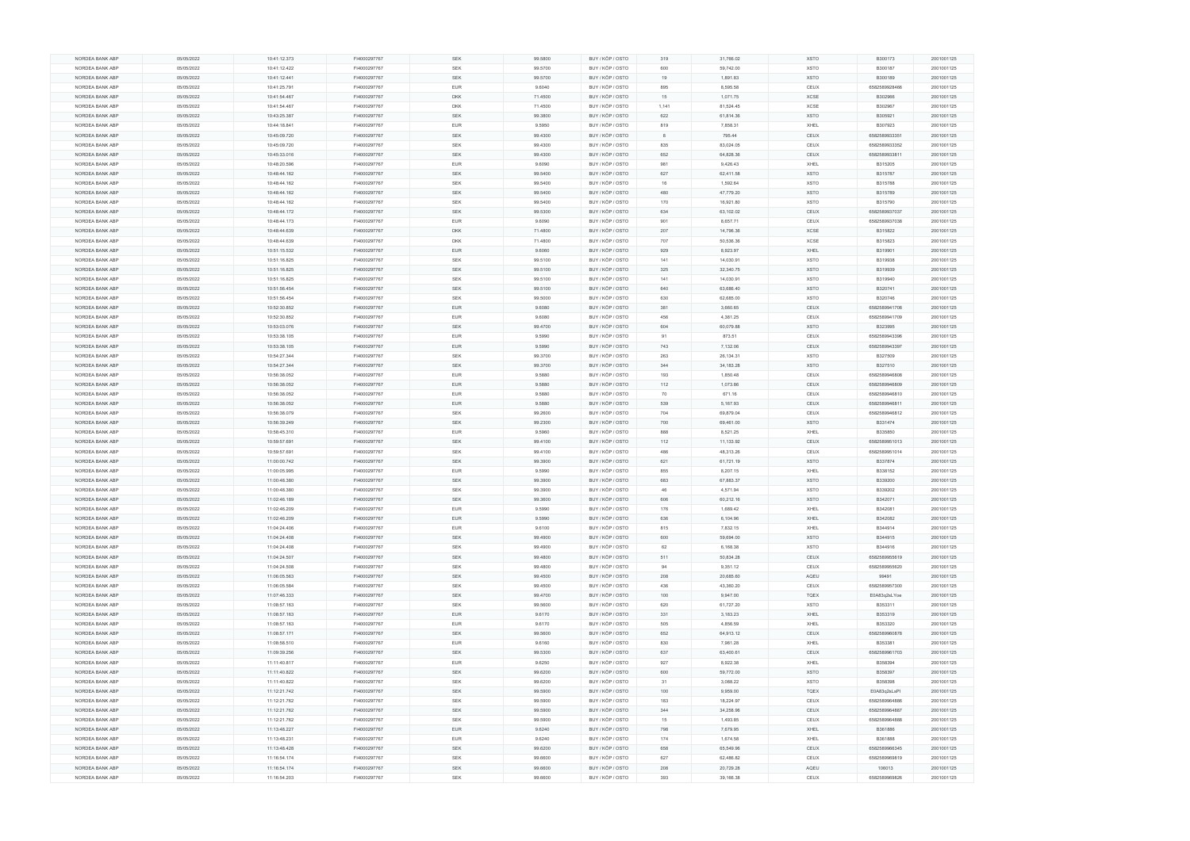| NORDEA BANK ABP                    | 05/05/2022               | 10:41:12.373                 | FI4000297767                 | <b>SEK</b> | 99.5800 | BUY / KÖP / OSTO                     | 319   | 31,766.02              | <b>XSTO</b> | B300173                 | 2001001125               |
|------------------------------------|--------------------------|------------------------------|------------------------------|------------|---------|--------------------------------------|-------|------------------------|-------------|-------------------------|--------------------------|
| NORDEA BANK ABP                    | 05/05/2022               | 10:41:12.422                 | FI4000297767                 | SEK        | 99.5700 | BUY / KÖP / OSTO                     | 600   | 59,742.00              | <b>XSTO</b> | B300187                 | 2001001125               |
|                                    |                          |                              |                              |            |         |                                      |       |                        |             |                         |                          |
| NORDEA BANK ABP                    | 05/05/2022               | 10:41:12.441                 | FI4000297767                 | <b>SEK</b> | 99.5700 | BUY / KÖP / OSTO                     | 19    | 1,891.83               | <b>XSTO</b> | B300189                 | 2001001125               |
| NORDEA BANK ABP                    | 05/05/2022               | 10:41:25.791                 | FI4000297767                 | <b>EUR</b> | 9.6040  | BUY / KÖP / OSTO                     | 895   | 8,595.58               | CEUX        | 6582589928466           | 2001001125               |
| NORDEA BANK ABP                    | 05/05/2022               | 10:41:54.467                 | FI4000297767                 | <b>DKK</b> | 71.4500 | BUY / KÖP / OSTO                     | 15    | 1,071.75               | <b>XCSE</b> | B302966                 | 2001001125               |
| NORDEA BANK ABP                    | 05/05/2022               | 10:41:54.467                 | FI4000297767                 | <b>DKK</b> | 71.4500 | BUY / KÖP / OSTO                     | 1,141 | 81,524.45              | XCSE        | B302967                 | 2001001125               |
|                                    |                          |                              |                              |            |         |                                      |       |                        |             |                         |                          |
| NORDEA BANK ABP                    | 05/05/2022               | 10:43:25.387                 | FI4000297767                 | SEK        | 99.3800 | BUY / KÖP / OSTO                     | 622   | 61,814.36              | <b>XSTO</b> | B305921                 | 2001001125               |
| NORDEA BANK ABP                    | 05/05/2022               | 10:44:18.841                 | FI4000297767                 | <b>EUR</b> | 9.5950  | BUY / KÖP / OSTO                     | 819   | 7,858.31               | XHEL        | B307923                 | 2001001125               |
| NORDEA BANK ABP                    | 05/05/2022               | 10:45:09.720                 | FI4000297767                 | SEK        | 99.4300 | BUY / KÖP / OSTO                     | -8    | 795.44                 | CEUX        | 6582589933351           | 2001001125               |
|                                    |                          |                              |                              |            |         |                                      |       |                        |             |                         |                          |
| NORDEA BANK ABP                    | 05/05/2022               | 10:45:09.720                 | FI4000297767                 | <b>SEK</b> | 99.4300 | BUY / KÖP / OSTO                     | 835   | 83,024.05              | CEUX        | 6582589933352           | 2001001125               |
| NORDEA BANK ABP                    | 05/05/2022               | 10:45:33.016                 | FI4000297767                 | <b>SEK</b> | 99.4300 | BUY / KÖP / OSTO                     | 652   | 64,828.36              | CEUX        | 6582589933811           | 2001001125               |
| NORDEA BANK ABP                    | 05/05/2022               | 10:48:20.596                 | FI4000297767                 | <b>EUR</b> | 9.6090  | BUY / KÖP / OSTO                     | 981   | 9,426.43               | XHEL        | B315205                 | 2001001125               |
|                                    |                          |                              |                              |            |         |                                      |       |                        |             |                         |                          |
| NORDEA BANK ABP                    | 05/05/2022               | 10:48:44.162                 | FI4000297767                 | <b>SEK</b> | 99.5400 | BUY / KÖP / OSTO                     | 627   | 62,411.58              | <b>XSTO</b> | B315787                 | 2001001125               |
| NORDEA BANK ABP                    | 05/05/2022               | 10:48:44.162                 | FI4000297767                 | <b>SEK</b> | 99.5400 | BUY / KÖP / OSTO                     | 16    | 1,592.64               | <b>XSTO</b> | B315788                 | 2001001125               |
| NORDEA BANK ABP                    | 05/05/2022               | 10:48:44.162                 | FI4000297767                 | <b>SEK</b> | 99.5400 | BUY / KÖP / OSTO                     | 480   | 47,779.20              | <b>XSTO</b> | B315789                 | 2001001125               |
|                                    |                          |                              |                              |            |         |                                      |       |                        |             |                         |                          |
| NORDEA BANK ABP                    | 05/05/2022               | 10:48:44.162                 | FI4000297767                 | <b>SEK</b> | 99.5400 | BUY / KÖP / OSTO                     | 170   | 16,921.80              | <b>XSTO</b> | B315790                 | 2001001125               |
| NORDEA BANK ABP                    | 05/05/2022               | 10:48:44.172                 | FI4000297767                 | SEK        | 99.5300 | BUY / KÖP / OSTO                     | 634   | 63,102.02              | CEUX        | 6582589937037           | 2001001125               |
| NORDEA BANK ABP                    | 05/05/2022               | 10:48:44.173                 | FI4000297767                 | <b>EUR</b> | 9.6090  | BUY / KÖP / OSTO                     | 901   | 8,657.71               | CEUX        | 6582589937038           | 2001001125               |
|                                    |                          |                              |                              |            |         |                                      |       |                        |             |                         |                          |
| NORDEA BANK ABP                    | 05/05/2022               | 10:48:44.639                 | FI4000297767                 | <b>DKK</b> | 71.4800 | BUY / KÖP / OSTO                     | 207   | 14,796.36              | <b>XCSE</b> | B315822                 | 2001001125               |
| NORDEA BANK ABP                    | 05/05/2022               | 10:48:44.639                 | FI4000297767                 | <b>DKK</b> | 71.4800 | BUY / KÖP / OSTO                     | 707   | 50,536.36              | <b>XCSE</b> | B315823                 | 2001001125               |
| NORDEA BANK ABP                    | 05/05/2022               | 10:51:15.532                 | FI4000297767                 | <b>EUR</b> | 9.6060  | BUY / KÖP / OSTO                     | 929   | 8,923.97               | XHEL        | B319901                 | 2001001125               |
|                                    |                          |                              |                              |            |         |                                      |       |                        |             |                         |                          |
| NORDEA BANK ABP                    | 05/05/2022               | 10:51:16.825                 | FI4000297767                 | <b>SEK</b> | 99.5100 | BUY / KÖP / OSTO                     | 141   | 14,030.91              | <b>XSTO</b> | B319938                 | 2001001125               |
| NORDEA BANK ABP                    | 05/05/2022               | 10:51:16.825                 | FI4000297767                 | <b>SEK</b> | 99.5100 | BUY / KÖP / OSTO                     | 325   | 32,340.75              | <b>XSTO</b> | B319939                 | 2001001125               |
| NORDEA BANK ABP                    | 05/05/2022               | 10:51:16.825                 | FI4000297767                 | <b>SEK</b> | 99.5100 | BUY / KÖP / OSTO                     | 141   | 14,030.91              | <b>XSTO</b> | B319940                 | 2001001125               |
|                                    |                          |                              |                              |            |         |                                      |       |                        |             |                         |                          |
| NORDEA BANK ABP                    | 05/05/2022               | 10:51:56.454                 | FI4000297767                 | SEK        | 99.5100 | BUY / KÖP / OSTO                     | 640   | 63,686.40              | <b>XSTO</b> | B320741                 | 2001001125               |
| NORDEA BANK ABP                    | 05/05/2022               | 10:51:56.454                 | FI4000297767                 | <b>SEK</b> | 99.5000 | BUY / KÖP / OSTO                     | 630   | 62,685.00              | <b>XSTO</b> | B320746                 | 2001001125               |
| NORDEA BANK ABP                    | 05/05/2022               | 10:52:30.852                 | FI4000297767                 | <b>EUR</b> | 9.6080  | BUY / KÖP / OSTO                     | 381   | 3,660.65               | CEUX        | 6582589941708           | 2001001125               |
|                                    |                          |                              |                              |            |         |                                      |       |                        |             |                         |                          |
| NORDEA BANK ABP                    | 05/05/2022               | 10:52:30.852                 | FI4000297767                 | <b>EUR</b> | 9.6080  | BUY / KÖP / OSTO                     | 456   | 4,381.25               | CEUX        | 6582589941709           | 2001001125               |
| NORDEA BANK ABP                    | 05/05/2022               | 10:53:03.076                 | FI4000297767                 | SEK        | 99.4700 | BUY / KÖP / OSTO                     | 604   | 60,079.88              | <b>XSTO</b> | B323995                 | 2001001125               |
| NORDEA BANK ABP                    | 05/05/2022               | 10:53:38.105                 | FI4000297767                 | <b>EUR</b> | 9.5990  | BUY / KÖP / OSTO                     | 91    | 873.51                 | CEUX        | 6582589943396           | 2001001125               |
|                                    |                          |                              |                              | <b>EUR</b> |         |                                      | 743   |                        | CEUX        |                         |                          |
| NORDEA BANK ABP                    | 05/05/2022               | 10:53:38.105                 | FI4000297767                 |            | 9.5990  | BUY / KÖP / OSTO                     |       | 7,132.06               |             | 6582589943397           | 2001001125               |
| NORDEA BANK ABP                    | 05/05/2022               | 10:54:27.344                 | FI4000297767                 | <b>SEK</b> | 99.3700 | BUY / KÖP / OSTO                     | 263   | 26,134.31              | <b>XSTO</b> | B327509                 | 2001001125               |
| NORDEA BANK ABP                    | 05/05/2022               | 10:54:27.344                 | FI4000297767                 | <b>SEK</b> | 99.3700 | BUY / KÖP / OSTO                     | 344   | 34,183.28              | <b>XSTO</b> | B327510                 | 2001001125               |
|                                    |                          | 10:56:38.052                 | FI4000297767                 | <b>EUR</b> |         |                                      |       | 1,850.48               |             |                         |                          |
| NORDEA BANK ABP                    | 05/05/2022               |                              |                              |            | 9.5880  | BUY / KÖP / OSTO                     | 193   |                        | CEUX        | 6582589946808           | 2001001125               |
|                                    |                          |                              |                              |            |         |                                      |       |                        |             | 6582589946809           | 2001001125               |
| NORDEA BANK ABP                    | 05/05/2022               | 10:56:38.052                 | FI4000297767                 | <b>EUR</b> | 9.5880  | BUY / KÖP / OSTO                     | 112   | 1,073.86               | CEUX        |                         |                          |
| NORDEA BANK ABP                    |                          | 10:56:38.052                 | FI4000297767                 | <b>EUR</b> | 9.5880  | BUY / KÖP / OSTO                     | 70    | 671.16                 | CEUX        | 6582589946810           | 2001001125               |
|                                    | 05/05/2022               |                              |                              |            |         |                                      |       |                        |             |                         |                          |
| NORDEA BANK ABP                    | 05/05/2022               | 10:56:38.052                 | FI4000297767                 | <b>EUR</b> | 9.5880  | BUY / KÖP / OSTO                     | 539   | 5,167.93               | CEUX        | 6582589946811           | 2001001125               |
| NORDEA BANK ABP                    | 05/05/2022               | 10:56:38.079                 | FI4000297767                 | <b>SEK</b> | 99.2600 | BUY / KÖP / OSTO                     | 704   | 69,879.04              | CEUX        | 6582589946812           | 2001001125               |
| NORDEA BANK ABP                    | 05/05/2022               | 10:56:39.249                 | FI4000297767                 | SEK        | 99.2300 | BUY / KÖP / OSTO                     | 700   | 69,461.00              | <b>XSTO</b> | B331474                 | 2001001125               |
|                                    |                          |                              |                              |            |         |                                      |       |                        |             |                         |                          |
| NORDEA BANK ABP                    | 05/05/2022               | 10:58:45.310                 | FI4000297767                 | <b>EUR</b> | 9.5960  | BUY / KÖP / OSTO                     | 888   | 8,521.25               | XHEL        | B335850                 | 2001001125               |
| NORDEA BANK ABP                    | 05/05/2022               | 10:59:57.691                 | FI4000297767                 | <b>SEK</b> | 99.4100 | BUY / KÖP / OSTO                     | 112   | 11,133.92              | CEUX        | 6582589951013           | 2001001125               |
| NORDEA BANK ABP                    | 05/05/2022               | 10:59:57.691                 | FI4000297767                 | <b>SEK</b> | 99.4100 | BUY / KÖP / OSTO                     | 486   | 48,313.26              | CEUX        | 6582589951014           | 2001001125               |
|                                    |                          |                              |                              |            |         |                                      |       |                        |             |                         |                          |
| NORDEA BANK ABP                    | 05/05/2022               | 11:00:00.742                 | FI4000297767                 | SEK        | 99.3900 | BUY / KÖP / OSTO                     | 621   | 61,721.19              | <b>XSTO</b> | B337874                 | 2001001125               |
| NORDEA BANK ABP                    | 05/05/2022               | 11:00:05.995                 | FI4000297767                 | <b>EUR</b> | 9.5990  | BUY / KÖP / OSTO                     | 855   | 8,207.15               | XHEL        | B338152                 | 2001001125               |
| NORDEA BANK ABP                    | 05/05/2022               | 11:00:48.380                 | FI4000297767                 | <b>SEK</b> | 99.3900 | BUY / KÖP / OSTO                     | 683   | 67,883.37              | <b>XSTO</b> | B339200                 | 2001001125               |
|                                    |                          |                              |                              |            |         |                                      |       |                        |             |                         |                          |
| NORDEA BANK ABP                    | 05/05/2022               | 11:00:48.380                 | FI4000297767                 | <b>SEK</b> | 99.3900 | BUY / KÖP / OSTO                     | 46    | 4,571.94               | <b>XSTO</b> | B339202                 | 2001001125               |
| NORDEA BANK ABP                    | 05/05/2022               | 11:02:46.189                 | FI4000297767                 | <b>SEK</b> | 99.3600 | BUY / KÖP / OSTO                     | 606   | 60,212.16              | <b>XSTO</b> | B342071                 | 2001001125               |
| NORDEA BANK ABP                    | 05/05/2022               | 11:02:46.209                 | FI4000297767                 | <b>EUR</b> | 9.5990  | BUY / KÖP / OSTO                     | 176   | 1,689.42               | XHEL        | B342081                 | 2001001125               |
|                                    |                          |                              |                              |            |         |                                      |       |                        |             |                         |                          |
| NORDEA BANK ABP                    | 05/05/2022               | 11:02:46.209                 | FI4000297767                 | <b>EUR</b> | 9.5990  | BUY / KÖP / OSTO                     | 636   | 6,104.96               | XHEL        | B342082                 | 2001001125               |
| NORDEA BANK ABP                    | 05/05/2022               | 11:04:24.406                 | FI4000297767                 | <b>EUR</b> | 9.6100  | BUY / KÖP / OSTO                     | 815   | 7,832.15               | XHEL        | B344914                 | 2001001125               |
| NORDEA BANK ABP                    | 05/05/2022               | 11:04:24.408                 | FI4000297767                 | SEK        | 99.4900 | BUY / KÖP / OSTO                     | 600   | 59,694.00              | <b>XSTO</b> | B344915                 | 2001001125               |
| NORDEA BANK ABP                    | 05/05/2022               | 11:04:24.408                 | FI4000297767                 | <b>SEK</b> | 99.4900 | BUY / KÖP / OSTO                     | 62    | 6,168.38               | <b>XSTO</b> | B344916                 | 2001001125               |
|                                    |                          |                              |                              |            |         |                                      |       |                        |             |                         |                          |
| NORDEA BANK ABP                    | 05/05/2022               | 11:04:24.507                 | FI4000297767                 | <b>SEK</b> | 99.4800 | BUY / KÖP / OSTO                     | 511   | 50,834.28              | CEUX        | 6582589955619           | 2001001125               |
| NORDEA BANK ABP                    | 05/05/2022               | 11:04:24.508                 | FI4000297767                 | <b>SEK</b> | 99.4800 | BUY / KÖP / OSTO                     | 94    | 9,351.12               | CEUX        | 6582589955620           | 2001001125               |
| NORDEA BANK ABP                    | 05/05/2022               | 11:06:05.563                 | FI4000297767                 | <b>SEK</b> | 99.4500 | BUY / KÖP / OSTO                     | 208   | 20,685.60              | AQEU        | 99491                   | 2001001125               |
|                                    |                          |                              |                              |            |         |                                      |       |                        |             |                         |                          |
| NORDEA BANK ABP                    | 05/05/2022               | 11:06:05.584                 | FI4000297767                 | <b>SEK</b> | 99.4500 | BUY / KÖP / OSTO                     | 436   | 43,360.20              | CEUX        | 6582589957300           | 2001001125               |
| NORDEA BANK ABP                    | 05/05/2022               | 11:07:46.333                 | FI4000297767                 | <b>SEK</b> | 99.4700 | BUY / KÖP / OSTO                     | 100   | 9,947.00               | <b>TQEX</b> | E0A83q2sLYoe            | 2001001125               |
| NORDEA BANK ABP                    | 05/05/2022               | 11:08:57.163                 | FI4000297767                 | <b>SEK</b> | 99.5600 | BUY / KÖP / OSTO                     | 620   | 61,727.20              | <b>XSTO</b> | B353311                 | 2001001125               |
| NORDEA BANK ABP                    | 05/05/2022               | 11:08:57.163                 | FI4000297767                 | <b>EUR</b> | 9.6170  | BUY / KÖP / OSTO                     | 331   | 3,183.23               | XHEL        | B353319                 |                          |
|                                    |                          |                              |                              |            |         |                                      |       |                        |             |                         | 2001001125               |
| NORDEA BANK ABP                    | 05/05/2022               | 11:08:57.163                 | FI4000297767                 | <b>EUR</b> | 9.6170  | BUY / KÖP / OSTO                     | 505   | 4,856.59               | XHEL        | B353320                 | 2001001125               |
| NORDEA BANK ABP                    | 05/05/2022               | 11:08:57.171                 | FI4000297767                 | <b>SEK</b> | 99.5600 | BUY / KÖP / OSTO                     | 652   | 64,913.12              | CEUX        | 6582589960878           | 2001001125               |
| NORDEA BANK ABP                    | 05/05/2022               | 11:08:58.510                 | FI4000297767                 | <b>EUR</b> | 9.6160  | BUY / KÖP / OSTO                     | 830   | 7,981.28               | XHEL        | B353381                 | 2001001125               |
|                                    |                          |                              |                              |            |         |                                      |       |                        |             |                         |                          |
| NORDEA BANK ABP                    | 05/05/2022               | 11:09:39.256                 | FI4000297767                 | <b>SEK</b> | 99.5300 | BUY / KÖP / OSTO                     | 637   | 63,400.61              | CEUX        | 6582589961703           | 2001001125               |
| NORDEA BANK ABP                    | 05/05/2022               | 11:11:40.817                 | FI4000297767                 | <b>EUR</b> | 9.6250  | BUY / KÖP / OSTO                     | 927   | 8,922.38               | XHEL        | B358394                 | 2001001125               |
| NORDEA BANK ABP                    | 05/05/2022               | 11:11:40.822                 | FI4000297767                 | <b>SEK</b> | 99.6200 | BUY / KÖP / OSTO                     | 600   | 59,772.00              | <b>XSTO</b> | B358397                 | 2001001125               |
|                                    |                          |                              |                              |            |         |                                      |       |                        |             |                         |                          |
| NORDEA BANK ABP                    | 05/05/2022               | 11:11:40.822                 | FI4000297767                 | <b>SEK</b> | 99.6200 | BUY / KÖP / OSTO                     | 31    | 3,088.22               | <b>XSTO</b> | B358398                 | 2001001125               |
| NORDEA BANK ABP                    | 05/05/2022               | 11:12:21.742                 | FI4000297767                 | <b>SEK</b> | 99.5900 | BUY / KÖP / OSTO                     | 100   | 9,959.00               | <b>TQEX</b> | E0A83q2sLsPI            | 2001001125               |
| NORDEA BANK ABP                    | 05/05/2022               | 11:12:21.762                 | FI4000297767                 | <b>SEK</b> | 99.5900 | BUY / KÖP / OSTO                     | 183   | 18,224.97              | CEUX        | 6582589964886           | 2001001125               |
|                                    |                          |                              |                              |            |         |                                      |       |                        |             |                         |                          |
| NORDEA BANK ABP                    | 05/05/2022               | 11:12:21.762                 | FI4000297767                 | <b>SEK</b> | 99.5900 | BUY / KÖP / OSTO                     | 344   | 34,258.96              | CEUX        | 6582589964887           | 2001001125               |
| NORDEA BANK ABP                    | 05/05/2022               | 11:12:21.762                 | FI4000297767                 | <b>SEK</b> | 99.5900 | BUY / KÖP / OSTO                     | 15    | 1,493.85               | CEUX        | 6582589964888           | 2001001125               |
| NORDEA BANK ABP                    | 05/05/2022               | 11:13:48.227                 | FI4000297767                 | <b>EUR</b> | 9.6240  | BUY / KÖP / OSTO                     | 798   | 7,679.95               | XHEL        | B361886                 | 2001001125               |
|                                    |                          |                              |                              |            |         |                                      |       |                        |             |                         |                          |
| NORDEA BANK ABP                    | 05/05/2022               | 11:13:48.231                 | FI4000297767                 | <b>EUR</b> | 9.6240  | BUY / KÖP / OSTO                     | 174   | 1,674.58               | XHEL        | B361888                 | 2001001125               |
| NORDEA BANK ABP                    | 05/05/2022               | 11:13:48.428                 | FI4000297767                 | <b>SEK</b> | 99.6200 | BUY / KÖP / OSTO                     | 658   | 65,549.96              | CEUX        | 6582589966345           | 2001001125               |
| NORDEA BANK ABP                    | 05/05/2022               | 11:16:54.174                 | FI4000297767                 | <b>SEK</b> | 99.6600 | BUY / KÖP / OSTO                     | 627   | 62,486.82              | CEUX        | 6582589969819           | 2001001125               |
|                                    |                          |                              |                              | <b>SEK</b> | 99.6600 |                                      | 208   |                        | AQEU        |                         |                          |
| NORDEA BANK ABP<br>NORDEA BANK ABP | 05/05/2022<br>05/05/2022 | 11:16:54.174<br>11:16:54.203 | FI4000297767<br>FI4000297767 | <b>SEK</b> | 99.6600 | BUY / KÖP / OSTO<br>BUY / KÖP / OSTO | 393   | 20,729.28<br>39,166.38 | CEUX        | 106013<br>6582589969826 | 2001001125<br>2001001125 |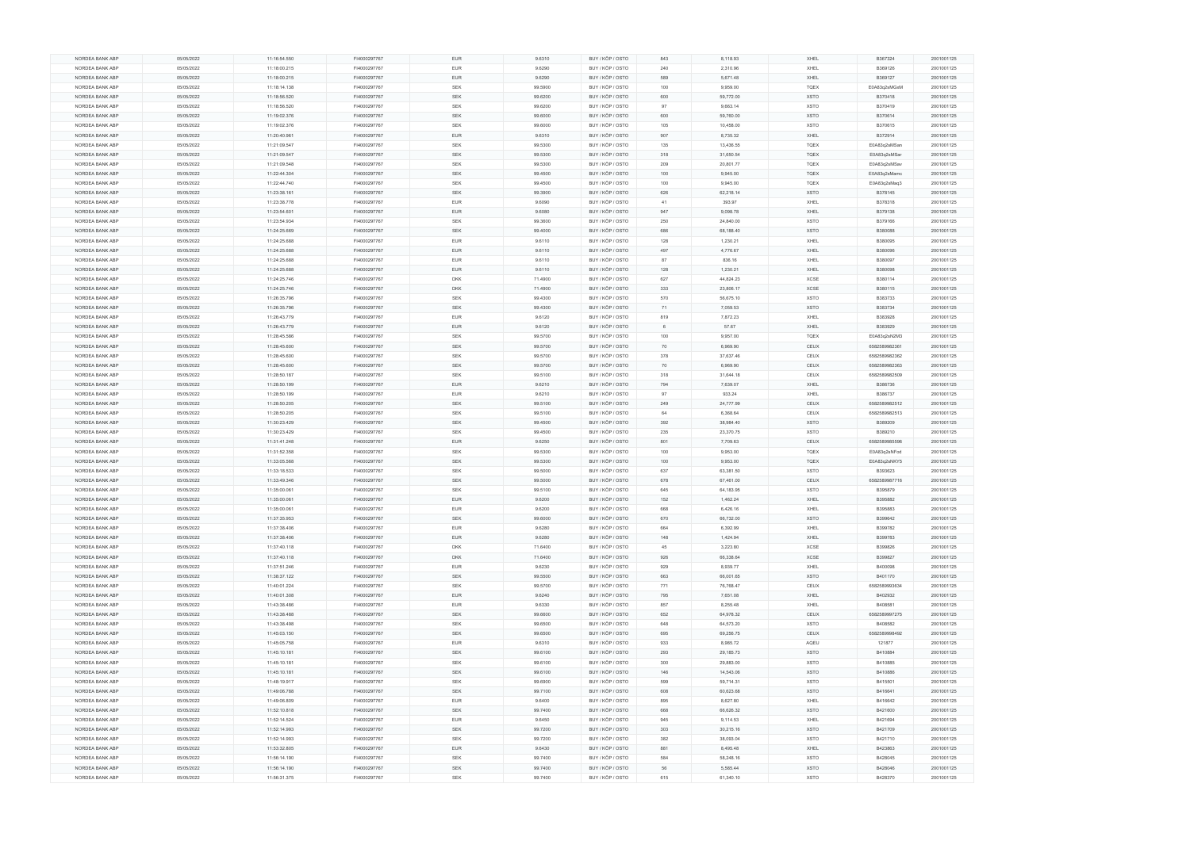| NORDEA BANK ABP | 05/05/2022 | 11:16:54.550 | FI4000297767 | <b>EUR</b> | 9.6310  | BUY / KÖP / OSTO | 843 | 8,118.93  | XHEL        | B367324       | 2001001125 |
|-----------------|------------|--------------|--------------|------------|---------|------------------|-----|-----------|-------------|---------------|------------|
|                 | 05/05/2022 | 11:18:00.215 | FI4000297767 | <b>EUR</b> | 9.6290  | BUY / KÖP / OSTO | 240 | 2,310.96  | XHEL        | B369126       | 2001001125 |
| NORDEA BANK ABP | 05/05/2022 | 11:18:00.215 | FI4000297767 | <b>EUR</b> | 9.6290  | BUY / KÖP / OSTO | 589 | 5,671.48  | XHEL        | B369127       | 2001001125 |
| NORDEA BANK ABP | 05/05/2022 | 11:18:14.138 | FI4000297767 | <b>SEK</b> | 99.5900 | BUY / KÖP / OSTO | 100 | 9,959.00  | TQEX        | E0A83q2sMGxM  | 2001001125 |
|                 |            |              |              |            |         |                  |     |           |             |               |            |
| NORDEA BANK ABP | 05/05/2022 | 11:18:56.520 | FI4000297767 | SEK        | 99.6200 | BUY / KÖP / OSTO | 600 | 59,772.00 | <b>XSTO</b> | B370418       | 2001001125 |
| NORDEA BANK ABP | 05/05/2022 | 11:18:56.520 | FI4000297767 | <b>SEK</b> | 99.6200 | BUY / KÖP / OSTO | 97  | 9,663.14  | <b>XSTO</b> | B370419       | 2001001125 |
| NORDEA BANK ABP | 05/05/2022 | 11:19:02.376 | FI4000297767 | <b>SEK</b> | 99.6000 | BUY / KÖP / OSTO | 600 | 59,760.00 | <b>XSTO</b> | B370614       | 2001001125 |
| NORDEA BANK ABP | 05/05/2022 | 11:19:02.376 | FI4000297767 | <b>SEK</b> | 99.6000 | BUY / KÖP / OSTO | 105 | 10,458.00 | <b>XSTO</b> | B370615       | 2001001125 |
| NORDEA BANK ABP | 05/05/2022 | 11:20:40.961 | FI4000297767 | <b>EUR</b> | 9.6310  | BUY / KÖP / OSTO | 907 | 8,735.32  | XHEL        | B372914       | 2001001125 |
|                 |            |              |              |            |         |                  |     |           |             |               |            |
| NORDEA BANK ABP | 05/05/2022 | 11:21:09.547 | FI4000297767 | SEK        | 99.5300 | BUY / KÖP / OSTO | 135 | 13,436.55 | TQEX        | E0A83q2sMSan  | 2001001125 |
| NORDEA BANK ABP | 05/05/2022 | 11:21:09.547 | FI4000297767 | <b>SEK</b> | 99.5300 | BUY / KÖP / OSTO | 318 | 31,650.54 | <b>TQEX</b> | E0A83q2sMSar  | 2001001125 |
| NORDEA BANK ABP | 05/05/2022 | 11:21:09.548 | FI4000297767 | <b>SEK</b> | 99.5300 | BUY / KÖP / OSTO | 209 | 20,801.77 | <b>TQEX</b> | E0A83q2sMSav  | 2001001125 |
| NORDEA BANK ABP | 05/05/2022 | 11:22:44.304 | FI4000297767 | SEK        | 99.4500 | BUY / KÖP / OSTO | 100 | 9,945.00  | TQEX        | E0A83q2sMamc  | 2001001125 |
|                 |            |              |              |            |         |                  |     |           |             |               |            |
| NORDEA BANK ABP | 05/05/2022 | 11:22:44.740 | FI4000297767 | <b>SEK</b> | 99.4500 | BUY / KÖP / OSTO | 100 | 9,945.00  | TQEX        | E0A83q2sMaq3  | 2001001125 |
| NORDEA BANK ABP | 05/05/2022 | 11:23:38.161 | FI4000297767 | SEK        | 99.3900 | BUY / KÖP / OSTO | 626 | 62,218.14 | <b>XSTO</b> | B378145       | 2001001125 |
| NORDEA BANK ABP | 05/05/2022 | 11:23:38.778 | FI4000297767 | <b>EUR</b> | 9.6090  | BUY / KÖP / OSTO | 41  | 393.97    | XHEL        | B378318       | 2001001125 |
| NORDEA BANK ABP | 05/05/2022 | 11:23:54.601 | FI4000297767 | <b>EUR</b> | 9.6080  | BUY / KÖP / OSTO | 947 | 9,098.78  | XHEL        | B379138       | 2001001125 |
| NORDEA BANK ABP | 05/05/2022 | 11:23:54.934 | FI4000297767 | <b>SEK</b> | 99.3600 | BUY / KÖP / OSTO | 250 | 24,840.00 | <b>XSTO</b> | B379166       | 2001001125 |
|                 |            |              |              |            |         |                  |     |           |             |               |            |
| NORDEA BANK ABP | 05/05/2022 | 11:24:25.669 | FI4000297767 | SEK        | 99.4000 | BUY / KÖP / OSTO | 686 | 68,188.40 | <b>XSTO</b> | B380088       | 2001001125 |
| NORDEA BANK ABP | 05/05/2022 | 11:24:25.688 | FI4000297767 | <b>EUR</b> | 9.6110  | BUY / KÖP / OSTO | 128 | 1,230.21  | XHEL        | B380095       | 2001001125 |
| NORDEA BANK ABP | 05/05/2022 | 11:24:25.688 | FI4000297767 | <b>EUR</b> | 9.6110  | BUY / KÖP / OSTO | 497 | 4,776.67  | XHEL        | B380096       | 2001001125 |
| NORDEA BANK ABP | 05/05/2022 | 11:24:25.688 | FI4000297767 | <b>EUR</b> | 9.6110  | BUY / KÖP / OSTO | 87  | 836.16    | XHEL        | B380097       | 2001001125 |
| NORDEA BANK ABP |            |              |              | <b>EUR</b> |         |                  |     |           | XHEL        |               |            |
|                 | 05/05/2022 | 11:24:25.688 | FI4000297767 |            | 9.6110  | BUY / KÖP / OSTO | 128 | 1,230.21  |             | B380098       | 2001001125 |
| NORDEA BANK ABP | 05/05/2022 | 11:24:25.746 | FI4000297767 | <b>DKK</b> | 71.4900 | BUY / KÖP / OSTO | 627 | 44,824.23 | XCSE        | B380114       | 2001001125 |
| NORDEA BANK ABP | 05/05/2022 | 11:24:25.746 | FI4000297767 | <b>DKK</b> | 71.4900 | BUY / KÖP / OSTO | 333 | 23,806.17 | XCSE        | B380115       | 2001001125 |
| NORDEA BANK ABP | 05/05/2022 | 11:26:35.796 | FI4000297767 | <b>SEK</b> | 99.4300 | BUY / KÖP / OSTO | 570 | 56,675.10 | <b>XSTO</b> | B383733       | 2001001125 |
| NORDEA BANK ABP | 05/05/2022 | 11:26:35.796 | FI4000297767 | <b>SEK</b> | 99.4300 | BUY / KÖP / OSTO | 71  | 7,059.53  | <b>XSTO</b> | B383734       | 2001001125 |
|                 |            |              |              |            |         |                  |     |           |             |               |            |
| NORDEA BANK ABP | 05/05/2022 | 11:26:43.779 | FI4000297767 | <b>EUR</b> | 9.6120  | BUY / KÖP / OSTO | 819 | 7,872.23  | XHEL        | B383928       | 2001001125 |
| NORDEA BANK ABP | 05/05/2022 | 11:26:43.779 | FI4000297767 | <b>EUR</b> | 9.6120  | BUY / KÖP / OSTO | 6   | 57.67     | XHEL        | B383929       | 2001001125 |
| NORDEA BANK ABP | 05/05/2022 | 11:28:45.586 | FI4000297767 | SEK        | 99.5700 | BUY / KÖP / OSTO | 100 | 9,957.00  | TQEX        | E0A83q2sN2M3  | 2001001125 |
| NORDEA BANK ABP | 05/05/2022 | 11:28:45.600 | FI4000297767 | <b>SEK</b> | 99.5700 | BUY / KÖP / OSTO | 70  | 6,969.90  | CEUX        | 6582589982361 | 2001001125 |
| NORDEA BANK ABP | 05/05/2022 | 11:28:45.600 | FI4000297767 | <b>SEK</b> | 99.5700 | BUY / KÖP / OSTO | 378 | 37,637.46 | CEUX        | 6582589982362 | 2001001125 |
|                 |            |              |              |            |         |                  |     |           |             |               |            |
| NORDEA BANK ABP | 05/05/2022 | 11:28:45.600 | FI4000297767 | <b>SEK</b> | 99.5700 | BUY / KÖP / OSTO | 70  | 6,969.90  | CEUX        | 6582589982363 | 2001001125 |
| NORDEA BANK ABP | 05/05/2022 | 11:28:50.187 | FI4000297767 | <b>SEK</b> | 99.5100 | BUY / KÖP / OSTO | 318 | 31,644.18 | CEUX        | 6582589982509 | 2001001125 |
| NORDEA BANK ABP | 05/05/2022 | 11:28:50.199 | FI4000297767 | <b>EUR</b> | 9.6210  | BUY / KÖP / OSTO | 794 | 7,639.07  | XHEL        | B386736       | 2001001125 |
| NORDEA BANK ABP | 05/05/2022 | 11:28:50.199 | FI4000297767 | <b>EUR</b> | 9.6210  | BUY / KÖP / OSTO | 97  | 933.24    | XHEL        | B386737       | 2001001125 |
| NORDEA BANK ABP | 05/05/2022 | 11:28:50.205 | FI4000297767 | <b>SEK</b> |         | BUY / KÖP / OSTO | 249 | 24,777.99 | CEUX        |               | 2001001125 |
|                 |            |              |              |            | 99.5100 |                  |     |           |             | 6582589982512 |            |
| NORDEA BANK ABP | 05/05/2022 | 11:28:50.205 | FI4000297767 | <b>SEK</b> | 99.5100 | BUY / KÖP / OSTO | 64  | 6,368.64  | CEUX        | 6582589982513 | 2001001125 |
| NORDEA BANK ABP | 05/05/2022 | 11:30:23.429 | FI4000297767 | SEK        | 99.4500 | BUY / KÖP / OSTO | 392 | 38,984.40 | <b>XSTO</b> | B389209       | 2001001125 |
| NORDEA BANK ABP | 05/05/2022 | 11:30:23.429 | FI4000297767 | <b>SEK</b> | 99.4500 | BUY / KÖP / OSTO | 235 | 23,370.75 | <b>XSTO</b> | B389210       | 2001001125 |
| NORDEA BANK ABP | 05/05/2022 | 11:31:41.248 | FI4000297767 | <b>EUR</b> | 9.6250  | BUY / KÖP / OSTO | 801 | 7,709.63  | CEUX        | 6582589985596 | 2001001125 |
|                 |            |              |              |            |         |                  |     |           |             |               |            |
|                 |            |              |              |            |         |                  |     |           |             |               |            |
| NORDEA BANK ABP | 05/05/2022 | 11:31:52.358 | FI4000297767 | <b>SEK</b> | 99.5300 | BUY / KÖP / OSTO | 100 | 9,953.00  | TQEX        | E0A83q2sNFod  | 2001001125 |
| NORDEA BANK ABP | 05/05/2022 | 11:33:05.568 | FI4000297767 | <b>SEK</b> | 99.5300 | BUY / KÖP / OSTO | 100 | 9,953.00  | <b>TQEX</b> | E0A83q2sNKY5  | 2001001125 |
| NORDEA BANK ABP | 05/05/2022 | 11:33:18.533 | FI4000297767 | SEK        | 99.5000 | BUY / KÖP / OSTO | 637 | 63,381.50 | <b>XSTO</b> | B393623       | 2001001125 |
| NORDEA BANK ABP | 05/05/2022 | 11:33:49.346 | FI4000297767 | SEK        | 99.5000 | BUY / KÖP / OSTO | 678 | 67,461.00 | CEUX        | 6582589987716 | 2001001125 |
|                 |            |              |              |            |         |                  |     |           |             |               |            |
| NORDEA BANK ABP | 05/05/2022 | 11:35:00.061 | FI4000297767 | <b>SEK</b> | 99.5100 | BUY / KÖP / OSTO | 645 | 64,183.95 | <b>XSTO</b> | B395879       | 2001001125 |
| NORDEA BANK ABP | 05/05/2022 | 11:35:00.061 | FI4000297767 | <b>EUR</b> | 9.6200  | BUY / KÖP / OSTO | 152 | 1,462.24  | XHEL        | B395882       | 2001001125 |
| NORDEA BANK ABP | 05/05/2022 | 11:35:00.061 | FI4000297767 | <b>EUR</b> | 9.6200  | BUY / KÖP / OSTO | 668 | 6,426.16  | XHEL        | B395883       | 2001001125 |
| NORDEA BANK ABP | 05/05/2022 | 11:37:35.953 | FI4000297767 | SEK        | 99.6000 | BUY / KÖP / OSTO | 670 | 66,732.00 | <b>XSTO</b> | B399642       | 2001001125 |
| NORDEA BANK ABP | 05/05/2022 | 11:37:38.406 | FI4000297767 | <b>EUR</b> | 9.6280  | BUY / KÖP / OSTO | 664 | 6,392.99  | XHEL        | B399782       | 2001001125 |
|                 |            |              |              | <b>EUR</b> | 9.6280  |                  | 148 | 1,424.94  | XHEL        | B399783       |            |
| NORDEA BANK ABP | 05/05/2022 | 11:37:38.406 | FI4000297767 |            |         | BUY / KÖP / OSTO |     |           |             |               | 2001001125 |
| NORDEA BANK ABP | 05/05/2022 | 11:37:40.118 | FI4000297767 | <b>DKK</b> | 71.6400 | BUY / KÖP / OSTO | 45  | 3,223.80  | <b>XCSE</b> | B399826       | 2001001125 |
| NORDEA BANK ABP | 05/05/2022 | 11:37:40.118 | FI4000297767 | <b>DKK</b> | 71.6400 | BUY / KÖP / OSTO | 926 | 66,338.64 | XCSE        | B399827       | 2001001125 |
| NORDEA BANK ABP | 05/05/2022 | 11:37:51.246 | FI4000297767 | <b>EUR</b> | 9.6230  | BUY / KÖP / OSTO | 929 | 8,939.77  | XHEL        | B400098       | 2001001125 |
| NORDEA BANK ABP | 05/05/2022 | 11:38:37.122 | FI4000297767 | SEK        | 99.5500 | BUY / KÖP / OSTO | 663 | 66,001.65 | <b>XSTO</b> | B401170       | 2001001125 |
| NORDEA BANK ABP | 05/05/2022 | 11:40:01.224 | FI4000297767 | <b>SEK</b> | 99.5700 | BUY / KÖP / OSTO | 771 | 76,768.47 | CEUX        | 6582589993634 | 2001001125 |
|                 |            |              |              |            |         |                  |     |           |             |               |            |
| NORDEA BANK ABP | 05/05/2022 | 11:40:01.308 | FI4000297767 | <b>EUR</b> | 9.6240  | BUY / KÖP / OSTO | 795 | 7,651.08  | XHEL        | B402932       | 2001001125 |
| NORDEA BANK ABP | 05/05/2022 | 11:43:38.486 | FI4000297767 | <b>EUR</b> | 9.6330  | BUY / KÖP / OSTO | 857 | 8,255.48  | XHEL        | B408581       | 2001001125 |
| NORDEA BANK ABP | 05/05/2022 | 11:43:38.488 | FI4000297767 | <b>SEK</b> | 99.6600 | BUY / KÖP / OSTO | 652 | 64,978.32 | CEUX        | 6582589997275 | 2001001125 |
| NORDEA BANK ABP | 05/05/2022 | 11:43:38.498 | FI4000297767 | SEK        | 99.6500 | BUY / KÖP / OSTO | 648 | 64,573.20 | XSTO        | B408582       | 2001001125 |
| NORDEA BANK ABP |            | 11:45:03.150 | FI4000297767 | <b>SEK</b> | 99.6500 |                  | 695 | 69,256.75 | CEUX        | 6582589998492 | 2001001125 |
|                 | 05/05/2022 |              |              |            |         | BUY / KÖP / OSTO |     |           |             |               |            |
| NORDEA BANK ABP | 05/05/2022 | 11:45:05.758 | FI4000297767 | <b>EUR</b> | 9.6310  | BUY / KÖP / OSTO | 933 | 8,985.72  | AQEU        | 121877        | 2001001125 |
| NORDEA BANK ABP | 05/05/2022 | 11:45:10.181 | FI4000297767 | <b>SEK</b> | 99.6100 | BUY / KÖP / OSTO | 293 | 29,185.73 | XSTO        | B410884       | 2001001125 |
| NORDEA BANK ABP | 05/05/2022 | 11:45:10.181 | FI4000297767 | SEK        | 99.6100 | BUY / KÖP / OSTO | 300 | 29,883.00 | XSTO        | B410885       | 2001001125 |
| NORDEA BANK ABP | 05/05/2022 | 11:45:10.181 | FI4000297767 | <b>SEK</b> | 99.6100 | BUY / KÖP / OSTO | 146 | 14,543.06 | <b>XSTO</b> | B410886       | 2001001125 |
| NORDEA BANK ABP | 05/05/2022 | 11:48:19.917 | FI4000297767 | <b>SEK</b> | 99.6900 | BUY / KÖP / OSTO | 599 | 59,714.31 | XSTO        | B415501       | 2001001125 |
|                 |            |              |              |            |         |                  |     |           |             |               |            |
| NORDEA BANK ABP | 05/05/2022 | 11:49:06.788 | FI4000297767 | SEK        | 99.7100 | BUY / KÖP / OSTO | 608 | 60,623.68 | <b>XSTO</b> | B416641       | 2001001125 |
| NORDEA BANK ABP | 05/05/2022 | 11:49:06.809 | FI4000297767 | <b>EUR</b> | 9.6400  | BUY / KÖP / OSTO | 895 | 8,627.80  | XHEL        | B416642       | 2001001125 |
| NORDEA BANK ABP | 05/05/2022 | 11:52:10.818 | FI4000297767 | SEK        | 99.7400 | BUY / KÖP / OSTO | 668 | 66,626.32 | <b>XSTO</b> | B421600       | 2001001125 |
| NORDEA BANK ABP | 05/05/2022 | 11:52:14.524 | FI4000297767 | <b>EUR</b> | 9.6450  | BUY / KÖP / OSTO | 945 | 9,114.53  | XHEL        | B421694       | 2001001125 |
| NORDEA BANK ABP | 05/05/2022 | 11:52:14.993 | FI4000297767 | <b>SEK</b> | 99.7200 | BUY / KÖP / OSTO | 303 | 30,215.16 | <b>XSTO</b> | B421709       | 2001001125 |
|                 |            |              |              |            |         |                  |     |           |             |               |            |
| NORDEA BANK ABP | 05/05/2022 | 11:52:14.993 | FI4000297767 | SEK        | 99.7200 | BUY / KÖP / OSTO | 382 | 38,093.04 | XSTO        | B421710       | 2001001125 |
| NORDEA BANK ABP | 05/05/2022 | 11:53:32.805 | FI4000297767 | <b>EUR</b> | 9.6430  | BUY / KÖP / OSTO | 881 | 8,495.48  | XHEL        | B423863       | 2001001125 |
| NORDEA BANK ABP | 05/05/2022 | 11:56:14.190 | FI4000297767 | SEK        | 99.7400 | BUY / KÖP / OSTO | 584 | 58,248.16 | <b>XSTO</b> | B428045       | 2001001125 |
| NORDEA BANK ABP | 05/05/2022 | 11:56:14.190 | FI4000297767 | <b>SEK</b> | 99.7400 | BUY / KÖP / OSTO | 56  | 5,585.44  | XSTO        | B428046       | 2001001125 |
| NORDEA BANK ABP | 05/05/2022 | 11:56:31.375 | FI4000297767 | <b>SEK</b> | 99.7400 | BUY / KÖP / OSTO | 615 | 61,340.10 | <b>XSTO</b> | B428370       | 2001001125 |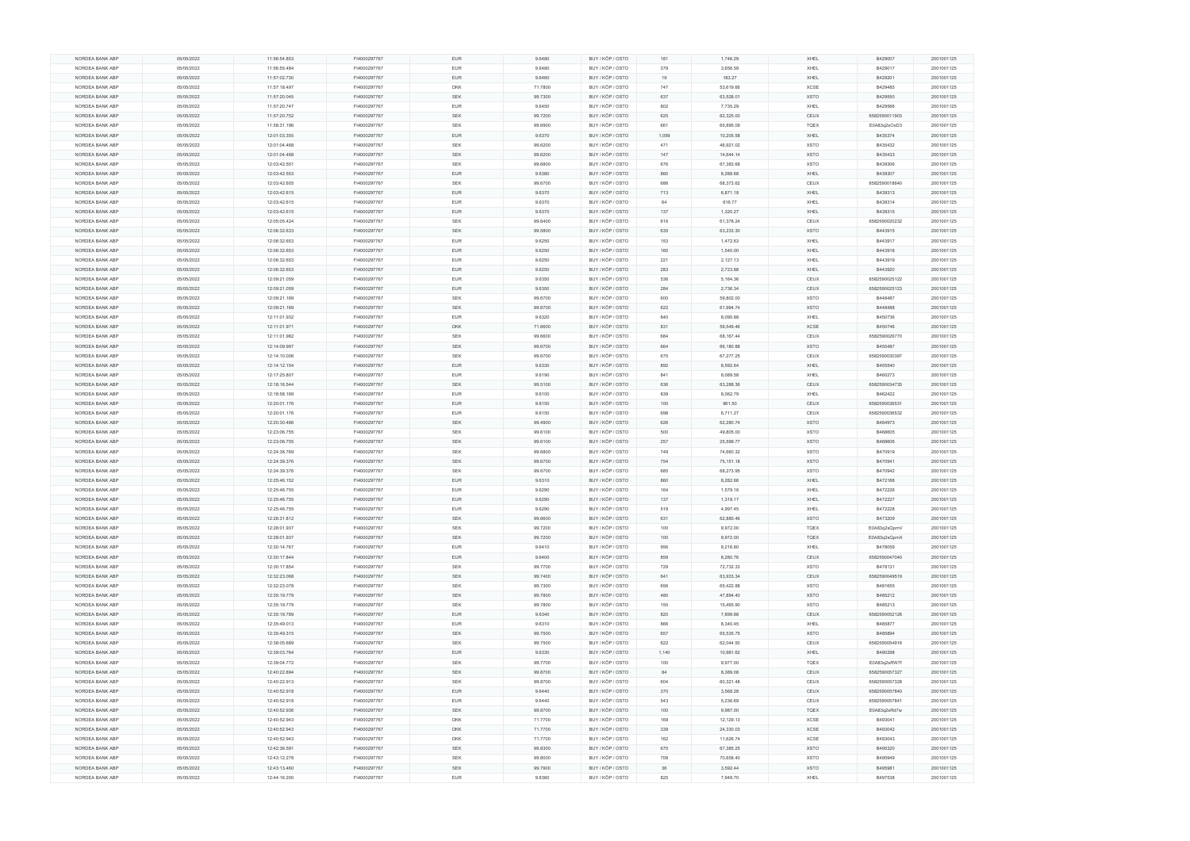|                 | 05/05/2022 | 11:56:54.853 | FI4000297767 | <b>EUR</b> | 9.6480  | BUY / KÖP / OSTO | 181   | 1,746.29  | XHEL        | B429007       | 2001001125 |
|-----------------|------------|--------------|--------------|------------|---------|------------------|-------|-----------|-------------|---------------|------------|
| NORDEA BANK ABP | 05/05/2022 | 11:56:55.484 | FI4000297767 | <b>EUR</b> | 9.6480  | BUY / KÖP / OSTO | 379   | 3,656.59  | XHEL        | B429017       | 2001001125 |
| NORDEA BANK ABP | 05/05/2022 | 11:57:02.730 | FI4000297767 | <b>EUR</b> | 9.6460  | BUY / KÖP / OSTO | 19    | 183.27    | XHEL        | B429201       | 2001001125 |
| NORDEA BANK ABP | 05/05/2022 | 11:57:18.497 | FI4000297767 | <b>DKK</b> | 71.7800 | BUY / KÖP / OSTO | 747   | 53,619.66 | XCSE        | B429485       | 2001001125 |
|                 |            |              |              |            |         |                  |       |           |             |               |            |
| NORDEA BANK ABP | 05/05/2022 | 11:57:20.045 | FI4000297767 | <b>SEK</b> | 99.7300 | BUY / KÖP / OSTO | 637   | 63,528.01 | <b>XSTO</b> | B429550       | 2001001125 |
| NORDEA BANK ABP | 05/05/2022 | 11:57:20.747 | FI4000297767 | <b>EUR</b> | 9.6450  | BUY / KÖP / OSTO | 802   | 7,735.29  | XHEL        | B429566       | 2001001125 |
| NORDEA BANK ABP | 05/05/2022 | 11:57:20.752 | FI4000297767 | <b>SEK</b> | 99.7200 | BUY / KÖP / OSTO | 625   | 62,325.00 | CEUX        | 6582590011903 | 2001001125 |
| NORDEA BANK ABP | 05/05/2022 | 11:58:31.196 | FI4000297767 | <b>SEK</b> | 99.6900 | BUY / KÖP / OSTO | 661   | 65,895.09 | <b>TQEX</b> | E0A83q2sOxD3  | 2001001125 |
| NORDEA BANK ABP | 05/05/2022 | 12:01:03.355 | FI4000297767 | <b>EUR</b> | 9.6370  | BUY / KÖP / OSTO | 1,059 | 10,205.58 | XHEL        | B435374       | 2001001125 |
|                 |            |              |              |            |         |                  |       |           |             |               |            |
| NORDEA BANK ABP | 05/05/2022 | 12:01:04.468 | FI4000297767 | <b>SEK</b> | 99.6200 | BUY / KÖP / OSTO | 471   | 46,921.02 | <b>XSTO</b> | B435432       | 2001001125 |
| NORDEA BANK ABP | 05/05/2022 | 12:01:04.468 | FI4000297767 | <b>SEK</b> | 99.6200 | BUY / KÖP / OSTO | 147   | 14,644.14 | <b>XSTO</b> | B435433       | 2001001125 |
| NORDEA BANK ABP | 05/05/2022 | 12:03:42.551 | FI4000297767 | SEK        | 99.6800 | BUY / KÖP / OSTO | 676   | 67,383.68 | <b>XSTO</b> | B439306       | 2001001125 |
| NORDEA BANK ABP | 05/05/2022 | 12:03:42.553 | FI4000297767 | <b>EUR</b> | 9.6380  | BUY / KÖP / OSTO | 860   | 8,288.68  | XHEL        | B439307       | 2001001125 |
| NORDEA BANK ABP | 05/05/2022 | 12:03:42.605 | FI4000297767 | SEK        |         | BUY / KÖP / OSTO | 686   | 68,373.62 | CEUX        | 6582590018640 | 2001001125 |
|                 |            |              |              |            | 99.6700 |                  |       |           |             |               |            |
| NORDEA BANK ABP | 05/05/2022 | 12:03:42.615 | FI4000297767 | <b>EUR</b> | 9.6370  | BUY / KÖP / OSTO | 713   | 6,871.18  | XHEL        | B439313       | 2001001125 |
| NORDEA BANK ABP | 05/05/2022 | 12:03:42.615 | FI4000297767 | EUR        | 9.6370  | BUY / KÖP / OSTO | 64    | 616.77    | XHEL        | B439314       | 2001001125 |
| NORDEA BANK ABP | 05/05/2022 | 12:03:42.615 | FI4000297767 | EUR        | 9.6370  | BUY / KÖP / OSTO | 137   | 1,320.27  | XHEL        | B439315       | 2001001125 |
| NORDEA BANK ABP | 05/05/2022 | 12:05:05.424 | FI4000297767 | <b>SEK</b> | 99.6400 | BUY / KÖP / OSTO | 616   | 61,378.24 | CEUX        | 6582590020232 | 2001001125 |
|                 | 05/05/2022 | 12:06:32.633 | FI4000297767 | SEK        | 99.5800 | BUY / KÖP / OSTO | 635   | 63,233.30 | <b>XSTO</b> | B443915       | 2001001125 |
| NORDEA BANK ABP |            |              |              |            |         |                  |       |           |             |               |            |
| NORDEA BANK ABP | 05/05/2022 | 12:06:32.653 | FI4000297767 | <b>EUR</b> | 9.6250  | BUY / KÖP / OSTO | 153   | 1,472.63  | XHEL        | B443917       | 2001001125 |
| NORDEA BANK ABP | 05/05/2022 | 12:06:32.653 | FI4000297767 | <b>EUR</b> | 9.6250  | BUY / KÖP / OSTO | 160   | 1,540.00  | XHEL        | B443918       | 2001001125 |
| NORDEA BANK ABP | 05/05/2022 | 12:06:32.653 | FI4000297767 | EUR        | 9.6250  | BUY / KÖP / OSTO | 221   | 2,127.13  | XHEL        | B443919       | 2001001125 |
| NORDEA BANK ABP | 05/05/2022 | 12:06:32.653 | FI4000297767 | <b>EUR</b> | 9.6250  | BUY / KÖP / OSTO | 283   | 2,723.88  | XHEL        | B443920       | 2001001125 |
| NORDEA BANK ABP | 05/05/2022 | 12:09:21.059 | FI4000297767 | EUR        | 9.6350  | BUY / KÖP / OSTO | 536   | 5,164.36  | CEUX        | 6582590025122 | 2001001125 |
|                 |            |              |              |            |         |                  |       |           |             |               |            |
| NORDEA BANK ABP | 05/05/2022 | 12:09:21.059 | FI4000297767 | <b>EUR</b> | 9.6350  | BUY / KÖP / OSTO | 284   | 2,736.34  | CEUX        | 6582590025123 | 2001001125 |
| NORDEA BANK ABP | 05/05/2022 | 12:09:21.169 | FI4000297767 | <b>SEK</b> | 99.6700 | BUY / KÖP / OSTO | 600   | 59,802.00 | <b>XSTO</b> | B448487       | 2001001125 |
| NORDEA BANK ABP | 05/05/2022 | 12:09:21.169 | FI4000297767 | <b>SEK</b> | 99.6700 | BUY / KÖP / OSTO | 622   | 61,994.74 | <b>XSTO</b> | B448488       | 2001001125 |
| NORDEA BANK ABP | 05/05/2022 | 12:11:01.932 | FI4000297767 | <b>EUR</b> | 9.6320  | BUY / KÖP / OSTO | 840   | 8,090.88  | XHEL        | B450736       | 2001001125 |
|                 |            | 12:11:01.971 | FI4000297767 | <b>DKK</b> |         |                  |       | 59,549.46 |             | B450746       |            |
| NORDEA BANK ABP | 05/05/2022 |              |              |            | 71.6600 | BUY / KÖP / OSTO | 831   |           | <b>XCSE</b> |               | 2001001125 |
| NORDEA BANK ABP | 05/05/2022 | 12:11:01.982 | FI4000297767 | SEK        | 99.6600 | BUY / KÖP / OSTO | 684   | 68,167.44 | CEUX        | 6582590026770 | 2001001125 |
| NORDEA BANK ABP | 05/05/2022 | 12:14:09.997 | FI4000297767 | <b>SEK</b> | 99.6700 | BUY / KÖP / OSTO | 664   | 66,180.88 | <b>XSTO</b> | B455487       | 2001001125 |
| NORDEA BANK ABP | 05/05/2022 | 12:14:10.006 | FI4000297767 | SEK        | 99.6700 | BUY / KÖP / OSTO | 675   | 67,277.25 | CEUX        | 6582590030397 | 2001001125 |
| NORDEA BANK ABP | 05/05/2022 | 12:14:12.154 | FI4000297767 | <b>EUR</b> | 9.6330  | BUY / KÖP / OSTO | 892   | 8,592.64  | XHEL        | B455540       | 2001001125 |
| NORDEA BANK ABP | 05/05/2022 | 12:17:25.807 | FI4000297767 | EUR        | 9.6190  | BUY / KÖP / OSTO | 841   | 8,089.58  | XHEL        | B460273       | 2001001125 |
|                 |            |              |              |            |         |                  |       |           |             |               |            |
| NORDEA BANK ABP | 05/05/2022 | 12:18:16.544 | FI4000297767 | SEK        | 99.5100 | BUY / KÖP / OSTO | 636   | 63,288.36 | CEUX        | 6582590034735 | 2001001125 |
| NORDEA BANK ABP | 05/05/2022 | 12:18:58.169 | FI4000297767 | <b>EUR</b> | 9.6100  | BUY / KÖP / OSTO | 839   | 8,062.79  | XHEL        | B462422       | 2001001125 |
| NORDEA BANK ABP | 05/05/2022 | 12:20:01.176 | FI4000297767 | <b>EUR</b> | 9.6150  | BUY / KÖP / OSTO | 100   | 961.50    | <b>CEUX</b> | 6582590036531 | 2001001125 |
| NORDEA BANK ABP | 05/05/2022 | 12:20:01.176 | FI4000297767 | <b>EUR</b> | 9.6150  | BUY / KÖP / OSTO | 698   |           |             | 6582590036532 | 2001001125 |
|                 |            |              |              |            |         |                  |       | 6,711.27  | CEUX        |               |            |
|                 |            |              |              |            |         |                  |       |           |             |               |            |
| NORDEA BANK ABP | 05/05/2022 | 12:20:30.486 | FI4000297767 | SEK        | 99.4900 | BUY / KÖP / OSTO | 626   | 62,280.74 | <b>XSTO</b> | B464973       | 2001001125 |
| NORDEA BANK ABP | 05/05/2022 | 12:23:06.755 | FI4000297767 | <b>SEK</b> | 99.6100 | BUY / KÖP / OSTO | 500   | 49,805.00 | <b>XSTO</b> | B468605       | 2001001125 |
| NORDEA BANK ABP | 05/05/2022 | 12:23:06.755 | FI4000297767 | <b>SEK</b> | 99.6100 | BUY / KÖP / OSTO | 257   | 25,599.77 | <b>XSTO</b> | B468606       | 2001001125 |
| NORDEA BANK ABP | 05/05/2022 | 12:24:38.769 | FI4000297767 | SEK        | 99.6800 | BUY / KÖP / OSTO | 749   | 74,660.32 | <b>XSTO</b> | B470919       | 2001001125 |
| NORDEA BANK ABP | 05/05/2022 | 12:24:39.376 | FI4000297767 | <b>SEK</b> | 99.6700 | BUY / KÖP / OSTO | 754   | 75,151.18 | <b>XSTO</b> | B470941       | 2001001125 |
|                 |            |              |              |            |         |                  |       |           |             |               |            |
| NORDEA BANK ABP | 05/05/2022 | 12:24:39.376 | FI4000297767 | SEK        | 99.6700 | BUY / KÖP / OSTO | 685   | 68,273.95 | <b>XSTO</b> | B470942       | 2001001125 |
| NORDEA BANK ABP | 05/05/2022 | 12:25:46.152 | FI4000297767 | <b>EUR</b> | 9.6310  | BUY / KÖP / OSTO | 860   | 8,282.66  | XHEL        | B472188       | 2001001125 |
| NORDEA BANK ABP | 05/05/2022 | 12:25:46.755 | FI4000297767 | <b>EUR</b> | 9.6290  | BUY / KÖP / OSTO | 164   | 1,579.16  | XHEL        | B472226       | 2001001125 |
| NORDEA BANK ABP | 05/05/2022 | 12:25:46.755 | FI4000297767 | <b>EUR</b> | 9.6290  | BUY / KÖP / OSTO | 137   | 1,319.17  | XHEL        | B472227       | 2001001125 |
| NORDEA BANK ABP | 05/05/2022 | 12:25:46.755 | FI4000297767 | EUR        | 9.6290  | BUY / KÖP / OSTO | 519   | 4,997.45  | XHEL        | B472228       | 2001001125 |
| NORDEA BANK ABP | 05/05/2022 | 12:26:31.812 | FI4000297767 | <b>SEK</b> | 99.6600 | BUY / KÖP / OSTO | 631   | 62,885.46 | <b>XSTO</b> | B473209       | 2001001125 |
|                 |            |              |              |            |         |                  |       |           |             |               |            |
| NORDEA BANK ABP | 05/05/2022 | 12:28:01.937 | FI4000297767 | <b>SEK</b> | 99.7200 | BUY / KÖP / OSTO | 100   | 9,972.00  | <b>TQEX</b> | E0A83q2sQpmV  | 2001001125 |
| NORDEA BANK ABP | 05/05/2022 | 12:28:01.937 | FI4000297767 | SEK        | 99.7200 | BUY / KÖP / OSTO | 100   | 9,972.00  | <b>TQEX</b> | E0A83q2sQpmX  | 2001001125 |
| NORDEA BANK ABP | 05/05/2022 | 12:30:14.767 | FI4000297767 | <b>EUR</b> | 9.6410  | BUY / KÖP / OSTO | 956   | 9,216.80  | XHEL        | B478059       | 2001001125 |
| NORDEA BANK ABP | 05/05/2022 | 12:30:17.844 | FI4000297767 | <b>EUR</b> | 9.6400  | BUY / KÖP / OSTO | 859   | 8,280.76  | CEUX        | 6582590047040 | 2001001125 |
| NORDEA BANK ABP | 05/05/2022 | 12:30:17.854 | FI4000297767 | SEK        | 99.7700 | BUY / KÖP / OSTO | 729   | 72,732.33 | XSTO        | B478131       | 2001001125 |
|                 |            |              |              | SEK        |         |                  | 641   |           | CEUX        |               |            |
| NORDEA BANK ABP | 05/05/2022 | 12:32:23.068 | FI4000297767 |            | 99.7400 | BUY / KÖP / OSTO |       | 63,933.34 |             | 6582590049519 | 2001001125 |
| NORDEA BANK ABP | 05/05/2022 | 12:32:23.078 | FI4000297767 | SEK        | 99.7300 | BUY / KÖP / OSTO | 656   | 65,422.88 | <b>XSTO</b> | B481655       | 2001001125 |
| NORDEA BANK ABP | 05/05/2022 | 12:35:19.779 | FI4000297767 | SEK        | 99.7800 | BUY / KÖP / OSTO | 480   | 47,894.40 | <b>XSTO</b> | B485212       | 2001001125 |
| NORDEA BANK ABP | 05/05/2022 | 12:35:19.779 | FI4000297767 | <b>SEK</b> | 99.7800 | BUY / KÖP / OSTO | 155   | 15,465.90 | <b>XSTO</b> | B485213       | 2001001125 |
| NORDEA BANK ABP | 05/05/2022 | 12:35:19.789 | FI4000297767 | EUR        | 9.6340  | BUY / KÖP / OSTO | 820   | 7,899.88  | CEUX        | 6582590052126 | 2001001125 |
| NORDEA BANK ABP | 05/05/2022 | 12:35:49.013 | FI4000297767 | <b>EUR</b> | 9.6310  | BUY / KÖP / OSTO | 866   | 8,340.45  | XHEL        | B485877       | 2001001125 |
|                 |            |              |              |            |         |                  |       |           |             |               |            |
| NORDEA BANK ABP | 05/05/2022 | 12:35:49.315 | FI4000297767 | SEK        | 99.7500 | BUY / KÖP / OSTO | 657   | 65,535.75 | <b>XSTO</b> | B485894       | 2001001125 |
| NORDEA BANK ABP | 05/05/2022 | 12:38:05.689 | FI4000297767 | <b>SEK</b> | 99.7500 | BUY / KÖP / OSTO | 622   | 62,044.50 | CEUX        | 6582590054916 | 2001001125 |
| NORDEA BANK ABP | 05/05/2022 | 12:39:03.764 | FI4000297767 | <b>EUR</b> | 9.6330  | BUY / KÖP / OSTO | 1,140 | 10,981.62 | XHEL        | B490298       | 2001001125 |
| NORDEA BANK ABP | 05/05/2022 | 12:39:04.772 | FI4000297767 | SEK        | 99.7700 | BUY / KÖP / OSTO | 100   | 9,977.00  | TQEX        | E0A83q2sRW7f  | 2001001125 |
| NORDEA BANK ABP | 05/05/2022 | 12:40:22.894 | FI4000297767 | <b>SEK</b> | 99.8700 | BUY / KÖP / OSTO | 84    | 8,389.08  | CEUX        | 6582590057327 | 2001001125 |
|                 |            |              |              |            |         |                  |       |           |             |               |            |
| NORDEA BANK ABP | 05/05/2022 | 12:40:22.913 | FI4000297767 | <b>SEK</b> | 99.8700 | BUY / KÖP / OSTO | 604   | 60,321.48 | CEUX        | 6582590057328 | 2001001125 |
| NORDEA BANK ABP | 05/05/2022 | 12:40:52.918 | FI4000297767 | <b>EUR</b> | 9.6440  | BUY / KÖP / OSTO | 370   | 3,568.28  | CEUX        | 6582590057840 | 2001001125 |
| NORDEA BANK ABP | 05/05/2022 | 12:40:52.918 | FI4000297767 | <b>EUR</b> | 9.6440  | BUY / KÖP / OSTO | 543   | 5,236.69  | CEUX        | 6582590057841 | 2001001125 |
| NORDEA BANK ABP | 05/05/2022 | 12:40:52.936 | FI4000297767 | SEK        | 99.8700 | BUY / KÖP / OSTO | 100   | 9,987.00  | <b>TQEX</b> | E0A83q2sRd7w  | 2001001125 |
| NORDEA BANK ABP | 05/05/2022 | 12:40:52.943 | FI4000297767 | <b>DKK</b> | 71.7700 | BUY / KÖP / OSTO | 169   | 12,129.13 | <b>XCSE</b> | B493041       | 2001001125 |
|                 |            |              |              | <b>DKK</b> |         |                  |       |           | <b>XCSE</b> |               |            |
| NORDEA BANK ABP | 05/05/2022 | 12:40:52.943 | FI4000297767 |            | 71.7700 | BUY / KÖP / OSTO | 339   | 24,330.03 |             | B493042       | 2001001125 |
| NORDEA BANK ABP | 05/05/2022 | 12:40:52.943 | FI4000297767 | DKK        | 71.7700 | BUY / KÖP / OSTO | 162   | 11,626.74 | XCSE        | B493043       | 2001001125 |
| NORDEA BANK ABP | 05/05/2022 | 12:42:36.591 | FI4000297767 | <b>SEK</b> | 99.8300 | BUY / KÖP / OSTO | 675   | 67,385.25 | <b>XSTO</b> | B495320       | 2001001125 |
| NORDEA BANK ABP | 05/05/2022 | 12:43:12.278 | FI4000297767 | SEK        | 99.8000 | BUY / KÖP / OSTO | 708   | 70,658.40 | <b>XSTO</b> | B495949       | 2001001125 |
| NORDEA BANK ABP | 05/05/2022 | 12:43:13.460 | FI4000297767 | <b>SEK</b> | 99.7900 | BUY / KÖP / OSTO | 36    | 3,592.44  | <b>XSTO</b> | B495981       | 2001001125 |
| NORDEA BANK ABP | 05/05/2022 | 12:44:16.200 | FI4000297767 | <b>EUR</b> | 9.6360  | BUY / KÖP / OSTO | 825   | 7,949.70  | XHEL        | B497538       | 2001001125 |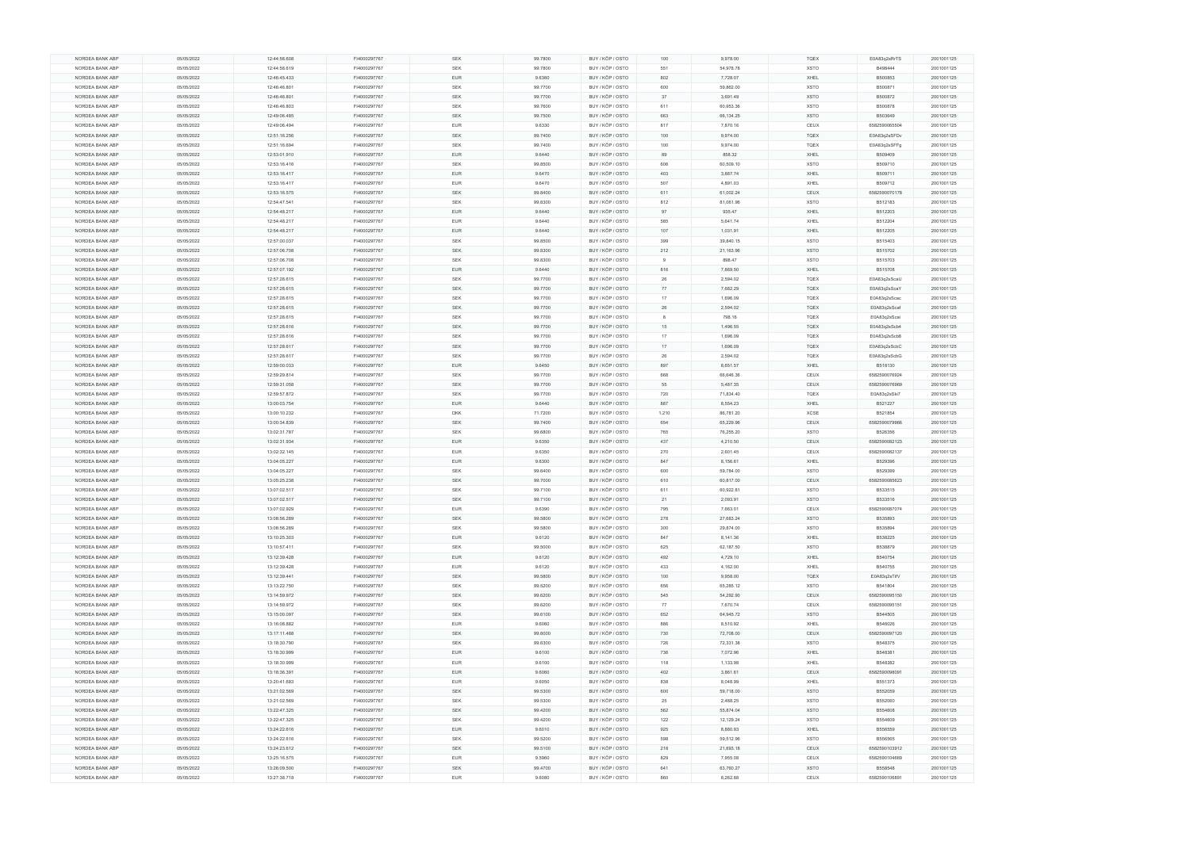| NORDEA BANK ABP | 05/05/2022 | 12:44:58.608 | FI4000297767 | SEK        | 99.7800 | BUY / KÖP / OSTO | 100   | 9,978.00  | <b>TQEX</b> | E0A83q2sRrTS  | 2001001125 |
|-----------------|------------|--------------|--------------|------------|---------|------------------|-------|-----------|-------------|---------------|------------|
| NORDEA BANK ABP | 05/05/2022 | 12:44:58.619 | FI4000297767 | <b>SEK</b> | 99.7800 | BUY / KÖP / OSTO | 551   | 54,978.78 | <b>XSTO</b> | B498444       | 2001001125 |
| NORDEA BANK ABP | 05/05/2022 | 12:46:45.433 | FI4000297767 | EUR        | 9.6360  | BUY / KÖP / OSTO | 802   | 7,728.07  | XHEL        | B500853       | 2001001125 |
| NORDEA BANK ABP | 05/05/2022 | 12:46:46.801 | FI4000297767 | SEK        | 99.7700 | BUY / KÖP / OSTO | 600   | 59,862.00 | <b>XSTO</b> | B500871       | 2001001125 |
|                 |            |              |              |            |         |                  |       |           |             |               |            |
| NORDEA BANK ABP | 05/05/2022 | 12:46:46.801 | FI4000297767 | <b>SEK</b> | 99.7700 | BUY / KÖP / OSTO | 37    | 3,691.49  | <b>XSTO</b> | B500872       | 2001001125 |
| NORDEA BANK ABP | 05/05/2022 | 12:46:46.803 | FI4000297767 | SEK        | 99.7600 | BUY / KÖP / OSTO | 611   | 60,953.36 | <b>XSTO</b> | B500878       | 2001001125 |
| NORDEA BANK ABP | 05/05/2022 | 12:49:06.485 | FI4000297767 | <b>SEK</b> | 99.7500 | BUY / KÖP / OSTO | 663   | 66,134.25 | <b>XSTO</b> | B503649       | 2001001125 |
| NORDEA BANK ABP | 05/05/2022 | 12:49:06.494 | FI4000297767 | <b>EUR</b> | 9.6330  | BUY / KÖP / OSTO | 817   | 7,870.16  | CEUX        | 6582590065504 | 2001001125 |
| NORDEA BANK ABP | 05/05/2022 | 12:51:16.256 | FI4000297767 | SEK        | 99.7400 | BUY / KÖP / OSTO | 100   | 9,974.00  | <b>TQEX</b> | E0A83q2sSFDv  | 2001001125 |
|                 |            |              |              |            |         |                  |       |           |             |               |            |
| NORDEA BANK ABP | 05/05/2022 | 12:51:16.694 | FI4000297767 | <b>SEK</b> | 99.7400 | BUY / KÖP / OSTO | 100   | 9,974.00  | <b>TQEX</b> | E0A83q2sSFFg  | 2001001125 |
| NORDEA BANK ABP | 05/05/2022 | 12:53:01.910 | FI4000297767 | <b>EUR</b> | 9.6440  | BUY / KÖP / OSTO | 89    | 858.32    | XHEL        | B509409       | 2001001125 |
| NORDEA BANK ABP | 05/05/2022 | 12:53:16.416 | FI4000297767 | SEK        | 99.8500 | BUY / KÖP / OSTO | 606   | 60,509.10 | <b>XSTO</b> | B509710       | 2001001125 |
| NORDEA BANK ABP | 05/05/2022 | 12:53:16.417 | FI4000297767 | <b>EUR</b> | 9.6470  | BUY / KÖP / OSTO | 403   | 3,887.74  | XHEL        | B509711       | 2001001125 |
| NORDEA BANK ABP | 05/05/2022 | 12:53:16.417 | FI4000297767 | EUR        | 9.6470  | BUY / KÖP / OSTO | 507   | 4,891.03  | XHEL        | B509712       | 2001001125 |
|                 |            |              |              |            |         |                  |       |           |             |               |            |
| NORDEA BANK ABP | 05/05/2022 | 12:53:16.575 | FI4000297767 | <b>SEK</b> | 99.8400 | BUY / KÖP / OSTO | 611   | 61,002.24 | CEUX        | 6582590070178 | 2001001125 |
| NORDEA BANK ABP | 05/05/2022 | 12:54:47.541 | FI4000297767 | SEK        | 99.8300 | BUY / KÖP / OSTO | 812   | 81,061.96 | <b>XSTO</b> | B512183       | 2001001125 |
| NORDEA BANK ABP | 05/05/2022 | 12:54:48.217 | FI4000297767 | EUR        | 9.6440  | BUY / KÖP / OSTO | 97    | 935.47    | XHEL        | B512203       | 2001001125 |
| NORDEA BANK ABP | 05/05/2022 | 12:54:48.217 | FI4000297767 | <b>EUR</b> | 9.6440  | BUY / KÖP / OSTO | 585   | 5,641.74  | XHEL        | B512204       | 2001001125 |
| NORDEA BANK ABP | 05/05/2022 | 12:54:48.217 | FI4000297767 | EUR        | 9.6440  | BUY / KÖP / OSTO | 107   | 1,031.91  | XHEL        | B512205       | 2001001125 |
|                 |            |              |              |            |         |                  |       |           |             |               |            |
| NORDEA BANK ABP | 05/05/2022 | 12:57:00.037 | FI4000297767 | SEK        | 99.8500 | BUY / KÖP / OSTO | 399   | 39,840.15 | <b>XSTO</b> | B515403       | 2001001125 |
| NORDEA BANK ABP | 05/05/2022 | 12:57:06.708 | FI4000297767 | SEK        | 99.8300 | BUY / KÖP / OSTO | 212   | 21,163.96 | <b>XSTO</b> | B515702       | 2001001125 |
| NORDEA BANK ABP | 05/05/2022 | 12:57:06.708 | FI4000297767 | SEK        | 99.8300 | BUY / KÖP / OSTO |       | 898.47    | <b>XSTO</b> | B515703       | 2001001125 |
| NORDEA BANK ABP | 05/05/2022 | 12:57:07.192 | FI4000297767 | <b>EUR</b> | 9.6440  | BUY / KÖP / OSTO | 816   | 7,869.50  | XHEL        | B515708       | 2001001125 |
| NORDEA BANK ABP | 05/05/2022 | 12:57:28.615 | FI4000297767 | SEK        | 99.7700 | BUY / KÖP / OSTO | 26    | 2,594.02  | <b>TQEX</b> | E0A83q2sScaU  | 2001001125 |
|                 |            |              |              |            |         |                  |       |           |             |               |            |
| NORDEA BANK ABP | 05/05/2022 | 12:57:28.615 | FI4000297767 | SEK        | 99.7700 | BUY / KÖP / OSTO | 77    | 7,682.29  | <b>TQEX</b> | E0A83q2sScaY  | 2001001125 |
| NORDEA BANK ABP | 05/05/2022 | 12:57:28.615 | FI4000297767 | <b>SEK</b> | 99.7700 | BUY / KÖP / OSTO | 17    | 1,696.09  | <b>TQEX</b> | E0A83q2sScac  | 2001001125 |
| NORDEA BANK ABP | 05/05/2022 | 12:57:28.615 | FI4000297767 | <b>SEK</b> | 99.7700 | BUY / KÖP / OSTO | 26    | 2,594.02  | TQEX        | E0A83q2sScaf  | 2001001125 |
| NORDEA BANK ABP | 05/05/2022 | 12:57:28.615 | FI4000297767 | <b>SEK</b> | 99.7700 | BUY / KÖP / OSTO |       | 798.16    | <b>TQEX</b> | E0A83q2sScai  | 2001001125 |
| NORDEA BANK ABP | 05/05/2022 | 12:57:28.616 | FI4000297767 | SEK        | 99.7700 | BUY / KÖP / OSTO | 15    | 1,496.55  | <b>TQEX</b> | E0A83q2sScb4  | 2001001125 |
|                 |            |              |              |            |         | BUY / KÖP / OSTO | 17    |           |             |               |            |
| NORDEA BANK ABP | 05/05/2022 | 12:57:28.616 | FI4000297767 | SEK        | 99.7700 |                  |       | 1,696.09  | <b>TQEX</b> | E0A83q2sScb8  | 2001001125 |
| NORDEA BANK ABP | 05/05/2022 | 12:57:28.617 | FI4000297767 | SEK        | 99.7700 | BUY / KÖP / OSTO | 17    | 1,696.09  | <b>TQEX</b> | E0A83q2sScbC  | 2001001125 |
| NORDEA BANK ABP | 05/05/2022 | 12:57:28.617 | FI4000297767 | SEK        | 99.7700 | BUY / KÖP / OSTO | 26    | 2,594.02  | <b>TQEX</b> | E0A83q2sScbG  | 2001001125 |
| NORDEA BANK ABP | 05/05/2022 | 12:59:00.033 | FI4000297767 | <b>EUR</b> | 9.6450  | BUY / KÖP / OSTO | 897   | 8,651.57  | XHEL        | B518130       | 2001001125 |
| NORDEA BANK ABP | 05/05/2022 | 12:59:29.814 | FI4000297767 | SEK        | 99.7700 | BUY / KÖP / OSTO | 668   | 66,646.36 | CEUX        | 6582590076924 | 2001001125 |
| NORDEA BANK ABP | 05/05/2022 | 12:59:31.058 | FI4000297767 | SEK        | 99.7700 | BUY / KÖP / OSTO | 55    | 5,487.35  | CEUX        | 6582590076969 | 2001001125 |
|                 |            |              |              |            |         |                  |       |           |             |               |            |
| NORDEA BANK ABP | 05/05/2022 | 12:59:57.872 | FI4000297767 | SEK        | 99.7700 | BUY / KÖP / OSTO | 720   | 71,834.40 | <b>TQEX</b> | E0A83q2sSki7  | 2001001125 |
| NORDEA BANK ABP | 05/05/2022 | 13:00:03.754 | FI4000297767 | EUR        | 9.6440  | BUY / KÖP / OSTO | 887   | 8,554.23  | XHEL        | B521227       | 2001001125 |
| NORDEA BANK ABP | 05/05/2022 | 13:00:10.232 | FI4000297767 | <b>DKK</b> | 71.7200 | BUY / KÖP / OSTO | 1,210 | 86,781.20 | XCSE        | B521854       | 2001001125 |
| NORDEA BANK ABP | 05/05/2022 | 13:00:34.839 | FI4000297767 | SEK        | 99.7400 | BUY / KÖP / OSTO | 654   | 65,229.96 | CEUX        | 6582590079966 | 2001001125 |
| NORDEA BANK ABP | 05/05/2022 | 13:02:31.787 | FI4000297767 | SEK        | 99.6800 | BUY / KÖP / OSTO | 765   | 76,255.20 | XSTO        | B526356       | 2001001125 |
|                 |            |              |              |            |         |                  |       |           |             |               |            |
| NORDEA BANK ABP | 05/05/2022 | 13:02:31.934 | FI4000297767 | <b>EUR</b> | 9.6350  | BUY / KÖP / OSTO | 437   | 4,210.50  | CEUX        | 6582590082123 | 2001001125 |
| NORDEA BANK ABP | 05/05/2022 | 13:02:32.145 | FI4000297767 | EUR        | 9.6350  | BUY / KÖP / OSTO | 270   | 2,601.45  | CEUX        | 6582590082137 | 2001001125 |
| NORDEA BANK ABP | 05/05/2022 | 13:04:05.227 | FI4000297767 | EUR        | 9.6300  | BUY / KÖP / OSTO | 847   | 8,156.61  | XHEL        | B529396       | 2001001125 |
| NORDEA BANK ABP | 05/05/2022 | 13:04:05.227 | FI4000297767 | SEK        | 99.6400 | BUY / KÖP / OSTO | 600   | 59,784.00 | <b>XSTO</b> | B529399       | 2001001125 |
| NORDEA BANK ABP | 05/05/2022 | 13:05:25.238 | FI4000297767 | SEK        | 99.7000 | BUY / KÖP / OSTO | 610   | 60,817.00 | CEUX        | 6582590085623 | 2001001125 |
| NORDEA BANK ABP |            | 13:07:02.517 | FI4000297767 | <b>SEK</b> | 99.7100 | BUY / KÖP / OSTO | 611   | 60,922.81 | <b>XSTO</b> | B533515       | 2001001125 |
|                 | 05/05/2022 |              |              |            |         |                  |       |           |             |               |            |
| NORDEA BANK ABP | 05/05/2022 | 13:07:02.517 | FI4000297767 | <b>SEK</b> | 99.7100 | BUY / KÖP / OSTO | 21    | 2,093.91  | <b>XSTO</b> | B533516       | 2001001125 |
| NORDEA BANK ABP | 05/05/2022 | 13:07:02.929 | FI4000297767 | EUR        | 9.6390  | BUY / KÖP / OSTO | 795   | 7,663.01  | CEUX        | 6582590087074 | 2001001125 |
| NORDEA BANK ABP | 05/05/2022 | 13:08:56.289 | FI4000297767 | SEK        | 99.5800 | BUY / KÖP / OSTO | 278   | 27,683.24 | <b>XSTO</b> | B535893       | 2001001125 |
| NORDEA BANK ABP | 05/05/2022 | 13:08:56.289 | FI4000297767 | <b>SEK</b> | 99.5800 | BUY / KÖP / OSTO | 300   | 29,874.00 | <b>XSTO</b> | B535894       | 2001001125 |
| NORDEA BANK ABP | 05/05/2022 | 13:10:25.303 | FI4000297767 | EUR        | 9.6120  | BUY / KÖP / OSTO | 847   | 8,141.36  | XHEL        | B538225       | 2001001125 |
|                 |            |              |              |            |         |                  |       |           |             |               |            |
| NORDEA BANK ABP | 05/05/2022 | 13:10:57.411 | FI4000297767 | <b>SEK</b> | 99.5000 | BUY / KÖP / OSTO | 625   | 62,187.50 | XSTO        | B538879       | 2001001125 |
| NORDEA BANK ABP | 05/05/2022 | 13:12:39.428 | FI4000297767 | <b>EUR</b> | 9.6120  | BUY / KÖP / OSTO | 492   | 4,729.10  | XHEL        | B540754       | 2001001125 |
| NORDEA BANK ABP | 05/05/2022 | 13:12:39.428 | FI4000297767 | EUR        | 9.6120  | BUY / KÖP / OSTO | 433   | 4,162.00  | XHEL        | B540755       | 2001001125 |
| NORDEA BANK ABP | 05/05/2022 | 13:12:39.441 | FI4000297767 | SEK        | 99.5800 | BUY / KÖP / OSTO | 100   | 9,958.00  | <b>TQEX</b> | E0A83q2sTifV  | 2001001125 |
| NORDEA BANK ABP | 05/05/2022 | 13:13:22.750 | FI4000297767 | SEK        | 99.5200 | BUY / KÖP / OSTO | 656   | 65,285.12 | <b>XSTO</b> | B541804       | 2001001125 |
| NORDEA BANK ABP | 05/05/2022 | 13:14:59.972 | FI4000297767 | SEK        | 99.6200 | BUY / KÖP / OSTO | 545   | 54,292.90 | CEUX        | 6582590095150 | 2001001125 |
|                 |            |              |              |            |         |                  |       |           |             |               |            |
| NORDEA BANK ABP | 05/05/2022 | 13:14:59.972 | FI4000297767 | <b>SEK</b> | 99.6200 | BUY / KÖP / OSTO | 77    | 7,670.74  | CEUX        | 6582590095151 | 2001001125 |
| NORDEA BANK ABP | 05/05/2022 | 13:15:00.097 | FI4000297767 | SEK        | 99.6100 | BUY / KÖP / OSTO | 652   | 64,945.72 | <b>XSTO</b> | B544505       | 2001001125 |
| NORDEA BANK ABP | 05/05/2022 | 13:16:08.882 | FI4000297767 | <b>EUR</b> | 9.6060  | BUY / KÖP / OSTO | 886   | 8,510.92  | XHEL        | B546026       | 2001001125 |
| NORDEA BANK ABP | 05/05/2022 | 13:17:11.488 | FI4000297767 | SEK        | 99.6000 | BUY / KÖP / OSTO | 730   | 72,708.00 | CEUX        | 6582590097120 | 2001001125 |
| NORDEA BANK ABP | 05/05/2022 | 13:18:30.790 | FI4000297767 | <b>SEK</b> | 99.6300 | BUY / KÖP / OSTO | 726   | 72,331.38 | XSTO        | B548375       | 2001001125 |
|                 |            |              |              |            |         |                  |       |           |             |               |            |
| NORDEA BANK ABP | 05/05/2022 | 13:18:30.999 | FI4000297767 | <b>EUR</b> | 9.6100  | BUY / KÖP / OSTO | 736   | 7,072.96  | XHEL        | B548381       | 2001001125 |
| NORDEA BANK ABP | 05/05/2022 | 13:18:30.999 | FI4000297767 | EUR        | 9.6100  | BUY / KÖP / OSTO | 118   | 1,133.98  | XHEL        | B548382       | 2001001125 |
| NORDEA BANK ABP | 05/05/2022 | 13:18:36.391 | FI4000297767 | <b>EUR</b> | 9.6060  | BUY / KÖP / OSTO | 402   | 3,861.61  | CEUX        | 6582590098091 | 2001001125 |
| NORDEA BANK ABP | 05/05/2022 | 13:20:41.683 | FI4000297767 | <b>EUR</b> | 9.6050  | BUY / KÖP / OSTO | 838   | 8,048.99  | XHEL        | B551373       | 2001001125 |
| NORDEA BANK ABP | 05/05/2022 | 13:21:02.569 | FI4000297767 | SEK        | 99.5300 | BUY / KÖP / OSTO | 600   | 59,718.00 | <b>XSTO</b> | B552059       | 2001001125 |
|                 |            |              |              |            |         |                  |       |           |             |               |            |
| NORDEA BANK ABP | 05/05/2022 | 13:21:02.569 | FI4000297767 | <b>SEK</b> | 99.5300 | BUY / KÖP / OSTO | 25    | 2,488.25  | <b>XSTO</b> | B552060       | 2001001125 |
| NORDEA BANK ABP | 05/05/2022 | 13:22:47.325 | FI4000297767 | SEK        | 99.4200 | BUY / KÖP / OSTO | 562   | 55,874.04 | <b>XSTO</b> | B554608       | 2001001125 |
| NORDEA BANK ABP | 05/05/2022 | 13:22:47.325 | FI4000297767 | <b>SEK</b> | 99.4200 | BUY / KÖP / OSTO | 122   | 12,129.24 | <b>XSTO</b> | B554609       | 2001001125 |
| NORDEA BANK ABP | 05/05/2022 | 13:24:22.616 | FI4000297767 | <b>EUR</b> | 9.6010  | BUY / KÖP / OSTO | 925   | 8,880.93  | XHEL        | B556559       | 2001001125 |
| NORDEA BANK ABP | 05/05/2022 | 13:24:22.616 | FI4000297767 | SEK        | 99.5200 | BUY / KÖP / OSTO | 598   | 59,512.96 | XSTO        | B556565       | 2001001125 |
|                 |            |              |              |            |         |                  |       |           |             |               |            |
| NORDEA BANK ABP | 05/05/2022 | 13:24:23.612 | FI4000297767 | <b>SEK</b> | 99.5100 | BUY / KÖP / OSTO | 218   | 21,693.18 | CEUX        | 6582590103912 | 2001001125 |
| NORDEA BANK ABP | 05/05/2022 | 13:25:16.575 | FI4000297767 | EUR        | 9.5960  | BUY / KÖP / OSTO | 829   | 7,955.08  | CEUX        | 6582590104669 | 2001001125 |
| NORDEA BANK ABP | 05/05/2022 | 13:26:09.500 | FI4000297767 | <b>SEK</b> | 99.4700 | BUY / KÖP / OSTO | 641   | 63,760.27 | <b>XSTO</b> | B558548       | 2001001125 |
|                 |            |              |              | <b>EUR</b> | 9.6080  | BUY / KÖP / OSTO | 860   | 8,262.88  | CEUX        | 6582590106891 | 2001001125 |
| NORDEA BANK ABP | 05/05/2022 | 13:27:38.718 | FI4000297767 |            |         |                  |       |           |             |               |            |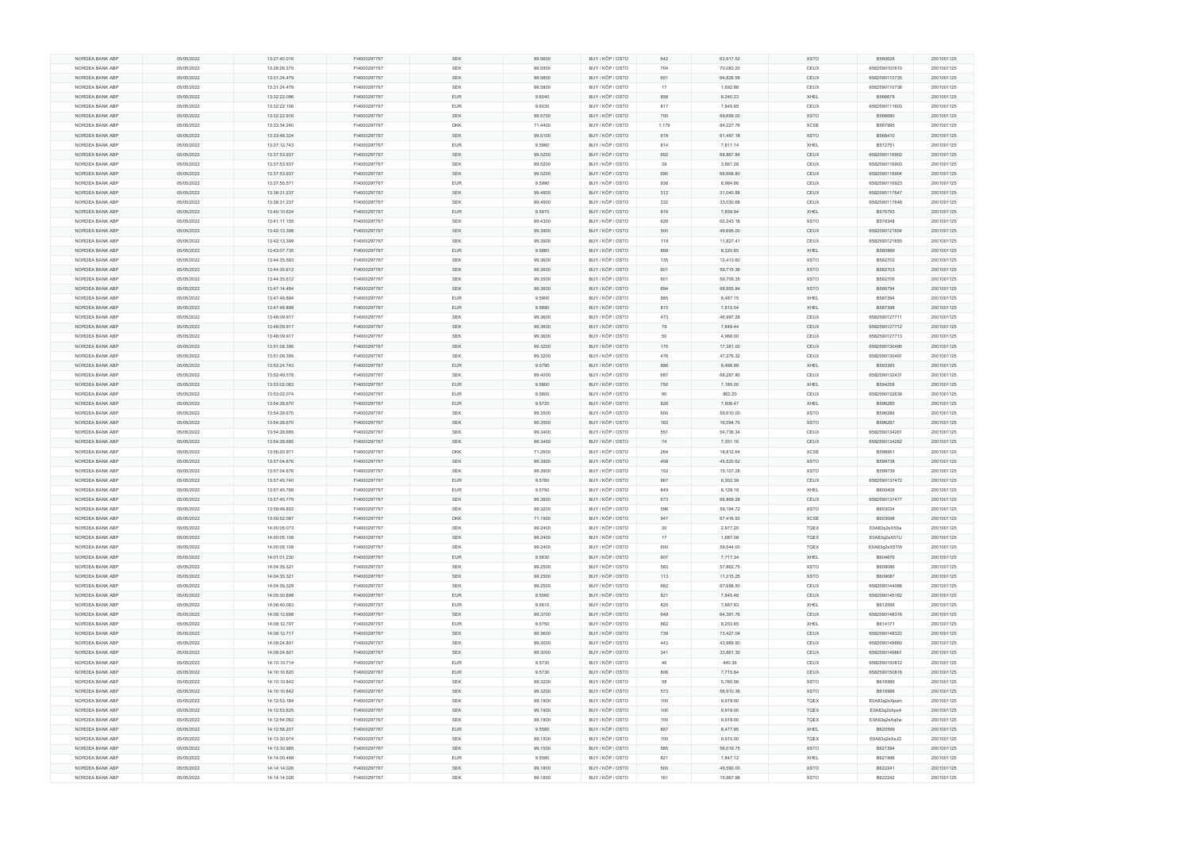| NORDEA BANK ABP | 05/05/2022 | 13:27:40.016 | FI4000297767 | <b>SEK</b> | 99.5600 | BUY / KÖP / OSTO | 642   | 63,917.52 | <b>XSTO</b> | B560628       | 2001001125 |
|-----------------|------------|--------------|--------------|------------|---------|------------------|-------|-----------|-------------|---------------|------------|
| NORDEA BANK ABP | 05/05/2022 | 13:28:26.375 | FI4000297767 | <b>SEK</b> | 99.5500 | BUY / KÖP / OSTO | 704   | 70,083.20 | CEUX        | 6582590107610 | 2001001125 |
|                 |            |              |              |            |         |                  |       |           |             |               |            |
| NORDEA BANK ABP | 05/05/2022 | 13:31:24.479 | FI4000297767 | SEK        | 99.5800 | BUY / KÖP / OSTO | 651   | 64,826.58 | CEUX        | 6582590110735 | 2001001125 |
| NORDEA BANK ABP | 05/05/2022 | 13:31:24.479 | FI4000297767 | SEK        | 99.5800 | BUY / KÖP / OSTO | 17    | 1,692.86  | CEUX        | 6582590110736 | 2001001125 |
| NORDEA BANK ABP | 05/05/2022 | 13:32:22.096 | FI4000297767 | <b>EUR</b> | 9.6040  | BUY / KÖP / OSTO | 858   | 8,240.23  | XHEL        | B566678       | 2001001125 |
|                 |            |              |              |            |         |                  |       |           |             |               |            |
| NORDEA BANK ABP | 05/05/2022 | 13:32:22.106 | FI4000297767 | EUR        | 9.6030  | BUY / KÖP / OSTO | 817   | 7,845.65  | CEUX        | 6582590111603 | 2001001125 |
| NORDEA BANK ABP | 05/05/2022 | 13:32:22.916 | FI4000297767 | <b>SEK</b> | 99.5700 | BUY / KÖP / OSTO | 700   | 69,699.00 | <b>XSTO</b> | B566690       | 2001001125 |
| NORDEA BANK ABP | 05/05/2022 | 13:33:34.240 | FI4000297767 | <b>DKK</b> | 71.4400 | BUY / KÖP / OSTO | 1,179 | 84,227.76 | XCSE        | B567995       | 2001001125 |
|                 |            |              |              |            |         |                  |       |           |             |               |            |
| NORDEA BANK ABP | 05/05/2022 | 13:33:48.324 | FI4000297767 | <b>SEK</b> | 99.5100 | BUY / KÖP / OSTO | 618   | 61,497.18 | <b>XSTO</b> | B568410       | 2001001125 |
| NORDEA BANK ABP | 05/05/2022 | 13:37:12.743 | FI4000297767 | <b>EUR</b> | 9.5960  | BUY / KÖP / OSTO | 814   | 7,811.14  | XHEL        | B572751       | 2001001125 |
| NORDEA BANK ABP | 05/05/2022 | 13:37:53.937 | FI4000297767 | <b>SEK</b> | 99.5200 | BUY / KÖP / OSTO | 692   | 68,867.84 | <b>CEUX</b> | 6582590116902 | 2001001125 |
|                 |            |              |              |            |         |                  |       |           |             |               |            |
| NORDEA BANK ABP | 05/05/2022 | 13:37:53.937 | FI4000297767 | SEK        | 99.5200 | BUY / KÖP / OSTO | 39    | 3,881.28  | CEUX        | 6582590116903 | 2001001125 |
| NORDEA BANK ABP | 05/05/2022 | 13:37:53.937 | FI4000297767 | SEK        | 99.5200 | BUY / KÖP / OSTO | 690   | 68,668.80 | CEUX        | 6582590116904 | 2001001125 |
| NORDEA BANK ABP | 05/05/2022 | 13:37:55.571 | FI4000297767 | <b>EUR</b> | 9.5990  | BUY / KÖP / OSTO | 936   | 8,984.66  | CEUX        | 6582590116923 | 2001001125 |
|                 |            |              |              |            |         |                  |       |           |             |               |            |
| NORDEA BANK ABP | 05/05/2022 | 13:38:31.237 | FI4000297767 | <b>SEK</b> | 99.4900 | BUY / KÖP / OSTO | 312   | 31,040.88 | CEUX        | 6582590117647 | 2001001125 |
| NORDEA BANK ABP | 05/05/2022 | 13:38:31.237 | FI4000297767 | <b>SEK</b> | 99.4900 | BUY / KÖP / OSTO | 332   | 33,030.68 | CEUX        | 6582590117648 | 2001001125 |
| NORDEA BANK ABP | 05/05/2022 | 13:40:10.624 | FI4000297767 | <b>EUR</b> | 9.5970  | BUY / KÖP / OSTO | 819   | 7,859.94  | XHEL        | B576793       | 2001001125 |
|                 |            |              |              |            |         |                  |       |           |             |               |            |
| NORDEA BANK ABP | 05/05/2022 | 13:41:11.155 | FI4000297767 | SEK        | 99.4300 | BUY / KÖP / OSTO | 626   | 62,243.18 | <b>XSTO</b> | B578348       | 2001001125 |
| NORDEA BANK ABP | 05/05/2022 | 13:42:13.398 | FI4000297767 | <b>SEK</b> | 99.3900 | BUY / KÖP / OSTO | 500   | 49,695.00 | <b>CEUX</b> | 6582590121654 | 2001001125 |
| NORDEA BANK ABP | 05/05/2022 | 13:42:13.399 | FI4000297767 | <b>SEK</b> | 99.3900 | BUY / KÖP / OSTO | 119   | 11,827.41 | CEUX        | 6582590121655 | 2001001125 |
|                 |            |              |              |            |         |                  |       |           |             |               |            |
| NORDEA BANK ABP | 05/05/2022 | 13:43:07.735 | FI4000297767 | <b>EUR</b> | 9.5860  | BUY / KÖP / OSTO | 868   | 8,320.65  | XHEL        | B580889       | 2001001125 |
| NORDEA BANK ABP | 05/05/2022 | 13:44:35.593 | FI4000297767 | SEK        | 99.3600 | BUY / KÖP / OSTO | 135   | 13,413.60 | <b>XSTO</b> | B582702       | 2001001125 |
| NORDEA BANK ABP | 05/05/2022 | 13:44:35.612 | FI4000297767 | SEK        | 99.3600 | BUY / KÖP / OSTO | 601   | 59,715.36 | <b>XSTO</b> | B582703       | 2001001125 |
|                 |            |              |              |            |         |                  |       |           |             |               |            |
| NORDEA BANK ABP | 05/05/2022 | 13:44:35.612 | FI4000297767 | <b>SEK</b> | 99.3500 | BUY / KÖP / OSTO | 601   | 59,709.35 | <b>XSTO</b> | B582706       | 2001001125 |
| NORDEA BANK ABP | 05/05/2022 | 13:47:14.484 | FI4000297767 | <b>SEK</b> | 99.3600 | BUY / KÖP / OSTO | 694   | 68,955.84 | <b>XSTO</b> | B586794       | 2001001125 |
| NORDEA BANK ABP | 05/05/2022 | 13:47:48.894 | FI4000297767 | <b>EUR</b> | 9.5900  | BUY / KÖP / OSTO | 885   | 8,487.15  | XHEL        | B587394       | 2001001125 |
|                 |            |              |              |            |         |                  |       |           |             |               |            |
| NORDEA BANK ABP | 05/05/2022 | 13:47:48.899 | FI4000297767 | <b>EUR</b> | 9.5890  | BUY / KÖP / OSTO | 815   | 7,815.04  | XHEL        | B587398       | 2001001125 |
| NORDEA BANK ABP | 05/05/2022 | 13:48:09.917 | FI4000297767 | SEK        | 99.3600 | BUY / KÖP / OSTO | 473   | 46,997.28 | CEUX        | 6582590127711 | 2001001125 |
| NORDEA BANK ABP | 05/05/2022 | 13:48:09.917 | FI4000297767 | <b>SEK</b> | 99.3600 | BUY / KÖP / OSTO | 79    | 7,849.44  | <b>CEUX</b> | 6582590127712 | 2001001125 |
|                 |            |              |              |            |         |                  |       |           |             |               |            |
| NORDEA BANK ABP | 05/05/2022 | 13:48:09.917 | FI4000297767 | SEK        | 99.3600 | BUY / KÖP / OSTO | 50    | 4,968.00  | CEUX        | 6582590127713 | 2001001125 |
| NORDEA BANK ABP | 05/05/2022 | 13:51:08.395 | FI4000297767 | <b>SEK</b> | 99.3200 | BUY / KÖP / OSTO | 175   | 17,381.00 | CEUX        | 6582590130490 | 2001001125 |
| NORDEA BANK ABP | 05/05/2022 | 13:51:08.395 | FI4000297767 | <b>SEK</b> | 99.3200 | BUY / KÖP / OSTO | 476   | 47,276.32 | CEUX        | 6582590130491 | 2001001125 |
|                 |            |              |              |            |         |                  |       |           |             |               |            |
| NORDEA BANK ABP | 05/05/2022 | 13:52:24.743 | FI4000297767 | <b>EUR</b> | 9.5790  | BUY / KÖP / OSTO | 886   | 8,486.99  | XHEL        | B593385       | 2001001125 |
| NORDEA BANK ABP | 05/05/2022 | 13:52:49.578 | FI4000297767 | <b>SEK</b> | 99.4000 | BUY / KÖP / OSTO | 687   | 68,287.80 | CEUX        | 6582590132431 | 2001001125 |
| NORDEA BANK ABP | 05/05/2022 | 13:53:02.063 | FI4000297767 | <b>EUR</b> | 9.5800  | BUY / KÖP / OSTO | 750   | 7,185.00  | XHEL        | B594258       | 2001001125 |
|                 |            |              |              |            |         |                  |       |           |             |               |            |
| NORDEA BANK ABP | 05/05/2022 | 13:53:02.074 | FI4000297767 | <b>EUR</b> | 9.5800  | BUY / KÖP / OSTO | 90    | 862.20    | CEUX        | 6582590132639 | 2001001125 |
| NORDEA BANK ABP | 05/05/2022 | 13:54:28.670 | FI4000297767 | <b>EUR</b> | 9.5720  | BUY / KÖP / OSTO | 826   | 7,906.47  | XHEL        | B596285       | 2001001125 |
| NORDEA BANK ABP | 05/05/2022 | 13:54:28.670 | FI4000297767 | SEK        | 99.3500 | BUY / KÖP / OSTO | 600   | 59,610.00 | <b>XSTO</b> | B596286       | 2001001125 |
|                 |            |              |              |            |         |                  |       |           |             |               |            |
| NORDEA BANK ABP | 05/05/2022 | 13:54:28.670 | FI4000297767 | <b>SEK</b> | 99.3500 | BUY / KÖP / OSTO | 162   | 16,094.70 | <b>XSTO</b> | B596287       | 2001001125 |
| NORDEA BANK ABP | 05/05/2022 | 13:54:28.685 | FI4000297767 | <b>SEK</b> | 99.3400 | BUY / KÖP / OSTO | 551   | 54,736.34 | CEUX        | 6582590134261 | 2001001125 |
| NORDEA BANK ABP | 05/05/2022 | 13:54:28.685 | FI4000297767 | <b>SEK</b> | 99.3400 | BUY / KÖP / OSTO | 74    | 7,351.16  | CEUX        | 6582590134262 | 2001001125 |
|                 |            |              |              |            |         |                  |       |           |             |               |            |
| NORDEA BANK ABP | 05/05/2022 | 13:56:20.971 | FI4000297767 | <b>DKK</b> | 71.2600 | BUY / KÖP / OSTO | 264   | 18,812.64 | XCSE        | B598951       | 2001001125 |
| NORDEA BANK ABP | 05/05/2022 | 13:57:04.676 | FI4000297767 | SEK        | 99.3900 | BUY / KÖP / OSTO | 458   | 45,520.62 | <b>XSTO</b> | B599738       | 2001001125 |
| NORDEA BANK ABP | 05/05/2022 | 13:57:04.676 | FI4000297767 | <b>SEK</b> | 99.3900 | BUY / KÖP / OSTO | 152   | 15,107.28 | <b>XSTO</b> | B599739       | 2001001125 |
| NORDEA BANK ABP | 05/05/2022 | 13:57:45.740 | FI4000297767 | <b>EUR</b> | 9.5760  | BUY / KÖP / OSTO | 867   | 8,302.39  | CEUX        | 6582590137472 | 2001001125 |
|                 |            |              |              |            |         |                  |       |           |             |               |            |
| NORDEA BANK ABP | 05/05/2022 | 13:57:45.768 | FI4000297767 | <b>EUR</b> | 9.5750  | BUY / KÖP / OSTO | 849   | 8,129.18  | XHEL        | B600406       | 2001001125 |
| NORDEA BANK ABP | 05/05/2022 | 13:57:45.779 | FI4000297767 | <b>SEK</b> | 99,3600 | BUY / KÖP / OSTO | 673   | 66,869.28 | CEUX        | 6582590137477 | 2001001125 |
| NORDEA BANK ABP |            |              |              |            |         | BUY / KÖP / OSTO |       |           |             |               |            |
|                 | 05/05/2022 | 13:59:48.802 | FI4000297767 | SEK        | 99.3200 |                  | 596   | 59,194.72 | <b>XSTO</b> | B603034       | 2001001125 |
| NORDEA BANK ABP | 05/05/2022 | 13:59:52.067 | FI4000297767 | <b>DKK</b> | 71.1900 | BUY / KÖP / OSTO | 947   | 67,416.93 | <b>XCSE</b> | B603098       | 2001001125 |
| NORDEA BANK ABP | 05/05/2022 | 14:00:05.073 | FI4000297767 | <b>SEK</b> | 99.2400 | BUY / KÖP / OSTO | 30    | 2,977.20  | <b>TQEX</b> | E0A83q2sX5Sa  | 2001001125 |
|                 |            |              |              |            |         |                  |       |           |             |               |            |
| NORDEA BANK ABP | 05/05/2022 | 14:00:05.108 | FI4000297767 | SEK        | 99.2400 | BUY / KÖP / OSTO | 17    | 1,687.08  | <b>TQEX</b> | E0A83q2sX5TU  | 2001001125 |
| NORDEA BANK ABP | 05/05/2022 | 14:00:05.108 | FI4000297767 | <b>SEK</b> | 99.2400 | BUY / KÖP / OSTO | 600   | 59,544.00 | <b>TQEX</b> | E0A83q2sX5TW  | 2001001125 |
| NORDEA BANK ABP | 05/05/2022 | 14:01:01.230 | FI4000297767 | <b>EUR</b> | 9.5630  | BUY / KÖP / OSTO | 807   | 7,717.34  | XHEL        | B604676       | 2001001125 |
|                 |            |              |              | <b>SEK</b> |         |                  |       |           |             |               |            |
| NORDEA BANK ABP | 05/05/2022 | 14:04:35.321 | FI4000297767 |            | 99.2500 | BUY / KÖP / OSTO | 583   | 57,862.75 | <b>XSTO</b> | B609086       | 2001001125 |
| NORDEA BANK ABP | 05/05/2022 | 14:04:35.321 | FI4000297767 | <b>SEK</b> | 99.2500 | BUY / KÖP / OSTO | 113   | 11,215.25 | <b>XSTO</b> | B609087       | 2001001125 |
| NORDEA BANK ABP | 05/05/2022 | 14:04:35.329 | FI4000297767 | <b>SEK</b> | 99.2500 | BUY / KÖP / OSTO | 682   | 67,688.50 | CEUX        | 6582590144088 | 2001001125 |
|                 |            |              |              |            |         |                  |       |           |             |               |            |
| NORDEA BANK ABP | 05/05/2022 | 14:05:30.898 | FI4000297767 | <b>EUR</b> | 9.5560  | BUY / KÖP / OSTO | 821   | 7,845.48  | CEUX        | 6582590145162 | 2001001125 |
| NORDEA BANK ABP | 05/05/2022 | 14:06:40.063 | FI4000297767 | <b>EUR</b> | 9.5610  | BUY / KÖP / OSTO | 825   | 7,887.83  | XHEL        | B612066       | 2001001125 |
| NORDEA BANK ABP | 05/05/2022 | 14:08:12.698 | FI4000297767 | <b>SEK</b> | 99.3700 | BUY / KÖP / OSTO | 648   | 64,391.76 | <b>CEUX</b> | 6582590148316 | 2001001125 |
|                 |            |              |              |            |         |                  |       |           |             |               |            |
| NORDEA BANK ABP | 05/05/2022 | 14:08:12.707 | FI4000297767 | <b>EUR</b> | 9.5750  | BUY / KÖP / OSTO | 862   | 8,253.65  | XHEL        | B614171       | 2001001125 |
| NORDEA BANK ABP | 05/05/2022 | 14:08:12.717 | FI4000297767 | <b>SEK</b> | 99.3600 | BUY / KÖP / OSTO | 739   | 73,427.04 | CEUX        | 6582590148322 | 2001001125 |
| NORDEA BANK ABP | 05/05/2022 | 14:09:24.801 | FI4000297767 | SEK        | 99.3000 | BUY / KÖP / OSTO | 443   | 43,989.90 | CEUX        | 6582590149860 | 2001001125 |
| NORDEA BANK ABP | 05/05/2022 | 14:09:24.801 | FI4000297767 | SEK        | 99.3000 | BUY / KÖP / OSTO | 341   | 33,861.30 | CEUX        | 6582590149861 | 2001001125 |
|                 |            |              |              |            |         |                  |       |           |             |               |            |
| NORDEA BANK ABP | 05/05/2022 | 14:10:10.714 | FI4000297767 | EUR        | 9.5730  | BUY / KÖP / OSTO | 46    | 440.36    | CEUX        | 6582590150812 | 2001001125 |
| NORDEA BANK ABP | 05/05/2022 | 14:10:10.820 | FI4000297767 | <b>EUR</b> | 9.5730  | BUY / KÖP / OSTO | 806   | 7,715.84  | CEUX        | 6582590150816 | 2001001125 |
|                 |            |              |              | <b>SEK</b> |         |                  | 58    |           |             |               |            |
| NORDEA BANK ABP | 05/05/2022 | 14:10:10.842 | FI4000297767 |            | 99.3200 | BUY / KÖP / OSTO |       | 5,760.56  | <b>XSTO</b> | B616995       | 2001001125 |
| NORDEA BANK ABP | 05/05/2022 | 14:10:10.842 | FI4000297767 | SEK        | 99.3200 | BUY / KÖP / OSTO | 573   | 56,910.36 | <b>XSTO</b> | B616996       | 2001001125 |
| NORDEA BANK ABP | 05/05/2022 | 14:12:53.184 | FI4000297767 | SEK        | 99.1900 | BUY / KÖP / OSTO | 100   | 9,919.00  | <b>TQEX</b> | E0A83q2sXpum  | 2001001125 |
|                 |            |              |              | <b>SEK</b> |         |                  |       |           |             |               |            |
| NORDEA BANK ABP | 05/05/2022 | 14:12:53.625 | FI4000297767 |            | 99.1900 | BUY / KÖP / OSTO | 100   | 9,919.00  | <b>TQEX</b> | E0A83q2sXpx4  | 2001001125 |
| NORDEA BANK ABP | 05/05/2022 | 14:12:54.062 | FI4000297767 | SEK        | 99.1900 | BUY / KÖP / OSTO | 100   | 9,919.00  | TQEX        | E0A83q2sXq0w  | 2001001125 |
| NORDEA BANK ABP | 05/05/2022 | 14:12:58.207 | FI4000297767 | <b>EUR</b> | 9.5580  | BUY / KÖP / OSTO | 887   | 8,477.95  | XHEL        | B620599       | 2001001125 |
|                 |            |              |              |            |         |                  |       |           |             |               |            |
| NORDEA BANK ABP | 05/05/2022 | 14:13:30.974 | FI4000297767 | SEK        | 99.1500 | BUY / KÖP / OSTO | 100   | 9,915.00  | TQEX        | E0A83q2sXsJD  | 2001001125 |
| NORDEA BANK ABP | 05/05/2022 | 14:13:30.985 | FI4000297767 | SEK        | 99.1500 | BUY / KÖP / OSTO | 565   | 56,019.75 | <b>XSTO</b> | B621394       | 2001001125 |
| NORDEA BANK ABP | 05/05/2022 | 14:14:00.468 | FI4000297767 | <b>EUR</b> | 9.5580  | BUY / KÖP / OSTO | 821   | 7,847.12  | XHEL        | B621996       | 2001001125 |
|                 |            |              |              |            |         |                  |       |           |             |               |            |
| NORDEA BANK ABP | 05/05/2022 | 14:14:14.026 | FI4000297767 | SEK        | 99.1800 | BUY / KÖP / OSTO | 500   | 49,590.00 | <b>XSTO</b> | B622241       | 2001001125 |
| NORDEA BANK ABP | 05/05/2022 | 14:14:14.026 | FI4000297767 | <b>SEK</b> | 99.1800 | BUY / KÖP / OSTO | 161   | 15,967.98 | <b>XSTO</b> | B622242       | 2001001125 |
|                 |            |              |              |            |         |                  |       |           |             |               |            |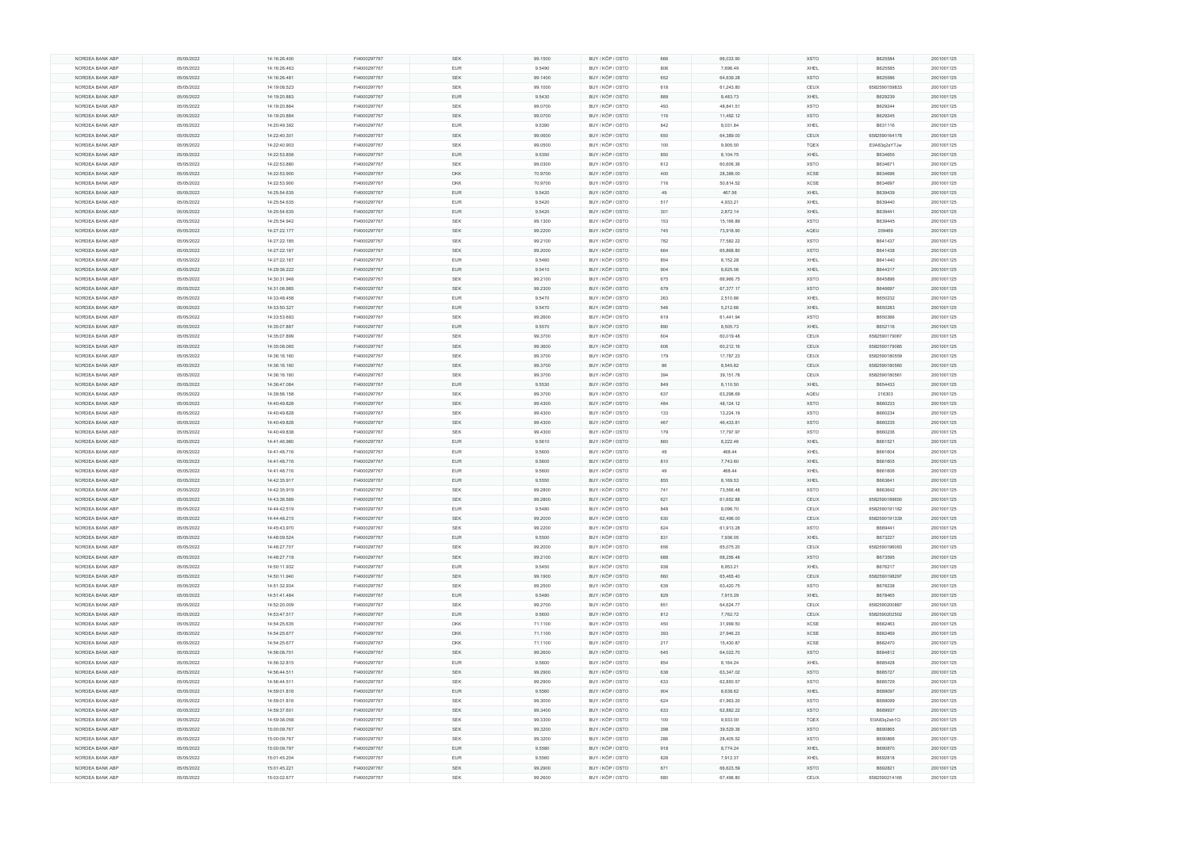|                 | 05/05/2022 | 14:16:26.400 | FI4000297767 | <b>SEK</b> | 99.1500 | BUY / KÖP / OSTO | 666 | 66,033.90 | <b>XSTO</b> | B625584       | 2001001125 |
|-----------------|------------|--------------|--------------|------------|---------|------------------|-----|-----------|-------------|---------------|------------|
| NORDEA BANK ABP | 05/05/2022 | 14:16:26.463 | FI4000297767 | <b>EUR</b> | 9.5490  | BUY / KÖP / OSTO | 806 | 7,696.49  | XHEL        | B625585       | 2001001125 |
| NORDEA BANK ABP | 05/05/2022 | 14:16:26.481 | FI4000297767 | <b>SEK</b> | 99.1400 | BUY / KÖP / OSTO | 652 | 64,639.28 | <b>XSTO</b> | B625586       | 2001001125 |
| NORDEA BANK ABP | 05/05/2022 | 14:19:08.523 | FI4000297767 | SEK        | 99.1000 | BUY / KÖP / OSTO | 618 | 61,243.80 | CEUX        | 6582590159833 | 2001001125 |
|                 |            |              |              |            |         |                  |     |           |             |               |            |
| NORDEA BANK ABP | 05/05/2022 | 14:19:20.883 | FI4000297767 | <b>EUR</b> | 9.5430  | BUY / KÖP / OSTO | 889 | 8,483.73  | XHEL        | B629239       | 2001001125 |
| NORDEA BANK ABP | 05/05/2022 | 14:19:20.884 | FI4000297767 | SEK        | 99.0700 | BUY / KÖP / OSTO | 493 | 48,841.51 | <b>XSTO</b> | B629244       | 2001001125 |
| NORDEA BANK ABP | 05/05/2022 | 14:19:20.884 | FI4000297767 | SEK        | 99.0700 | BUY / KÖP / OSTO | 116 | 11,492.12 | <b>XSTO</b> | B629245       | 2001001125 |
| NORDEA BANK ABP | 05/05/2022 | 14:20:49.392 | FI4000297767 | <b>EUR</b> | 9.5390  | BUY / KÖP / OSTO | 842 | 8,031.84  | XHEL        | B631116       | 2001001125 |
|                 |            |              |              |            |         |                  |     |           |             |               |            |
| NORDEA BANK ABP | 05/05/2022 | 14:22:40.301 | FI4000297767 | SEK        | 99.0600 | BUY / KÖP / OSTO | 650 | 64,389.00 | CEUX        | 6582590164178 | 2001001125 |
| NORDEA BANK ABP | 05/05/2022 | 14:22:40.903 | FI4000297767 | <b>SEK</b> | 99.0500 | BUY / KÖP / OSTO | 100 | 9,905.00  | TQEX        | E0A83q2sYTJw  | 2001001125 |
| NORDEA BANK ABP | 05/05/2022 | 14:22:53.858 | FI4000297767 | <b>EUR</b> | 9.5350  | BUY / KÖP / OSTO | 850 | 8,104.75  | XHEL        | B634655       | 2001001125 |
| NORDEA BANK ABP | 05/05/2022 | 14:22:53.880 | FI4000297767 | SEK        | 99.0300 | BUY / KÖP / OSTO | 612 | 60,606.36 | <b>XSTO</b> | B634671       | 2001001125 |
| NORDEA BANK ABP | 05/05/2022 | 14:22:53.900 | FI4000297767 | <b>DKK</b> | 70.9700 | BUY / KÖP / OSTO | 400 | 28,388.00 | <b>XCSE</b> | B634696       | 2001001125 |
|                 |            |              |              |            |         |                  |     |           |             |               |            |
| NORDEA BANK ABP | 05/05/2022 | 14:22:53.900 | FI4000297767 | <b>DKK</b> | 70.9700 | BUY / KÖP / OSTO | 716 | 50,814.52 | XCSE        | B634697       | 2001001125 |
| NORDEA BANK ABP | 05/05/2022 | 14:25:54.635 | FI4000297767 | <b>EUR</b> | 9.5420  | BUY / KÖP / OSTO | 49  | 467.56    | XHEL        | B639439       | 2001001125 |
| NORDEA BANK ABP | 05/05/2022 | 14:25:54.635 | FI4000297767 | <b>EUR</b> | 9.5420  | BUY / KÖP / OSTO | 517 | 4,933.21  | XHEL        | B639440       | 2001001125 |
| NORDEA BANK ABP | 05/05/2022 | 14:25:54.635 | FI4000297767 | <b>EUR</b> | 9.5420  | BUY / KÖP / OSTO | 301 | 2,872.14  | XHEL        | B639441       | 2001001125 |
|                 |            |              |              |            |         |                  |     |           |             |               |            |
| NORDEA BANK ABP | 05/05/2022 | 14:25:54.942 | FI4000297767 | <b>SEK</b> | 99.1300 | BUY / KÖP / OSTO | 153 | 15,166.89 | <b>XSTO</b> | B639445       | 2001001125 |
| NORDEA BANK ABP | 05/05/2022 | 14:27:22.177 | FI4000297767 | SEK        | 99.2200 | BUY / KÖP / OSTO | 745 | 73,918.90 | AQEU        | 209469        | 2001001125 |
| NORDEA BANK ABP | 05/05/2022 | 14:27:22.185 | FI4000297767 | <b>SEK</b> | 99.2100 | BUY / KÖP / OSTO | 782 | 77,582.22 | XSTO        | B641437       | 2001001125 |
| NORDEA BANK ABP | 05/05/2022 | 14:27:22.187 | FI4000297767 | <b>SEK</b> | 99.2000 | BUY / KÖP / OSTO | 664 | 65,868.80 | <b>XSTO</b> | B641438       | 2001001125 |
| NORDEA BANK ABP | 05/05/2022 | 14:27:22.187 | FI4000297767 | <b>EUR</b> | 9.5460  | BUY / KÖP / OSTO | 854 | 8,152.28  | XHEL        | B641440       | 2001001125 |
|                 |            |              |              |            |         |                  |     |           |             |               |            |
| NORDEA BANK ABP | 05/05/2022 | 14:29:36.222 | FI4000297767 | <b>EUR</b> | 9.5410  | BUY / KÖP / OSTO | 904 | 8,625.06  | XHEL        | B644317       | 2001001125 |
| NORDEA BANK ABP | 05/05/2022 | 14:30:31.948 | FI4000297767 | <b>SEK</b> | 99.2100 | BUY / KÖP / OSTO | 675 | 66,966.75 | <b>XSTO</b> | B645896       | 2001001125 |
| NORDEA BANK ABP | 05/05/2022 | 14:31:06.985 | FI4000297767 | <b>SEK</b> | 99.2300 | BUY / KÖP / OSTO | 679 | 67,377.17 | <b>XSTO</b> | B646697       | 2001001125 |
| NORDEA BANK ABP | 05/05/2022 | 14:33:48.458 | FI4000297767 | <b>EUR</b> | 9.5470  | BUY / KÖP / OSTO | 263 | 2,510.86  | XHEL        | B650232       | 2001001125 |
|                 |            |              |              |            |         |                  |     |           |             |               |            |
| NORDEA BANK ABP | 05/05/2022 | 14:33:50.327 | FI4000297767 | <b>EUR</b> | 9.5470  | BUY / KÖP / OSTO | 546 | 5,212.66  | XHEL        | B650283       | 2001001125 |
| NORDEA BANK ABP | 05/05/2022 | 14:33:53.693 | FI4000297767 | <b>SEK</b> | 99.2600 | BUY / KÖP / OSTO | 619 | 61,441.94 | <b>XSTO</b> | B650366       | 2001001125 |
| NORDEA BANK ABP | 05/05/2022 | 14:35:07.887 | FI4000297767 | <b>EUR</b> | 9.5570  | BUY / KÖP / OSTO | 890 | 8,505.73  | XHEL        | B652116       | 2001001125 |
| NORDEA BANK ABP | 05/05/2022 | 14:35:07.899 | FI4000297767 | <b>SEK</b> | 99.3700 | BUY / KÖP / OSTO | 604 | 60,019.48 | CEUX        | 6582590179067 | 2001001125 |
| NORDEA BANK ABP | 05/05/2022 | 14:35:08.065 | FI4000297767 | <b>SEK</b> | 99.3600 | BUY / KÖP / OSTO | 606 | 60,212.16 | CEUX        | 6582590179085 | 2001001125 |
|                 |            |              |              |            |         |                  |     |           |             |               |            |
| NORDEA BANK ABP | 05/05/2022 | 14:36:16.160 | FI4000297767 | SEK        | 99.3700 | BUY / KÖP / OSTO | 179 | 17,787.23 | CEUX        | 6582590180559 | 2001001125 |
| NORDEA BANK ABP | 05/05/2022 | 14:36:16.160 | FI4000297767 | <b>SEK</b> | 99.3700 | BUY / KÖP / OSTO | 86  | 8,545.82  | CEUX        | 6582590180560 | 2001001125 |
| NORDEA BANK ABP | 05/05/2022 | 14:36:16.160 | FI4000297767 | SEK        | 99.3700 | BUY / KÖP / OSTO | 394 | 39,151.78 | CEUX        | 6582590180561 | 2001001125 |
| NORDEA BANK ABP | 05/05/2022 | 14:36:47.084 | FI4000297767 | <b>EUR</b> | 9.5530  | BUY / KÖP / OSTO | 849 | 8,110.50  | XHEL        | B654433       | 2001001125 |
|                 |            |              |              |            |         |                  |     |           |             |               |            |
| NORDEA BANK ABP | 05/05/2022 | 14:39:56.158 | FI4000297767 | <b>SEK</b> | 99.3700 | BUY / KÖP / OSTO | 637 | 63,298.69 | AQEU        | 216303        | 2001001125 |
| NORDEA BANK ABP | 05/05/2022 | 14:40:49.828 | FI4000297767 | <b>SEK</b> | 99.4300 | BUY / KÖP / OSTO | 484 | 48,124.12 | <b>XSTO</b> | B660233       | 2001001125 |
| NORDEA BANK ABP | 05/05/2022 | 14:40:49.828 | FI4000297767 | <b>SEK</b> | 99.4300 | BUY / KÖP / OSTO | 133 | 13,224.19 | <b>XSTO</b> | B660234       | 2001001125 |
|                 |            |              |              |            |         |                  |     |           |             |               |            |
|                 |            |              |              |            |         |                  | 467 |           |             |               |            |
| NORDEA BANK ABP | 05/05/2022 | 14:40:49.828 | FI4000297767 | SEK        | 99.4300 | BUY / KÖP / OSTO |     | 46,433.81 | <b>XSTO</b> | B660235       | 2001001125 |
| NORDEA BANK ABP | 05/05/2022 | 14:40:49.838 | FI4000297767 | <b>SEK</b> | 99.4300 | BUY / KÖP / OSTO | 179 | 17,797.97 | XSTO        | B660236       | 2001001125 |
| NORDEA BANK ABP | 05/05/2022 | 14:41:46.980 | FI4000297767 | <b>EUR</b> | 9.5610  | BUY / KÖP / OSTO | 860 | 8,222.46  | XHEL        | B661521       | 2001001125 |
| NORDEA BANK ABP | 05/05/2022 | 14:41:48.716 | FI4000297767 | EUR        | 9.5600  | BUY / KÖP / OSTO | 49  | 468.44    | XHEL        | B661604       | 2001001125 |
| NORDEA BANK ABP | 05/05/2022 | 14:41:48.716 | FI4000297767 | <b>EUR</b> | 9.5600  | BUY / KÖP / OSTO | 810 | 7,743.60  | XHEL        | B661605       | 2001001125 |
|                 |            |              |              |            |         |                  |     |           |             |               |            |
| NORDEA BANK ABP | 05/05/2022 | 14:41:48.716 | FI4000297767 | <b>EUR</b> | 9.5600  | BUY / KÖP / OSTO | 49  | 468.44    | XHEL        | B661606       | 2001001125 |
| NORDEA BANK ABP | 05/05/2022 | 14:42:35.917 | FI4000297767 | <b>EUR</b> | 9.5550  | BUY / KÖP / OSTO | 855 | 8,169.53  | XHEL        | B663641       | 2001001125 |
| NORDEA BANK ABP | 05/05/2022 | 14:42:35.919 | FI4000297767 | <b>SEK</b> | 99.2800 | BUY / KÖP / OSTO | 741 | 73,566.48 | <b>XSTO</b> | B663642       | 2001001125 |
| NORDEA BANK ABP | 05/05/2022 | 14:43:36.589 | FI4000297767 | <b>SEK</b> | 99.2800 | BUY / KÖP / OSTO | 621 | 61,652.88 | CEUX        | 6582590189650 | 2001001125 |
| NORDEA BANK ABP | 05/05/2022 | 14:44:42.519 | FI4000297767 | <b>EUR</b> | 9.5480  | BUY / KÖP / OSTO | 848 | 8,096.70  | CEUX        | 6582590191182 | 2001001125 |
|                 |            |              |              |            |         |                  |     |           |             |               |            |
| NORDEA BANK ABP | 05/05/2022 | 14:44:48.215 | FI4000297767 | SEK        | 99.2000 | BUY / KÖP / OSTO | 630 | 62,496.00 | CEUX        | 6582590191339 | 2001001125 |
| NORDEA BANK ABP | 05/05/2022 | 14:45:43.970 | FI4000297767 | <b>SEK</b> | 99.2200 | BUY / KÖP / OSTO | 624 | 61,913.28 | <b>XSTO</b> | B669441       | 2001001125 |
| NORDEA BANK ABP | 05/05/2022 | 14:48:09.524 | FI4000297767 | <b>EUR</b> | 9.5500  | BUY / KÖP / OSTO | 831 | 7,936.05  | XHEL        | B673227       | 2001001125 |
| NORDEA BANK ABP | 05/05/2022 | 14:48:27.707 | FI4000297767 | <b>SEK</b> | 99.2000 | BUY / KÖP / OSTO | 656 | 65,075.20 | CEUX        | 6582590196093 | 2001001125 |
| NORDEA BANK ABP | 05/05/2022 | 14:48:27.718 | FI4000297767 | <b>SEK</b> | 99.2100 | BUY / KÖP / OSTO | 688 | 68,256.48 | <b>XSTO</b> | B673595       | 2001001125 |
| NORDEA BANK ABP |            |              |              |            |         |                  |     |           |             |               |            |
|                 | 05/05/2022 | 14:50:11.932 | FI4000297767 | EUR        | 9.5450  | BUY / KÖP / OSTO | 938 | 8,953.21  | XHEL        | B676217       | 2001001125 |
| NORDEA BANK ABP | 05/05/2022 | 14:50:11.940 | FI4000297767 | <b>SEK</b> | 99.1900 | BUY / KÖP / OSTO | 660 | 65,465.40 | CEUX        | 6582590198297 | 2001001125 |
| NORDEA BANK ABP | 05/05/2022 | 14:51:32.934 | FI4000297767 | <b>SEK</b> | 99.2500 | BUY / KÖP / OSTO | 639 | 63,420.75 | <b>XSTO</b> | B678238       | 2001001125 |
| NORDEA BANK ABP | 05/05/2022 | 14:51:41.484 | FI4000297767 | <b>EUR</b> | 9.5480  | BUY / KÖP / OSTO | 829 | 7,915.29  | XHEL        | B678465       | 2001001125 |
| NORDEA BANK ABP | 05/05/2022 | 14:52:20.009 | FI4000297767 | <b>SEK</b> | 99.2700 | BUY / KÖP / OSTO | 651 | 64,624.77 | CEUX        | 6582590200887 | 2001001125 |
|                 |            |              |              |            |         |                  |     |           |             |               |            |
| NORDEA BANK ABP | 05/05/2022 | 14:53:47.517 | FI4000297767 | <b>EUR</b> | 9.5600  | BUY / KÖP / OSTO | 812 | 7,762.72  | CEUX        | 6582590202502 | 2001001125 |
| NORDEA BANK ABP | 05/05/2022 | 14:54:25.635 | FI4000297767 | <b>DKK</b> | 71.1100 | BUY / KÖP / OSTO | 450 | 31,999.50 | <b>XCSE</b> | B682463       | 2001001125 |
| NORDEA BANK ABP | 05/05/2022 | 14:54:25.677 | FI4000297767 | <b>DKK</b> | 71.1100 | BUY / KÖP / OSTO | 393 | 27,946.23 | <b>XCSE</b> | B682469       | 2001001125 |
| NORDEA BANK ABP | 05/05/2022 | 14:54:25.677 | FI4000297767 | <b>DKK</b> | 71.1100 | BUY / KÖP / OSTO | 217 | 15,430.87 | <b>XCSE</b> | B682470       | 2001001125 |
|                 |            |              |              | <b>SEK</b> |         |                  | 645 |           | <b>XSTO</b> |               |            |
| NORDEA BANK ABP | 05/05/2022 | 14:56:08.701 | FI4000297767 |            | 99.2600 | BUY / KÖP / OSTO |     | 64,022.70 |             | B684812       | 2001001125 |
| NORDEA BANK ABP | 05/05/2022 | 14:56:32.815 | FI4000297767 | <b>EUR</b> | 9.5600  | BUY / KÖP / OSTO | 854 | 8,164.24  | XHEL        | B685428       | 2001001125 |
| NORDEA BANK ABP | 05/05/2022 | 14:56:44.511 | FI4000297767 | <b>SEK</b> | 99.2900 | BUY / KÖP / OSTO | 638 | 63,347.02 | <b>XSTO</b> | B685727       | 2001001125 |
| NORDEA BANK ABP | 05/05/2022 | 14:56:44.511 | FI4000297767 | <b>SEK</b> | 99.2900 | BUY / KÖP / OSTO | 633 | 62,850.57 | <b>XSTO</b> | B685729       | 2001001125 |
| NORDEA BANK ABP | 05/05/2022 | 14:59:01.816 | FI4000297767 | <b>EUR</b> | 9.5560  | BUY / KÖP / OSTO | 904 | 8,638.62  | XHEL        | B689097       | 2001001125 |
|                 |            |              |              |            |         |                  |     |           |             |               |            |
| NORDEA BANK ABP | 05/05/2022 | 14:59:01.816 | FI4000297767 | <b>SEK</b> | 99.3000 | BUY / KÖP / OSTO | 624 | 61,963.20 | XSTO        | B689099       | 2001001125 |
| NORDEA BANK ABP | 05/05/2022 | 14:59:37.601 | FI4000297767 | SEK        | 99.3400 | BUY / KÖP / OSTO | 633 | 62,882.22 | <b>XSTO</b> | B689937       | 2001001125 |
| NORDEA BANK ABP | 05/05/2022 | 14:59:38.058 | FI4000297767 | <b>SEK</b> | 99.3300 | BUY / KÖP / OSTO | 100 | 9,933.00  | TQEX        | E0A83q2sb1Ci  | 2001001125 |
| NORDEA BANK ABP | 05/05/2022 | 15:00:09.767 | FI4000297767 | SEK        | 99.3200 | BUY / KÖP / OSTO | 398 | 39,529.36 | <b>XSTO</b> | B690865       | 2001001125 |
|                 |            |              |              |            |         |                  |     |           |             |               |            |
| NORDEA BANK ABP | 05/05/2022 | 15:00:09.767 | FI4000297767 | <b>SEK</b> | 99.3200 | BUY / KÖP / OSTO | 286 | 28,405.52 | XSTO        | B690866       | 2001001125 |
| NORDEA BANK ABP | 05/05/2022 | 15:00:09.797 | FI4000297767 | <b>EUR</b> | 9.5580  | BUY / KÖP / OSTO | 918 | 8,774.24  | XHEL        | B690870       | 2001001125 |
| NORDEA BANK ABP | 05/05/2022 | 15:01:45.204 | FI4000297767 | <b>EUR</b> | 9.5560  | BUY / KÖP / OSTO | 828 | 7,912.37  | XHEL        | B692818       | 2001001125 |
| NORDEA BANK ABP | 05/05/2022 | 15:01:45.221 | FI4000297767 | <b>SEK</b> | 99.2900 | BUY / KÖP / OSTO | 671 | 66,623.59 | <b>XSTO</b> | B692821       | 2001001125 |
| NORDEA BANK ABP | 05/05/2022 | 15:03:02.677 | FI4000297767 | <b>SEK</b> | 99.2600 | BUY / KÖP / OSTO | 680 | 67,496.80 | CEUX        | 6582590214165 | 2001001125 |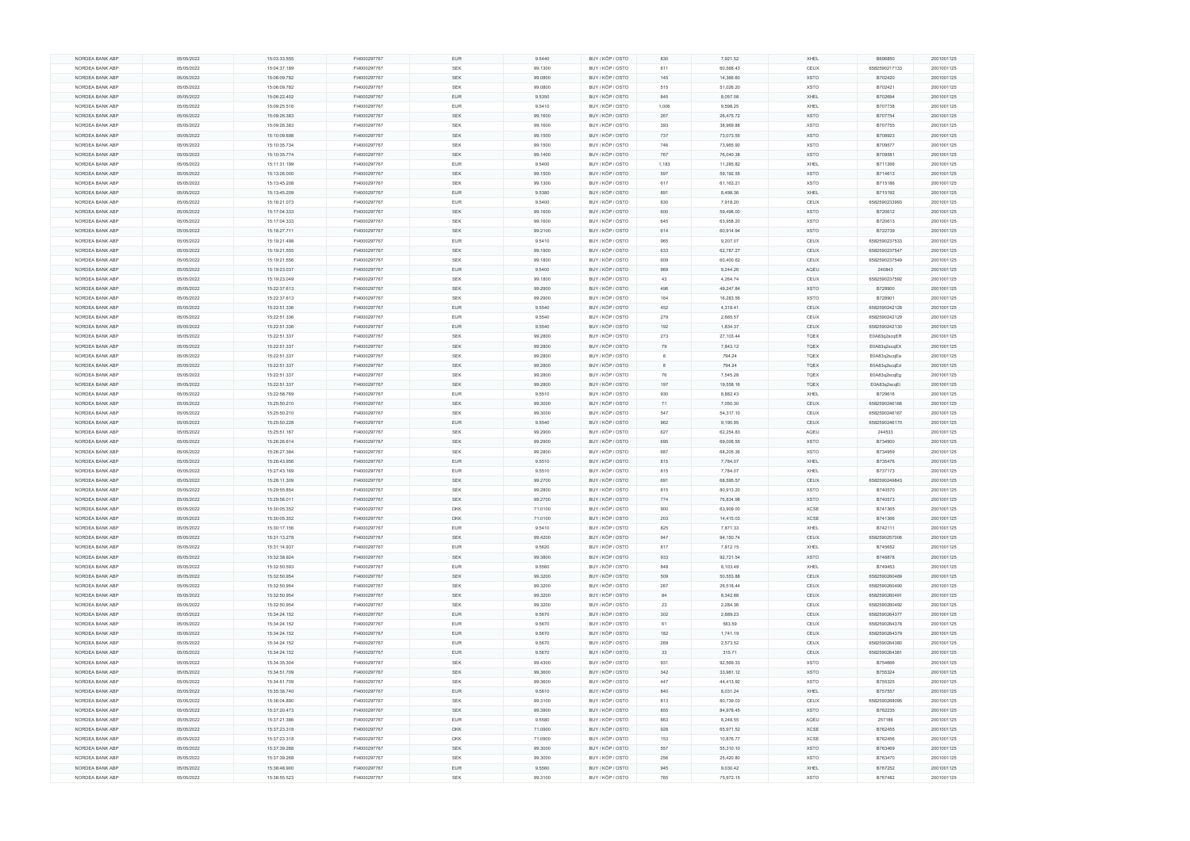| NORDEA BANK ABP | 05/05/2022 | 15:03:33.555 | FI4000297767 | <b>EUR</b> | 9.5440  | BUY / KÖP / OSTO | 830   | 7,921.52  | XHEL        | B696850       | 2001001125 |
|-----------------|------------|--------------|--------------|------------|---------|------------------|-------|-----------|-------------|---------------|------------|
| NORDEA BANK ABP | 05/05/2022 | 15:04:37.189 | FI4000297767 | SEK        | 99.1300 | BUY / KÖP / OSTO | 611   | 60,568.43 | CEUX        | 6582590217133 | 2001001125 |
|                 |            |              |              |            |         |                  |       |           |             |               |            |
| NORDEA BANK ABP | 05/05/2022 | 15:06:09.782 | FI4000297767 | <b>SEK</b> | 99.0800 | BUY / KÖP / OSTO | 145   | 14,366.60 | <b>XSTO</b> | B702420       | 2001001125 |
| NORDEA BANK ABP | 05/05/2022 | 15:06:09.782 | FI4000297767 | <b>SEK</b> | 99.0800 | BUY / KÖP / OSTO | 515   | 51,026.20 | <b>XSTO</b> | B702421       | 2001001125 |
| NORDEA BANK ABP | 05/05/2022 | 15:06:22.402 | FI4000297767 | <b>EUR</b> | 9.5350  | BUY / KÖP / OSTO | 845   | 8,057.08  | XHEL        | B702694       | 2001001125 |
|                 |            |              |              |            |         |                  |       |           |             |               |            |
| NORDEA BANK ABP | 05/05/2022 | 15:09:25.516 | FI4000297767 | <b>EUR</b> | 9.5410  | BUY / KÖP / OSTO | 1,006 | 9,598.25  | XHEL        | B707738       | 2001001125 |
| NORDEA BANK ABP | 05/05/2022 | 15:09:26.383 | FI4000297767 | <b>SEK</b> | 99.1600 | BUY / KÖP / OSTO | 267   | 26,475.72 | <b>XSTO</b> | B707754       | 2001001125 |
| NORDEA BANK ABP | 05/05/2022 | 15:09:26.383 | FI4000297767 | <b>SEK</b> | 99.1600 | BUY / KÖP / OSTO | 393   | 38,969.88 | <b>XSTO</b> | B707755       | 2001001125 |
|                 |            |              |              |            |         |                  |       |           |             |               |            |
| NORDEA BANK ABP | 05/05/2022 | 15:10:09.698 | FI4000297767 | SEK        | 99.1500 | BUY / KÖP / OSTO | 737   | 73,073.55 | <b>XSTO</b> | B708923       | 2001001125 |
| NORDEA BANK ABP | 05/05/2022 | 15:10:35.734 | FI4000297767 | SEK        | 99.1500 | BUY / KÖP / OSTO | 746   | 73,965.90 | <b>XSTO</b> | B709577       | 2001001125 |
| NORDEA BANK ABP | 05/05/2022 | 15:10:35.774 | FI4000297767 | <b>SEK</b> | 99.1400 | BUY / KÖP / OSTO | 767   | 76,040.38 | <b>XSTO</b> | B709581       | 2001001125 |
| NORDEA BANK ABP |            |              |              |            |         |                  | 1,183 |           |             |               |            |
|                 | 05/05/2022 | 15:11:31.199 | FI4000297767 | <b>EUR</b> | 9.5400  | BUY / KÖP / OSTO |       | 11,285.82 | XHEL        | B711266       | 2001001125 |
| NORDEA BANK ABP | 05/05/2022 | 15:13:26.000 | FI4000297767 | <b>SEK</b> | 99.1500 | BUY / KÖP / OSTO | 597   | 59,192.55 | <b>XSTO</b> | B714613       | 2001001125 |
| NORDEA BANK ABP | 05/05/2022 | 15:13:45.208 | FI4000297767 | SEK        | 99.1300 | BUY / KÖP / OSTO | 617   | 61,163.21 | <b>XSTO</b> | B715186       | 2001001125 |
|                 |            |              |              |            |         |                  |       |           |             |               |            |
| NORDEA BANK ABP | 05/05/2022 | 15:13:45.209 | FI4000297767 | <b>EUR</b> | 9.5380  | BUY / KÖP / OSTO | 891   | 8,498.36  | XHEL        | B715192       | 2001001125 |
| NORDEA BANK ABP | 05/05/2022 | 15:16:21.073 | FI4000297767 | <b>EUR</b> | 9.5400  | BUY / KÖP / OSTO | 830   | 7,918.20  | CEUX        | 6582590233993 | 2001001125 |
| NORDEA BANK ABP | 05/05/2022 | 15:17:04.333 | FI4000297767 | <b>SEK</b> | 99.1600 | BUY / KÖP / OSTO | 600   | 59,496.00 | <b>XSTO</b> | B720612       | 2001001125 |
|                 |            |              |              |            |         |                  |       |           |             |               |            |
| NORDEA BANK ABP | 05/05/2022 | 15:17:04.333 | FI4000297767 | <b>SEK</b> | 99.1600 | BUY / KÖP / OSTO | 645   | 63,958.20 | <b>XSTO</b> | B720613       | 2001001125 |
| NORDEA BANK ABP | 05/05/2022 | 15:18:27.711 | FI4000297767 | <b>SEK</b> | 99.2100 | BUY / KÖP / OSTO | 614   | 60,914.94 | <b>XSTO</b> | B722739       | 2001001125 |
| NORDEA BANK ABP | 05/05/2022 | 15:19:21.498 | FI4000297767 | <b>EUR</b> | 9.5410  | BUY / KÖP / OSTO | 965   | 9,207.07  | CEUX        | 6582590237533 | 2001001125 |
|                 |            |              |              |            |         |                  |       |           |             |               |            |
| NORDEA BANK ABP | 05/05/2022 | 15:19:21.555 | FI4000297767 | <b>SEK</b> | 99.1900 | BUY / KÖP / OSTO | 633   | 62,787.27 | CEUX        | 6582590237547 | 2001001125 |
| NORDEA BANK ABP | 05/05/2022 | 15:19:21.556 | FI4000297767 | <b>SEK</b> | 99.1800 | BUY / KÖP / OSTO | 609   | 60,400.62 | CEUX        | 6582590237549 | 2001001125 |
| NORDEA BANK ABP | 05/05/2022 | 15:19:23.037 | FI4000297767 | <b>EUR</b> | 9.5400  | BUY / KÖP / OSTO | 969   | 9,244.26  | AQEU        | 240843        | 2001001125 |
|                 |            |              |              |            |         |                  |       |           |             |               |            |
| NORDEA BANK ABP | 05/05/2022 | 15:19:23.049 | FI4000297767 | <b>SEK</b> | 99.1800 | BUY / KÖP / OSTO | 43    | 4,264.74  | CEUX        | 6582590237592 | 2001001125 |
| NORDEA BANK ABP | 05/05/2022 | 15:22:37.613 | FI4000297767 | SEK        | 99.2900 | BUY / KÖP / OSTO | 496   | 49,247.84 | <b>XSTO</b> | B728900       | 2001001125 |
| NORDEA BANK ABP | 05/05/2022 | 15:22:37.613 | FI4000297767 | <b>SEK</b> | 99.2900 | BUY / KÖP / OSTO | 164   | 16,283.56 | <b>XSTO</b> | B728901       | 2001001125 |
|                 |            |              |              |            |         |                  |       |           |             |               |            |
| NORDEA BANK ABP | 05/05/2022 | 15:22:51.336 | FI4000297767 | <b>EUR</b> | 9.5540  | BUY / KÖP / OSTO | 452   | 4,318.41  | CEUX        | 6582590242128 | 2001001125 |
| NORDEA BANK ABP | 05/05/2022 | 15:22:51.336 | FI4000297767 | EUR        | 9.5540  | BUY / KÖP / OSTO | 279   | 2,665.57  | CEUX        | 6582590242129 | 2001001125 |
| NORDEA BANK ABP | 05/05/2022 | 15:22:51.336 | FI4000297767 | <b>EUR</b> | 9.5540  | BUY / KÖP / OSTO | 192   | 1,834.37  | CEUX        | 6582590242130 | 2001001125 |
|                 |            |              |              |            |         |                  |       |           |             |               |            |
| NORDEA BANK ABP | 05/05/2022 | 15:22:51.337 | FI4000297767 | SEK        | 99.2800 | BUY / KÖP / OSTO | 273   | 27,103.44 | TQEX        | E0A83q2scqER  | 2001001125 |
| NORDEA BANK ABP | 05/05/2022 | 15:22:51.337 | FI4000297767 | <b>SEK</b> | 99.2800 | BUY / KÖP / OSTO | 79    | 7,843.12  | <b>TQEX</b> | E0A83q2scqEX  | 2001001125 |
| NORDEA BANK ABP | 05/05/2022 | 15:22:51.337 | FI4000297767 | SEK        | 99.2800 | BUY / KÖP / OSTO |       | 794.24    | TQEX        | E0A83q2scqEa  | 2001001125 |
|                 |            |              |              |            |         |                  |       |           |             |               |            |
| NORDEA BANK ABP | 05/05/2022 | 15:22:51.337 | FI4000297767 | <b>SEK</b> | 99.2800 | BUY / KÖP / OSTO |       | 794.24    | <b>TQEX</b> | E0A83q2scqEd  | 2001001125 |
| NORDEA BANK ABP | 05/05/2022 | 15:22:51.337 | FI4000297767 | SEK        | 99.2800 | BUY / KÖP / OSTO | 76    | 7,545.28  | <b>TQEX</b> | E0A83q2scqEg  | 2001001125 |
| NORDEA BANK ABP | 05/05/2022 | 15:22:51.337 | FI4000297767 | SEK        | 99.2800 | BUY / KÖP / OSTO | 197   | 19,558.16 | TQEX        | E0A83q2scqEi  | 2001001125 |
|                 |            |              |              |            |         |                  |       |           |             |               |            |
| NORDEA BANK ABP | 05/05/2022 | 15:22:58.769 | FI4000297767 | <b>EUR</b> | 9.5510  | BUY / KÖP / OSTO | 930   | 8,882.43  | XHEL        | B729616       | 2001001125 |
| NORDEA BANK ABP | 05/05/2022 | 15:25:50.210 | FI4000297767 | <b>SEK</b> | 99.3000 | BUY / KÖP / OSTO | 71    | 7,050.30  | CEUX        | 6582590246166 | 2001001125 |
| NORDEA BANK ABP | 05/05/2022 | 15:25:50.210 | FI4000297767 | <b>SEK</b> | 99.3000 | BUY / KÖP / OSTO | 547   | 54,317.10 | <b>CEUX</b> | 6582590246167 | 2001001125 |
|                 |            |              |              |            |         |                  |       |           |             |               |            |
| NORDEA BANK ABP | 05/05/2022 | 15:25:50.228 | FI4000297767 | <b>EUR</b> | 9.5540  | BUY / KÖP / OSTO | 962   | 9,190.95  | CEUX        | 6582590246170 | 2001001125 |
| NORDEA BANK ABP | 05/05/2022 | 15:25:51.167 | FI4000297767 | SEK        | 99.2900 | BUY / KÖP / OSTO | 627   | 62,254.83 | AQEU        | 244533        | 2001001125 |
| NORDEA BANK ABP | 05/05/2022 | 15:26:26.614 | FI4000297767 | <b>SEK</b> | 99.2900 | BUY / KÖP / OSTO | 695   | 69,006.55 | <b>XSTO</b> | B734900       | 2001001125 |
|                 |            |              |              |            |         |                  |       |           |             |               |            |
| NORDEA BANK ABP | 05/05/2022 | 15:26:27.384 | FI4000297767 | SEK        | 99.2800 | BUY / KÖP / OSTO | 687   | 68,205.36 | <b>XSTO</b> | B734959       | 2001001125 |
| NORDEA BANK ABP | 05/05/2022 | 15:26:43.956 | FI4000297767 | <b>EUR</b> | 9.5510  | BUY / KÖP / OSTO | 815   | 7,784.07  | XHEL        | B735476       | 2001001125 |
|                 |            | 15:27:43.169 |              | <b>EUR</b> |         | BUY / KÖP / OSTO | 815   | 7,784.07  | XHEL        | B737173       |            |
| NORDEA BANK ABP | 05/05/2022 |              | FI4000297767 |            | 9.5510  |                  |       |           |             |               | 2001001125 |
| NORDEA BANK ABP | 05/05/2022 | 15:28:11.309 | FI4000297767 | SEK        | 99.2700 | BUY / KÖP / OSTO | 691   | 68,595.57 | CEUX        | 6582590249843 | 2001001125 |
| NORDEA BANK ABP | 05/05/2022 | 15:29:55.854 | FI4000297767 | <b>SEK</b> | 99.2800 | BUY / KÖP / OSTO | 815   | 80,913.20 | <b>XSTO</b> | B740570       | 2001001125 |
|                 |            |              |              | <b>SEK</b> |         |                  |       |           | <b>XSTO</b> |               |            |
| NORDEA BANK ABP | 05/05/2022 | 15:29:56.011 | FI4000297767 |            | 99.2700 | BUY / KÖP / OSTO | 774   | 76,834.98 |             | B740573       | 2001001125 |
| NORDEA BANK ABP | 05/05/2022 | 15:30:05.352 | FI4000297767 | <b>DKK</b> | 71.0100 | BUY / KÖP / OSTO | 900   | 63,909.00 | <b>XCSE</b> | B741365       | 2001001125 |
| NORDEA BANK ABP | 05/05/2022 | 15:30:05.352 | FI4000297767 | <b>DKK</b> | 71.0100 | BUY / KÖP / OSTO | 203   | 14,415.03 | XCSE        | B741366       | 2001001125 |
|                 |            |              |              |            |         |                  |       |           |             |               |            |
| NORDEA BANK ABP | 05/05/2022 | 15:30:17.156 | FI4000297767 | EUR        | 9.5410  | BUY / KÖP / OSTO | 825   | 7,871.33  | XHEL        | B742111       | 2001001125 |
| NORDEA BANK ABP | 05/05/2022 | 15:31:13.278 | FI4000297767 | <b>SEK</b> | 99.4200 | BUY / KÖP / OSTO | 947   | 94,150.74 | CEUX        | 6582590257006 | 2001001125 |
| NORDEA BANK ABP | 05/05/2022 | 15:31:14.937 | FI4000297767 | EUR        | 9.5620  | BUY / KÖP / OSTO | 817   | 7,812.15  | XHEL        | B745652       | 2001001125 |
|                 |            |              |              |            |         |                  |       |           |             |               |            |
| NORDEA BANK ABP | 05/05/2022 | 15:32:38.924 | FI4000297767 | <b>SEK</b> | 99.3800 | BUY / KÖP / OSTO | 933   | 92,721.54 | <b>XSTO</b> | B748878       | 2001001125 |
| NORDEA BANK ABP | 05/05/2022 | 15:32:50.593 | FI4000297767 | <b>EUR</b> | 9.5560  | BUY / KÖP / OSTO | 848   | 8,103.49  | XHEL        | B749453       | 2001001125 |
| NORDEA BANK ABP | 05/05/2022 | 15:32:50.954 | FI4000297767 | SEK        | 99.3200 | BUY / KÖP / OSTO | 509   | 50,553.88 | CEUX        | 6582590260489 | 2001001125 |
|                 |            |              |              | <b>SEK</b> |         |                  | 267   | 26,518.44 |             |               |            |
| NORDEA BANK ABP | 05/05/2022 | 15:32:50.954 | FI4000297767 |            | 99.3200 | BUY / KÖP / OSTO |       |           | <b>CEUX</b> | 6582590260490 | 2001001125 |
| NORDEA BANK ABP | 05/05/2022 | 15:32:50.954 | FI4000297767 | SEK        | 99.3200 | BUY / KÖP / OSTO | 84    | 8,342.88  | CEUX        | 6582590260491 | 2001001125 |
| NORDEA BANK ABP | 05/05/2022 | 15:32:50.954 | FI4000297767 | SEK        | 99.3200 | BUY / KÖP / OSTO | 23    | 2,284.36  | CEUX        | 6582590260492 | 2001001125 |
|                 |            |              |              |            |         |                  |       |           |             |               |            |
| NORDEA BANK ABP | 05/05/2022 | 15:34:24.152 | FI4000297767 | <b>EUR</b> | 9.5670  | BUY / KÖP / OSTO | 302   | 2,889.23  | CEUX        | 6582590264377 | 2001001125 |
| NORDEA BANK ABP | 05/05/2022 | 15:34:24.152 | FI4000297767 | EUR        | 9.5670  | BUY / KÖP / OSTO | 61    | 583.59    | CEUX        | 6582590264378 | 2001001125 |
| NORDEA BANK ABP | 05/05/2022 | 15:34:24.152 | FI4000297767 | <b>EUR</b> | 9.5670  | BUY / KÖP / OSTO | 182   | 1,741.19  | CEUX        | 6582590264379 | 2001001125 |
|                 |            |              |              |            |         |                  |       |           |             |               |            |
| NORDEA BANK ABP | 05/05/2022 | 15:34:24.152 | FI4000297767 | EUR        | 9.5670  | BUY / KÖP / OSTO | 269   | 2,573.52  | CEUX        | 6582590264380 | 2001001125 |
| NORDEA BANK ABP | 05/05/2022 | 15:34:24.152 | FI4000297767 | <b>EUR</b> | 9.5670  | BUY / KÖP / OSTO | 33    | 315.71    | CEUX        | 6582590264381 | 2001001125 |
| NORDEA BANK ABP | 05/05/2022 | 15:34:35.304 | FI4000297767 | SEK        | 99.4300 | BUY / KÖP / OSTO | 931   | 92,569.33 | <b>XSTO</b> | B754666       | 2001001125 |
|                 |            |              |              |            |         |                  |       |           |             |               |            |
| NORDEA BANK ABP | 05/05/2022 | 15:34:51.709 | FI4000297767 | SEK        | 99.3600 | BUY / KÖP / OSTO | 342   | 33,981.12 | <b>XSTO</b> | B755324       | 2001001125 |
| NORDEA BANK ABP | 05/05/2022 | 15:34:51.709 | FI4000297767 | <b>SEK</b> | 99.3600 | BUY / KÖP / OSTO | 447   | 44,413.92 | <b>XSTO</b> | B755325       | 2001001125 |
| NORDEA BANK ABP | 05/05/2022 | 15:35:38.740 | FI4000297767 | <b>EUR</b> | 9.5610  | BUY / KÖP / OSTO | 840   | 8,031.24  | XHEL        | B757557       | 2001001125 |
|                 |            |              |              |            |         |                  |       |           |             |               |            |
| NORDEA BANK ABP | 05/05/2022 | 15:36:04.890 | FI4000297767 | SEK        | 99.3100 | BUY / KÖP / OSTO | 813   | 80,739.03 | CEUX        | 6582590268095 | 2001001125 |
| NORDEA BANK ABP | 05/05/2022 | 15:37:20.473 | FI4000297767 | <b>SEK</b> | 99.3900 | BUY / KÖP / OSTO | 855   | 84,978.45 | <b>XSTO</b> | B762235       | 2001001125 |
| NORDEA BANK ABP | 05/05/2022 | 15:37:21.386 | FI4000297767 | EUR        | 9.5580  | BUY / KÖP / OSTO | 863   | 8,248.55  | AQEU        | 257186        | 2001001125 |
|                 |            |              |              |            |         |                  |       |           |             |               |            |
| NORDEA BANK ABP | 05/05/2022 | 15:37:23.318 | FI4000297767 | <b>DKK</b> | 71.0900 | BUY / KÖP / OSTO | 928   | 65,971.52 | <b>XCSE</b> | B762455       | 2001001125 |
| NORDEA BANK ABP | 05/05/2022 | 15:37:23.318 | FI4000297767 | <b>DKK</b> | 71.0900 | BUY / KÖP / OSTO | 153   | 10,876.77 | <b>XCSE</b> | B762456       | 2001001125 |
| NORDEA BANK ABP | 05/05/2022 | 15:37:39.268 | FI4000297767 | <b>SEK</b> | 99.3000 | BUY / KÖP / OSTO | 557   | 55,310.10 | <b>XSTO</b> | B763469       | 2001001125 |
|                 |            |              |              |            |         |                  |       |           |             |               |            |
| NORDEA BANK ABP | 05/05/2022 | 15:37:39.268 | FI4000297767 | SEK        | 99.3000 | BUY / KÖP / OSTO | 256   | 25,420.80 | <b>XSTO</b> | B763470       | 2001001125 |
| NORDEA BANK ABP | 05/05/2022 | 15:38:48.900 | FI4000297767 | <b>EUR</b> | 9.5560  | BUY / KÖP / OSTO | 945   | 9,030.42  | XHEL        | B767252       | 2001001125 |
| NORDEA BANK ABP | 05/05/2022 | 15:38:55.523 | FI4000297767 | <b>SEK</b> | 99.3100 | BUY / KÖP / OSTO | 765   | 75,972.15 | <b>XSTO</b> | B767482       | 2001001125 |
|                 |            |              |              |            |         |                  |       |           |             |               |            |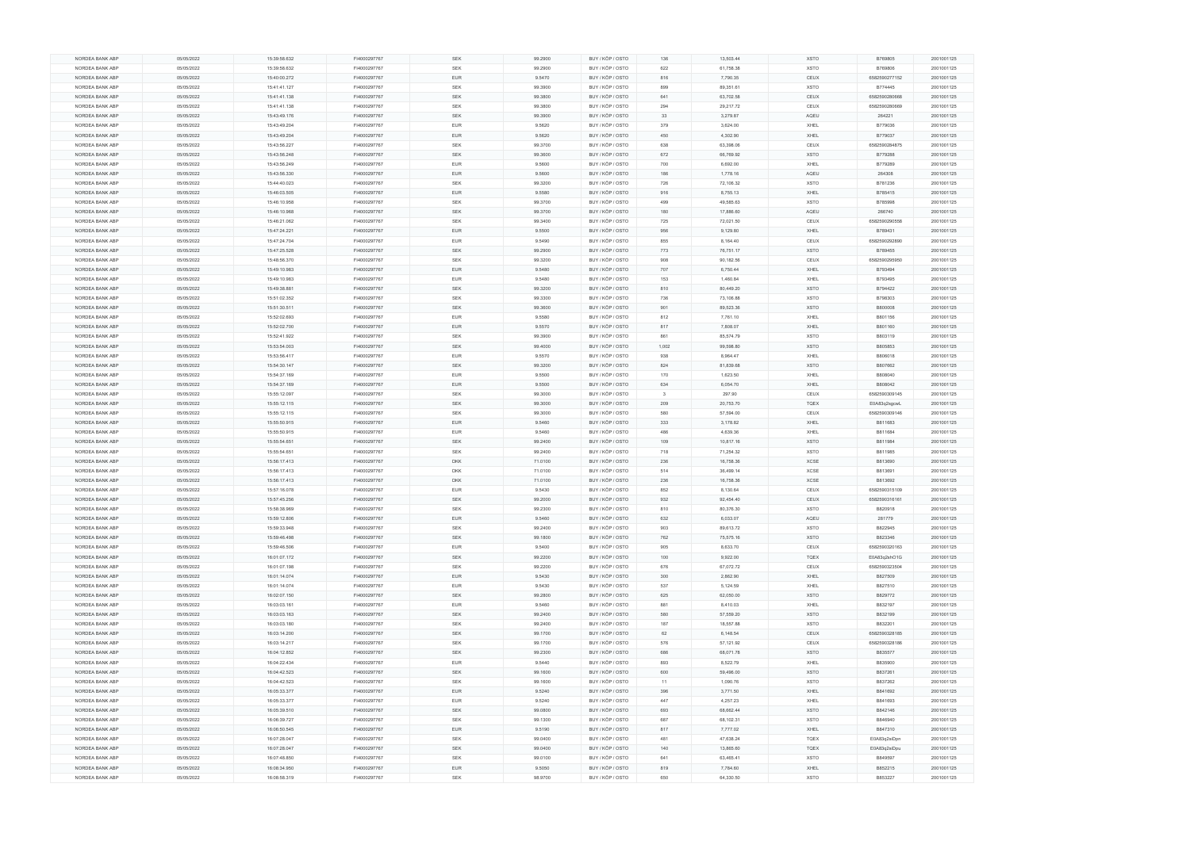| NORDEA BANK ABP | 05/05/2022 | 15:39:58.632 | FI4000297767 | SEK        | 99.2900 | BUY / KÖP / OSTO | 136          | 13,503.44 | <b>XSTO</b> | B769805       | 2001001125 |
|-----------------|------------|--------------|--------------|------------|---------|------------------|--------------|-----------|-------------|---------------|------------|
| NORDEA BANK ABP | 05/05/2022 | 15:39:58.632 | FI4000297767 | SEK        | 99.2900 | BUY / KÖP / OSTO | 622          | 61,758.38 | <b>XSTO</b> | B769806       | 2001001125 |
| NORDEA BANK ABP | 05/05/2022 | 15:40:00.272 | FI4000297767 | <b>EUR</b> | 9.5470  | BUY / KÖP / OSTO | 816          | 7,790.35  | CEUX        | 6582590277152 | 2001001125 |
| NORDEA BANK ABP | 05/05/2022 | 15:41:41.127 | FI4000297767 | SEK        | 99.3900 | BUY / KÖP / OSTO | 899          | 89,351.61 | <b>XSTO</b> | B774445       | 2001001125 |
|                 |            |              |              |            |         |                  |              |           |             |               |            |
| NORDEA BANK ABP | 05/05/2022 | 15:41:41.138 | FI4000297767 | <b>SEK</b> | 99.3800 | BUY / KÖP / OSTO | 641          | 63,702.58 | CEUX        | 6582590280668 | 2001001125 |
| NORDEA BANK ABP | 05/05/2022 | 15:41:41.138 | FI4000297767 | <b>SEK</b> | 99.3800 | BUY / KÖP / OSTO | 294          | 29,217.72 | CEUX        | 6582590280669 | 2001001125 |
| NORDEA BANK ABP | 05/05/2022 | 15:43:49.176 | FI4000297767 | <b>SEK</b> | 99.3900 | BUY / KÖP / OSTO | 33           | 3,279.87  | AQEU        | 264221        | 2001001125 |
| NORDEA BANK ABP | 05/05/2022 | 15:43:49.204 | FI4000297767 | EUR        | 9.5620  | BUY / KÖP / OSTO | 379          | 3,624.00  | XHEL        | B779036       | 2001001125 |
| NORDEA BANK ABP | 05/05/2022 | 15:43:49.204 | FI4000297767 | <b>EUR</b> | 9.5620  | BUY / KÖP / OSTO | 450          | 4,302.90  | XHEL        | B779037       | 2001001125 |
|                 |            |              |              |            |         |                  |              |           |             |               |            |
| NORDEA BANK ABP | 05/05/2022 | 15:43:56.227 | FI4000297767 | SEK        | 99.3700 | BUY / KÖP / OSTO | 638          | 63,398.06 | CEUX        | 6582590284875 | 2001001125 |
| NORDEA BANK ABP | 05/05/2022 | 15:43:56.248 | FI4000297767 | <b>SEK</b> | 99.3600 | BUY / KÖP / OSTO | 672          | 66,769.92 | <b>XSTO</b> | B779288       | 2001001125 |
| NORDEA BANK ABP | 05/05/2022 | 15:43:56.249 | FI4000297767 | EUR        | 9.5600  | BUY / KÖP / OSTO | 700          | 6,692.00  | XHEL        | B779289       | 2001001125 |
| NORDEA BANK ABP | 05/05/2022 | 15:43:56.330 | FI4000297767 | EUR        | 9.5600  | BUY / KÖP / OSTO | 186          | 1,778.16  | AQEU        | 264308        | 2001001125 |
|                 |            |              |              |            |         |                  |              |           |             |               |            |
| NORDEA BANK ABP | 05/05/2022 | 15:44:40.023 | FI4000297767 | <b>SEK</b> | 99.3200 | BUY / KÖP / OSTO | 726          | 72,106.32 | <b>XSTO</b> | B781236       | 2001001125 |
| NORDEA BANK ABP | 05/05/2022 | 15:46:03.505 | FI4000297767 | <b>EUR</b> | 9.5580  | BUY / KÖP / OSTO | 916          | 8,755.13  | XHEL        | B785415       | 2001001125 |
| NORDEA BANK ABP | 05/05/2022 | 15:46:10.958 | FI4000297767 | <b>SEK</b> | 99.3700 | BUY / KÖP / OSTO | 499          | 49,585.63 | <b>XSTO</b> | B785998       | 2001001125 |
| NORDEA BANK ABP | 05/05/2022 | 15:46:10.968 | FI4000297767 | <b>SEK</b> | 99.3700 | BUY / KÖP / OSTO | 180          | 17,886.60 | AQEU        | 266740        | 2001001125 |
| NORDEA BANK ABP | 05/05/2022 | 15:46:21.062 | FI4000297767 | SEK        | 99.3400 | BUY / KÖP / OSTO | 725          | 72,021.50 | CEUX        | 6582590290558 | 2001001125 |
|                 |            |              |              |            |         |                  |              |           |             |               |            |
| NORDEA BANK ABP | 05/05/2022 | 15:47:24.221 | FI4000297767 | <b>EUR</b> | 9.5500  | BUY / KÖP / OSTO | 956          | 9,129.80  | XHEL        | B789431       | 2001001125 |
| NORDEA BANK ABP | 05/05/2022 | 15:47:24.704 | FI4000297767 | <b>EUR</b> | 9.5490  | BUY / KÖP / OSTO | 855          | 8,164.40  | CEUX        | 6582590292890 | 2001001125 |
| NORDEA BANK ABP | 05/05/2022 | 15:47:25.528 | FI4000297767 | SEK        | 99.2900 | BUY / KÖP / OSTO | 773          | 76,751.17 | <b>XSTO</b> | B789455       | 2001001125 |
| NORDEA BANK ABP | 05/05/2022 | 15:48:56.370 | FI4000297767 | <b>SEK</b> | 99.3200 | BUY / KÖP / OSTO | 908          | 90,182.56 | CEUX        | 6582590295950 | 2001001125 |
|                 |            |              |              |            |         |                  |              |           |             |               |            |
| NORDEA BANK ABP | 05/05/2022 | 15:49:10.983 | FI4000297767 | EUR        | 9.5480  | BUY / KÖP / OSTO | 707          | 6,750.44  | XHEL        | B793494       | 2001001125 |
| NORDEA BANK ABP | 05/05/2022 | 15:49:10.983 | FI4000297767 | <b>EUR</b> | 9.5480  | BUY / KÖP / OSTO | 153          | 1,460.84  | XHEL        | B793495       | 2001001125 |
| NORDEA BANK ABP | 05/05/2022 | 15:49:38.881 | FI4000297767 | <b>SEK</b> | 99.3200 | BUY / KÖP / OSTO | 810          | 80,449.20 | <b>XSTO</b> | B794422       | 2001001125 |
| NORDEA BANK ABP | 05/05/2022 | 15:51:02.352 | FI4000297767 | SEK        | 99.3300 | BUY / KÖP / OSTO | 736          | 73,106.88 | <b>XSTO</b> | B798303       | 2001001125 |
| NORDEA BANK ABP | 05/05/2022 | 15:51:30.511 | FI4000297767 | SEK        | 99.3600 | BUY / KÖP / OSTO | 901          | 89,523.36 | <b>XSTO</b> | B800008       | 2001001125 |
|                 |            |              |              |            |         |                  |              |           |             |               |            |
| NORDEA BANK ABP | 05/05/2022 | 15:52:02.693 | FI4000297767 | EUR        | 9.5580  | BUY / KÖP / OSTO | 812          | 7,761.10  | XHEL        | B801156       | 2001001125 |
| NORDEA BANK ABP | 05/05/2022 | 15:52:02.700 | FI4000297767 | <b>EUR</b> | 9.5570  | BUY / KÖP / OSTO | 817          | 7,808.07  | XHEL        | B801160       | 2001001125 |
| NORDEA BANK ABP | 05/05/2022 | 15:52:41.922 | FI4000297767 | <b>SEK</b> | 99.3900 | BUY / KÖP / OSTO | 861          | 85,574.79 | <b>XSTO</b> | B803119       | 2001001125 |
| NORDEA BANK ABP | 05/05/2022 | 15:53:54.003 | FI4000297767 | SEK        | 99.4000 | BUY / KÖP / OSTO | 1,002        | 99,598.80 | <b>XSTO</b> | B805853       | 2001001125 |
|                 |            |              |              |            |         |                  |              |           |             |               |            |
| NORDEA BANK ABP | 05/05/2022 | 15:53:56.417 | FI4000297767 | EUR        | 9.5570  | BUY / KÖP / OSTO | 938          | 8,964.47  | XHEL        | B806018       | 2001001125 |
| NORDEA BANK ABP | 05/05/2022 | 15:54:30.147 | FI4000297767 | SEK        | 99.3200 | BUY / KÖP / OSTO | 824          | 81,839.68 | <b>XSTO</b> | B807662       | 2001001125 |
| NORDEA BANK ABP | 05/05/2022 | 15:54:37.169 | FI4000297767 | EUR        | 9.5500  | BUY / KÖP / OSTO | 170          | 1,623.50  | XHEL        | B808040       | 2001001125 |
| NORDEA BANK ABP | 05/05/2022 | 15:54:37.169 | FI4000297767 | <b>EUR</b> | 9.5500  | BUY / KÖP / OSTO | 634          | 6,054.70  | XHEL        | B808042       | 2001001125 |
| NORDEA BANK ABP | 05/05/2022 | 15:55:12.097 | FI4000297767 | SEK        | 99.3000 | BUY / KÖP / OSTO | $\mathbf{3}$ | 297.90    | CEUX        | 6582590309145 | 2001001125 |
|                 |            |              |              |            |         |                  |              |           |             |               |            |
| NORDEA BANK ABP | 05/05/2022 | 15:55:12.115 | FI4000297767 | <b>SEK</b> | 99.3000 | BUY / KÖP / OSTO | 209          | 20,753.70 | <b>TQEX</b> | E0A83q2sgcwL  | 2001001125 |
| NORDEA BANK ABP | 05/05/2022 | 15:55:12.115 | FI4000297767 | SEK        | 99.3000 | BUY / KÖP / OSTO | 580          | 57,594.00 | CEUX        | 6582590309146 | 2001001125 |
| NORDEA BANK ABP | 05/05/2022 | 15:55:50.915 | FI4000297767 | <b>EUR</b> | 9.5460  | BUY / KÖP / OSTO | 333          | 3,178.82  | XHEL        | B811683       | 2001001125 |
| NORDEA BANK ABP | 05/05/2022 | 15:55:50.915 | FI4000297767 | <b>EUR</b> | 9.5460  | BUY / KÖP / OSTO | 486          | 4,639.36  | XHEL        | B811684       | 2001001125 |
| NORDEA BANK ABP | 05/05/2022 | 15:55:54.651 | FI4000297767 | SEK        | 99.2400 | BUY / KÖP / OSTO | 109          | 10,817.16 | <b>XSTO</b> | B811984       | 2001001125 |
|                 |            |              |              |            |         |                  |              |           |             |               |            |
| NORDEA BANK ABP | 05/05/2022 | 15:55:54.651 | FI4000297767 | <b>SEK</b> | 99.2400 | BUY / KÖP / OSTO | 718          | 71,254.32 | <b>XSTO</b> | B811985       | 2001001125 |
| NORDEA BANK ABP | 05/05/2022 | 15:56:17.413 | FI4000297767 | <b>DKK</b> | 71.0100 | BUY / KÖP / OSTO | 236          | 16,758.36 | XCSE        | B813690       | 2001001125 |
| NORDEA BANK ABP | 05/05/2022 | 15:56:17.413 | FI4000297767 | DKK        | 71.0100 | BUY / KÖP / OSTO | 514          | 36,499.14 | <b>XCSE</b> | B813691       | 2001001125 |
| NORDEA BANK ABP | 05/05/2022 | 15:56:17.413 | FI4000297767 | <b>DKK</b> | 71.0100 | BUY / KÖP / OSTO | 236          | 16,758.36 | <b>XCSE</b> | B813692       | 2001001125 |
|                 |            |              |              |            |         |                  |              |           |             |               |            |
| NORDEA BANK ABP | 05/05/2022 | 15:57:16.078 | FI4000297767 | <b>EUR</b> | 9.5430  | BUY / KÖP / OSTO | 852          | 8,130.64  | CEUX        | 6582590315109 | 2001001125 |
| NORDEA BANK ABP | 05/05/2022 | 15:57:45.256 | FI4000297767 | <b>SEK</b> | 99.2000 | BUY / KÖP / OSTO | 932          | 92,454.40 | CEUX        | 6582590316161 | 2001001125 |
| NORDEA BANK ABP | 05/05/2022 | 15:58:38.969 | FI4000297767 | <b>SEK</b> | 99.2300 | BUY / KÖP / OSTO | 810          | 80,376.30 | <b>XSTO</b> | B820918       | 2001001125 |
| NORDEA BANK ABP | 05/05/2022 | 15:59:12.806 | FI4000297767 | <b>EUR</b> | 9.5460  | BUY / KÖP / OSTO | 632          | 6,033.07  | AQEU        | 281779        | 2001001125 |
| NORDEA BANK ABP | 05/05/2022 | 15:59:33.948 | FI4000297767 | SEK        | 99.2400 | BUY / KÖP / OSTO | 903          | 89,613.72 | XSTO        | B822945       | 2001001125 |
|                 |            |              |              |            |         |                  |              |           |             |               |            |
| NORDEA BANK ABP | 05/05/2022 | 15:59:46.498 | FI4000297767 | SEK        | 99.1800 | BUY / KÖP / OSTO | 762          | 75,575.16 | <b>XSTO</b> | B823346       | 2001001125 |
| NORDEA BANK ABP | 05/05/2022 | 15:59:46.506 | FI4000297767 | EUR        | 9.5400  | BUY / KÖP / OSTO | 905          | 8,633.70  | CEUX        | 6582590320163 | 2001001125 |
| NORDEA BANK ABP | 05/05/2022 | 16:01:07.172 | FI4000297767 | SEK        | 99.2200 | BUY / KÖP / OSTO | 100          | 9,922.00  | <b>TQEX</b> | E0A83q2shO1G  | 2001001125 |
| NORDEA BANK ABP | 05/05/2022 | 16:01:07.198 | FI4000297767 | SEK        | 99.2200 | BUY / KÖP / OSTO | 676          | 67,072.72 | CEUX        | 6582590323504 | 2001001125 |
| NORDEA BANK ABP | 05/05/2022 | 16:01:14.074 | FI4000297767 | <b>EUR</b> | 9.5430  | BUY / KÖP / OSTO | 300          | 2,862.90  | XHEL        | B827509       | 2001001125 |
|                 |            |              |              |            |         |                  |              |           |             |               |            |
| NORDEA BANK ABP | 05/05/2022 | 16:01:14.074 | FI4000297767 | <b>EUR</b> | 9.5430  | BUY / KÖP / OSTO | 537          | 5,124.59  | XHEL        | B827510       | 2001001125 |
| NORDEA BANK ABP | 05/05/2022 | 16:02:07.150 | FI4000297767 | <b>SEK</b> | 99.2800 | BUY / KÖP / OSTO | 625          | 62,050.00 | <b>XSTO</b> | B829772       | 2001001125 |
| NORDEA BANK ABP | 05/05/2022 | 16:03:03.161 | FI4000297767 | EUR        | 9.5460  | BUY / KÖP / OSTO | 881          | 8,410.03  | XHEL        | B832197       | 2001001125 |
| NORDEA BANK ABP | 05/05/2022 | 16:03:03.163 | FI4000297767 | SEK        | 99.2400 | BUY / KÖP / OSTO | 580          | 57,559.20 | <b>XSTO</b> | B832199       | 2001001125 |
| NORDEA BANK ABP |            | 16:03:03.180 | FI4000297767 | SEK        |         | BUY / KÖP / OSTO | 187          | 18,557.88 | <b>XSTO</b> |               |            |
|                 | 05/05/2022 |              |              |            | 99.2400 |                  |              |           |             | B832201       | 2001001125 |
| NORDEA BANK ABP | 05/05/2022 | 16:03:14.200 | FI4000297767 | SEK        | 99.1700 | BUY / KÖP / OSTO | 62           | 6,148.54  | CEUX        | 6582590328185 | 2001001125 |
| NORDEA BANK ABP | 05/05/2022 | 16:03:14.217 | FI4000297767 | <b>SEK</b> | 99.1700 | BUY / KÖP / OSTO | 576          | 57,121.92 | CEUX        | 6582590328186 | 2001001125 |
| NORDEA BANK ABP | 05/05/2022 | 16:04:12.852 | FI4000297767 | SEK        | 99.2300 | BUY / KÖP / OSTO | 686          | 68,071.78 | <b>XSTO</b> | B835577       | 2001001125 |
| NORDEA BANK ABP | 05/05/2022 | 16:04:22.434 | FI4000297767 | EUR        | 9.5440  | BUY / KÖP / OSTO | 893          | 8,522.79  | XHEL        | B835900       | 2001001125 |
|                 |            |              |              |            |         |                  |              |           |             |               |            |
| NORDEA BANK ABP | 05/05/2022 | 16:04:42.523 | FI4000297767 | SEK        | 99.1600 | BUY / KÖP / OSTO | 600          | 59,496.00 | <b>XSTO</b> | B837261       | 2001001125 |
| NORDEA BANK ABP | 05/05/2022 | 16:04:42.523 | FI4000297767 | SEK        | 99.1600 | BUY / KÖP / OSTO | 11           | 1,090.76  | <b>XSTO</b> | B837262       | 2001001125 |
| NORDEA BANK ABP | 05/05/2022 | 16:05:33.377 | FI4000297767 | <b>EUR</b> | 9.5240  | BUY / KÖP / OSTO | 396          | 3,771.50  | XHEL        | B841692       | 2001001125 |
| NORDEA BANK ABP | 05/05/2022 | 16:05:33.377 | FI4000297767 | EUR        | 9.5240  | BUY / KÖP / OSTO | 447          | 4,257.23  | XHEL        | B841693       | 2001001125 |
| NORDEA BANK ABP | 05/05/2022 | 16:05:39.510 | FI4000297767 | SEK        | 99.0800 | BUY / KÖP / OSTO | 693          | 68,662.44 | <b>XSTO</b> | B842146       | 2001001125 |
|                 |            |              |              |            |         |                  |              |           |             |               |            |
| NORDEA BANK ABP | 05/05/2022 | 16:06:39.727 | FI4000297767 | SEK        | 99.1300 | BUY / KÖP / OSTO | 687          | 68,102.31 | <b>XSTO</b> | B846940       | 2001001125 |
| NORDEA BANK ABP | 05/05/2022 | 16:06:50.545 | FI4000297767 | EUR        | 9.5190  | BUY / KÖP / OSTO | 817          | 7,777.02  | XHEL        | B847310       | 2001001125 |
| NORDEA BANK ABP | 05/05/2022 | 16:07:28.047 | FI4000297767 | <b>SEK</b> | 99.0400 | BUY / KÖP / OSTO | 481          | 47,638.24 | TQEX        | E0A83q2siDpn  | 2001001125 |
| NORDEA BANK ABP | 05/05/2022 | 16:07:28.047 | FI4000297767 | SEK        | 99.0400 | BUY / KÖP / OSTO | 140          | 13,865.60 | <b>TQEX</b> | E0A83q2siDpu  | 2001001125 |
| NORDEA BANK ABP | 05/05/2022 | 16:07:48.850 | FI4000297767 | SEK        | 99.0100 | BUY / KÖP / OSTO | 641          | 63,465.41 | <b>XSTO</b> | B849597       | 2001001125 |
|                 |            |              |              |            |         |                  |              |           |             |               |            |
| NORDEA BANK ABP | 05/05/2022 | 16:08:34.950 | FI4000297767 | <b>EUR</b> | 9.5050  | BUY / KÖP / OSTO | 819          | 7,784.60  | XHEL        | B852215       | 2001001125 |
|                 | 05/05/2022 | 16:08:58.319 | FI4000297767 | <b>SEK</b> | 98.9700 | BUY / KÖP / OSTO | 650          | 64,330.50 | <b>XSTO</b> | B853227       | 2001001125 |
| NORDEA BANK ABP |            |              |              |            |         |                  |              |           |             |               |            |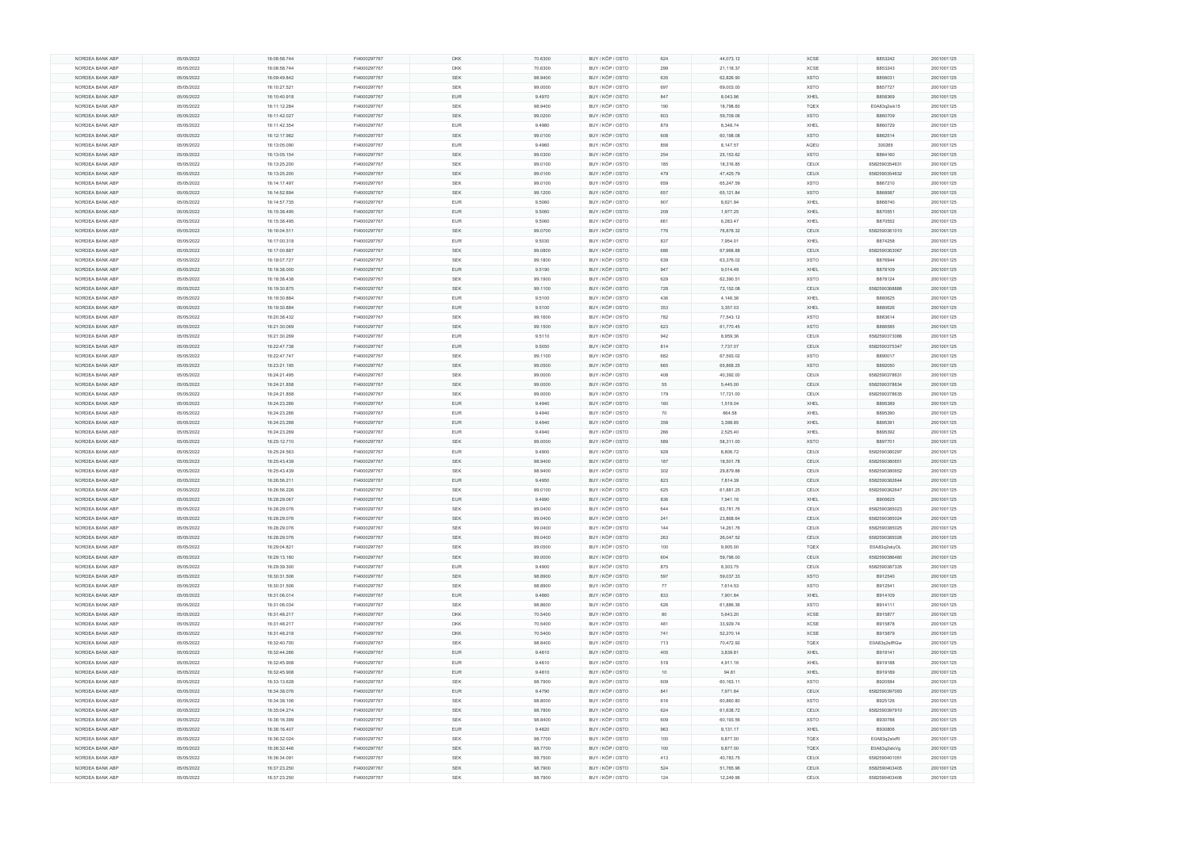|                 | 05/05/2022 | 16:08:58.744 | FI4000297767 | <b>DKK</b> | 70.6300 | BUY / KÖP / OSTO | 624 | 44,073.12  | XCSE        | B853242       | 2001001125 |
|-----------------|------------|--------------|--------------|------------|---------|------------------|-----|------------|-------------|---------------|------------|
| NORDEA BANK ABP | 05/05/2022 | 16:08:58.744 | FI4000297767 | <b>DKK</b> | 70.6300 | BUY / KÖP / OSTO | 299 | 21,118.37  | <b>XCSE</b> | B853243       | 2001001125 |
| NORDEA BANK ABP | 05/05/2022 | 16:09:49.842 | FI4000297767 | <b>SEK</b> | 98.9400 | BUY / KÖP / OSTO | 635 | 62,826.90  | <b>XSTO</b> | B856031       | 2001001125 |
| NORDEA BANK ABP | 05/05/2022 | 16:10:27.521 | FI4000297767 | SEK        | 99.0000 | BUY / KÖP / OSTO | 697 | 69,003.00  | <b>XSTO</b> | B857727       | 2001001125 |
|                 |            |              |              |            |         |                  |     |            |             |               |            |
| NORDEA BANK ABP | 05/05/2022 | 16:10:40.918 | FI4000297767 | <b>EUR</b> | 9.4970  | BUY / KÖP / OSTO | 847 | 8,043.96   | XHEL        | B858369       | 2001001125 |
| NORDEA BANK ABP | 05/05/2022 | 16:11:12.284 | FI4000297767 | <b>SEK</b> | 98.9400 | BUY / KÖP / OSTO | 190 | 18,798.60  | <b>TQEX</b> | E0A83q2sik15  | 2001001125 |
| NORDEA BANK ABP | 05/05/2022 | 16:11:42.027 | FI4000297767 | <b>SEK</b> | 99.0200 | BUY / KÖP / OSTO | 603 | 59,709.06  | <b>XSTO</b> | B860709       | 2001001125 |
| NORDEA BANK ABP | 05/05/2022 | 16:11:42.354 | FI4000297767 | <b>EUR</b> | 9.4980  | BUY / KÖP / OSTO | 879 | 8,348.74   | XHEL        | B860729       | 2001001125 |
|                 |            |              |              | SEK        |         |                  |     |            |             |               |            |
| NORDEA BANK ABP | 05/05/2022 | 16:12:17.982 | FI4000297767 |            | 99.0100 | BUY / KÖP / OSTO | 608 | 60,198.08  | <b>XSTO</b> | B862514       | 2001001125 |
| NORDEA BANK ABP | 05/05/2022 | 16:13:05.090 | FI4000297767 | <b>EUR</b> | 9.4960  | BUY / KÖP / OSTO | 858 | 8,147.57   | AQEU        | 300265        | 2001001125 |
| NORDEA BANK ABP | 05/05/2022 | 16:13:05.154 | FI4000297767 | <b>SEK</b> | 99.0300 | BUY / KÖP / OSTO | 254 | 25, 153.62 | <b>XSTO</b> | B864160       | 2001001125 |
| NORDEA BANK ABP | 05/05/2022 | 16:13:25.200 | FI4000297767 | SEK        | 99.0100 | BUY / KÖP / OSTO | 185 | 18,316.85  | CEUX        | 6582590354631 | 2001001125 |
| NORDEA BANK ABP | 05/05/2022 | 16:13:25.200 | FI4000297767 | <b>SEK</b> | 99.0100 | BUY / KÖP / OSTO | 479 | 47,425.79  | CEUX        | 6582590354632 | 2001001125 |
|                 |            |              |              |            |         |                  |     |            |             |               |            |
| NORDEA BANK ABP | 05/05/2022 | 16:14:17.497 | FI4000297767 | SEK        | 99.0100 | BUY / KÖP / OSTO | 659 | 65,247.59  | <b>XSTO</b> | B867210       | 2001001125 |
| NORDEA BANK ABP | 05/05/2022 | 16:14:52.894 | FI4000297767 | SEK        | 99.1200 | BUY / KÖP / OSTO | 657 | 65,121.84  | <b>XSTO</b> | B868587       | 2001001125 |
| NORDEA BANK ABP | 05/05/2022 | 16:14:57.735 | FI4000297767 | <b>EUR</b> | 9.5060  | BUY / KÖP / OSTO | 907 | 8,621.94   | XHEL        | B868740       | 2001001125 |
| NORDEA BANK ABP | 05/05/2022 | 16:15:38.495 | FI4000297767 | <b>EUR</b> | 9.5060  | BUY / KÖP / OSTO | 208 | 1,977.25   | XHEL        | B870551       | 2001001125 |
| NORDEA BANK ABP | 05/05/2022 | 16:15:38.495 | FI4000297767 | <b>EUR</b> | 9.5060  | BUY / KÖP / OSTO | 661 | 6,283.47   | XHEL        | B870552       | 2001001125 |
|                 |            |              |              |            |         |                  |     |            |             |               |            |
| NORDEA BANK ABP | 05/05/2022 | 16:16:04.511 | FI4000297767 | SEK        | 99.0700 | BUY / KÖP / OSTO | 776 | 76,878.32  | CEUX        | 6582590361010 | 2001001125 |
| NORDEA BANK ABP | 05/05/2022 | 16:17:00.318 | FI4000297767 | <b>EUR</b> | 9.5030  | BUY / KÖP / OSTO | 837 | 7,954.01   | XHEL        | B874258       | 2001001125 |
| NORDEA BANK ABP | 05/05/2022 | 16:17:00.887 | FI4000297767 | <b>SEK</b> | 99.0800 | BUY / KÖP / OSTO | 686 | 67,968.88  | CEUX        | 6582590363067 | 2001001125 |
| NORDEA BANK ABP | 05/05/2022 | 16:18:07.727 | FI4000297767 | SEK        | 99.1800 | BUY / KÖP / OSTO | 639 | 63,376.02  | <b>XSTO</b> | B876944       | 2001001125 |
| NORDEA BANK ABP | 05/05/2022 | 16:18:38.000 | FI4000297767 | <b>EUR</b> | 9.5190  | BUY / KÖP / OSTO | 947 | 9,014.49   | XHEL        | B878109       | 2001001125 |
|                 |            |              |              |            |         |                  |     |            |             |               |            |
| NORDEA BANK ABP | 05/05/2022 | 16:18:38.438 | FI4000297767 | SEK        | 99.1900 | BUY / KÖP / OSTO | 629 | 62,390.51  | <b>XSTO</b> | B878124       | 2001001125 |
| NORDEA BANK ABP | 05/05/2022 | 16:19:30.875 | FI4000297767 | SEK        | 99.1100 | BUY / KÖP / OSTO | 728 | 72,152.08  | CEUX        | 6582590368886 | 2001001125 |
| NORDEA BANK ABP | 05/05/2022 | 16:19:30.884 | FI4000297767 | <b>EUR</b> | 9.5100  | BUY / KÖP / OSTO | 436 | 4,146.36   | XHEL        | B880625       | 2001001125 |
| NORDEA BANK ABP | 05/05/2022 | 16:19:30.884 | FI4000297767 | <b>EUR</b> | 9.5100  | BUY / KÖP / OSTO | 353 | 3,357.03   | XHEL        | B880626       | 2001001125 |
|                 |            |              |              |            |         |                  |     |            |             |               |            |
| NORDEA BANK ABP | 05/05/2022 | 16:20:38.432 | FI4000297767 | <b>SEK</b> | 99.1600 | BUY / KÖP / OSTO | 782 | 77,543.12  | <b>XSTO</b> | B883614       | 2001001125 |
| NORDEA BANK ABP | 05/05/2022 | 16:21:30.069 | FI4000297767 | SEK        | 99.1500 | BUY / KÖP / OSTO | 623 | 61,770.45  | <b>XSTO</b> | B886585       | 2001001125 |
| NORDEA BANK ABP | 05/05/2022 | 16:21:30.269 | FI4000297767 | EUR        | 9.5110  | BUY / KÖP / OSTO | 942 | 8,959.36   | CEUX        | 6582590373086 | 2001001125 |
| NORDEA BANK ABP | 05/05/2022 | 16:22:47.738 | FI4000297767 | <b>EUR</b> | 9.5050  | BUY / KÖP / OSTO | 814 | 7,737.07   | CEUX        | 6582590375347 | 2001001125 |
| NORDEA BANK ABP | 05/05/2022 | 16:22:47.747 | FI4000297767 | SEK        | 99.1100 | BUY / KÖP / OSTO | 682 | 67,593.02  | <b>XSTO</b> | B890017       | 2001001125 |
|                 |            |              |              |            |         |                  |     |            |             |               |            |
| NORDEA BANK ABP | 05/05/2022 | 16:23:21.195 | FI4000297767 | <b>SEK</b> | 99.0500 | BUY / KÖP / OSTO | 665 | 65,868.25  | <b>XSTO</b> | B892050       | 2001001125 |
| NORDEA BANK ABP | 05/05/2022 | 16:24:21.495 | FI4000297767 | SEK        | 99.0000 | BUY / KÖP / OSTO | 408 | 40,392.00  | CEUX        | 6582590378631 | 2001001125 |
| NORDEA BANK ABP | 05/05/2022 | 16:24:21.858 | FI4000297767 | SEK        | 99.0000 | BUY / KÖP / OSTO | 55  | 5,445.00   | CEUX        | 6582590378634 | 2001001125 |
| NORDEA BANK ABP | 05/05/2022 | 16:24:21.858 | FI4000297767 | <b>SEK</b> | 99.0000 | BUY / KÖP / OSTO | 179 | 17,721.00  | CEUX        | 6582590378635 | 2001001125 |
| NORDEA BANK ABP | 05/05/2022 | 16:24:23.266 | FI4000297767 | <b>EUR</b> | 9.4940  |                  | 160 |            |             | B895389       | 2001001125 |
|                 |            |              |              |            |         |                  |     |            |             |               |            |
|                 |            |              |              |            |         | BUY / KÖP / OSTO |     | 1,519.04   | XHEL        |               |            |
| NORDEA BANK ABP | 05/05/2022 | 16:24:23.266 | FI4000297767 | <b>EUR</b> | 9.4940  | BUY / KÖP / OSTO | 70  | 664.58     | XHEL        | B895390       | 2001001125 |
| NORDEA BANK ABP | 05/05/2022 | 16:24:23.268 | FI4000297767 | <b>EUR</b> | 9.4940  | BUY / KÖP / OSTO | 358 | 3,398.85   | XHEL        | B895391       | 2001001125 |
| NORDEA BANK ABP | 05/05/2022 | 16:24:23.269 | FI4000297767 | <b>EUR</b> | 9.4940  | BUY / KÖP / OSTO | 266 | 2,525.40   | XHEL        | B895392       | 2001001125 |
|                 |            |              |              |            |         |                  |     |            |             |               |            |
| NORDEA BANK ABP | 05/05/2022 | 16:25:12.710 | FI4000297767 | <b>SEK</b> | 99.0000 | BUY / KÖP / OSTO | 589 | 58,311.00  | <b>XSTO</b> | B897701       | 2001001125 |
| NORDEA BANK ABP | 05/05/2022 | 16:25:24.563 | FI4000297767 | EUR        | 9.4900  | BUY / KÖP / OSTO | 928 | 8,806.72   | CEUX        | 6582590380297 | 2001001125 |
| NORDEA BANK ABP | 05/05/2022 | 16:25:43.439 | FI4000297767 | <b>SEK</b> | 98.9400 | BUY / KÖP / OSTO | 187 | 18,501.78  | CEUX        | 6582590380651 | 2001001125 |
| NORDEA BANK ABP | 05/05/2022 | 16:25:43.439 | FI4000297767 | SEK        | 98.9400 | BUY / KÖP / OSTO | 302 | 29,879.88  | CEUX        | 6582590380652 | 2001001125 |
| NORDEA BANK ABP | 05/05/2022 | 16:26:56.211 | FI4000297767 | <b>EUR</b> | 9.4950  | BUY / KÖP / OSTO | 823 | 7,814.39   | CEUX        | 6582590382644 | 2001001125 |
|                 |            |              |              |            |         |                  |     |            |             |               |            |
| NORDEA BANK ABP | 05/05/2022 | 16:26:56.226 | FI4000297767 | <b>SEK</b> | 99.0100 | BUY / KÖP / OSTO | 625 | 61,881.25  | CEUX        | 6582590382647 | 2001001125 |
| NORDEA BANK ABP | 05/05/2022 | 16:28:29.067 | FI4000297767 | <b>EUR</b> | 9.4990  | BUY / KÖP / OSTO | 836 | 7,941.16   | XHEL        | B905625       | 2001001125 |
| NORDEA BANK ABP | 05/05/2022 | 16:28:29.076 | FI4000297767 | SEK        | 99.0400 | BUY / KÖP / OSTO | 644 | 63,781.76  | CEUX        | 6582590385023 | 2001001125 |
| NORDEA BANK ABP | 05/05/2022 | 16:28:29.076 | FI4000297767 | <b>SEK</b> | 99.0400 | BUY / KÖP / OSTO | 241 | 23,868.64  | CEUX        | 6582590385024 | 2001001125 |
| NORDEA BANK ABP | 05/05/2022 | 16:28:29.076 | FI4000297767 | <b>SEK</b> | 99.0400 | BUY / KÖP / OSTO | 144 | 14,261.76  | CEUX        | 6582590385025 | 2001001125 |
|                 |            |              |              | <b>SEK</b> |         |                  |     |            |             |               |            |
| NORDEA BANK ABP | 05/05/2022 | 16:28:29.076 | FI4000297767 |            | 99.0400 | BUY / KÖP / OSTO | 263 | 26,047.52  | CEUX        | 6582590385026 | 2001001125 |
| NORDEA BANK ABP | 05/05/2022 | 16:29:04.821 | FI4000297767 | <b>SEK</b> | 99.0500 | BUY / KÖP / OSTO | 100 | 9,905.00   | TQEX        | E0A83q2skyOL  | 2001001125 |
| NORDEA BANK ABP | 05/05/2022 | 16:29:13.160 | FI4000297767 | <b>SEK</b> | 99.0000 | BUY / KÖP / OSTO | 604 | 59,796.00  | CEUX        | 6582590386480 | 2001001125 |
| NORDEA BANK ABP | 05/05/2022 | 16:29:39.300 | FI4000297767 | EUR        | 9.4900  | BUY / KÖP / OSTO | 875 | 8,303.75   | CEUX        | 6582590387335 | 2001001125 |
| NORDEA BANK ABP | 05/05/2022 | 16:30:31.506 | FI4000297767 | <b>SEK</b> | 98.8900 | BUY / KÖP / OSTO | 597 | 59,037.33  | <b>XSTO</b> | B912540       | 2001001125 |
| NORDEA BANK ABP | 05/05/2022 | 16:30:31.506 | FI4000297767 | <b>SEK</b> | 98.8900 | BUY / KÖP / OSTO | 77  | 7,614.53   | <b>XSTO</b> | B912541       | 2001001125 |
|                 |            |              |              |            |         |                  |     |            |             |               |            |
| NORDEA BANK ABP | 05/05/2022 | 16:31:06.014 | FI4000297767 | <b>EUR</b> | 9.4860  | BUY / KÖP / OSTO | 833 | 7,901.84   | XHEL        | B914109       | 2001001125 |
| NORDEA BANK ABP | 05/05/2022 | 16:31:06.034 | FI4000297767 | <b>SEK</b> | 98.8600 | BUY / KÖP / OSTO | 626 | 61,886.36  | <b>XSTO</b> | B914111       | 2001001125 |
| NORDEA BANK ABP | 05/05/2022 | 16:31:48.217 | FI4000297767 | <b>DKK</b> | 70.5400 | BUY / KÖP / OSTO | 80  | 5,643.20   | XCSE        | B915877       | 2001001125 |
| NORDEA BANK ABP | 05/05/2022 | 16:31:48.217 | FI4000297767 | DKK        | 70.5400 | BUY / KÖP / OSTO | 481 | 33,929.74  | <b>XCSE</b> | B915878       | 2001001125 |
| NORDEA BANK ABP | 05/05/2022 | 16:31:48.218 | FI4000297767 | <b>DKK</b> | 70.5400 | BUY / KÖP / OSTO | 741 | 52,270.14  | XCSE        | B915879       | 2001001125 |
|                 |            |              |              |            |         |                  |     |            |             |               |            |
| NORDEA BANK ABP | 05/05/2022 | 16:32:40.700 | FI4000297767 | <b>SEK</b> | 98.8400 | BUY / KÖP / OSTO | 713 | 70,472.92  | TQEX        | E0A83q2slRGw  | 2001001125 |
| NORDEA BANK ABP | 05/05/2022 | 16:32:44.266 | FI4000297767 | <b>EUR</b> | 9.4810  | BUY / KÖP / OSTO | 405 | 3,839.81   | XHEL        | B919141       | 2001001125 |
| NORDEA BANK ABP | 05/05/2022 | 16:32:45.908 | FI4000297767 | EUR        | 9.4810  | BUY / KÖP / OSTO | 518 | 4,911.16   | XHEL        | B919188       | 2001001125 |
| NORDEA BANK ABP | 05/05/2022 | 16:32:45.908 | FI4000297767 | <b>EUR</b> | 9.4810  | BUY / KÖP / OSTO | 10  | 94.81      | XHEL        | B919189       | 2001001125 |
|                 |            |              |              | <b>SEK</b> |         |                  |     |            |             | B920584       |            |
| NORDEA BANK ABP | 05/05/2022 | 16:33:13.628 | FI4000297767 |            | 98.7900 | BUY / KÖP / OSTO | 609 | 60,163.11  | <b>XSTO</b> |               | 2001001125 |
| NORDEA BANK ABP | 05/05/2022 | 16:34:38.076 | FI4000297767 | <b>EUR</b> | 9.4790  | BUY / KÖP / OSTO | 841 | 7,971.84   | CEUX        | 6582590397093 | 2001001125 |
| NORDEA BANK ABP | 05/05/2022 | 16:34:38.106 | FI4000297767 | <b>SEK</b> | 98.8000 | BUY / KÖP / OSTO | 616 | 60,860.80  | <b>XSTO</b> | B925126       | 2001001125 |
| NORDEA BANK ABP | 05/05/2022 | 16:35:04.274 | FI4000297767 | SEK        | 98.7800 | BUY / KÖP / OSTO | 624 | 61,638.72  | CEUX        | 6582590397910 | 2001001125 |
| NORDEA BANK ABP | 05/05/2022 | 16:36:16.399 | FI4000297767 | <b>SEK</b> | 98.8400 | BUY / KÖP / OSTO | 609 | 60,193.56  | <b>XSTO</b> | B930788       | 2001001125 |
|                 |            |              |              | <b>EUR</b> |         |                  |     |            |             |               |            |
| NORDEA BANK ABP | 05/05/2022 | 16:36:16.407 | FI4000297767 |            | 9.4820  | BUY / KÖP / OSTO | 963 | 9,131.17   | XHEL        | B930806       | 2001001125 |
| NORDEA BANK ABP | 05/05/2022 | 16:36:32.024 | FI4000297767 | SEK        | 98.7700 | BUY / KÖP / OSTO | 100 | 9,877.00   | TQEX        | E0A83q2slxRI  | 2001001125 |
| NORDEA BANK ABP | 05/05/2022 | 16:36:32.446 | FI4000297767 | <b>SEK</b> | 98.7700 | BUY / KÖP / OSTO | 100 | 9,877.00   | TQEX        | E0A83q2slxVg  | 2001001125 |
| NORDEA BANK ABP | 05/05/2022 | 16:36:34.091 | FI4000297767 | SEK        | 98.7500 | BUY / KÖP / OSTO | 413 | 40,783.75  | CEUX        | 6582590401051 | 2001001125 |
| NORDEA BANK ABP | 05/05/2022 | 16:37:23.250 | FI4000297767 | <b>SEK</b> | 98.7900 | BUY / KÖP / OSTO | 524 | 51,765.96  | CEUX        | 6582590403405 | 2001001125 |
| NORDEA BANK ABP | 05/05/2022 | 16:37:23.250 | FI4000297767 | <b>SEK</b> | 98.7900 | BUY / KÖP / OSTO | 124 | 12,249.96  | CEUX        | 6582590403406 | 2001001125 |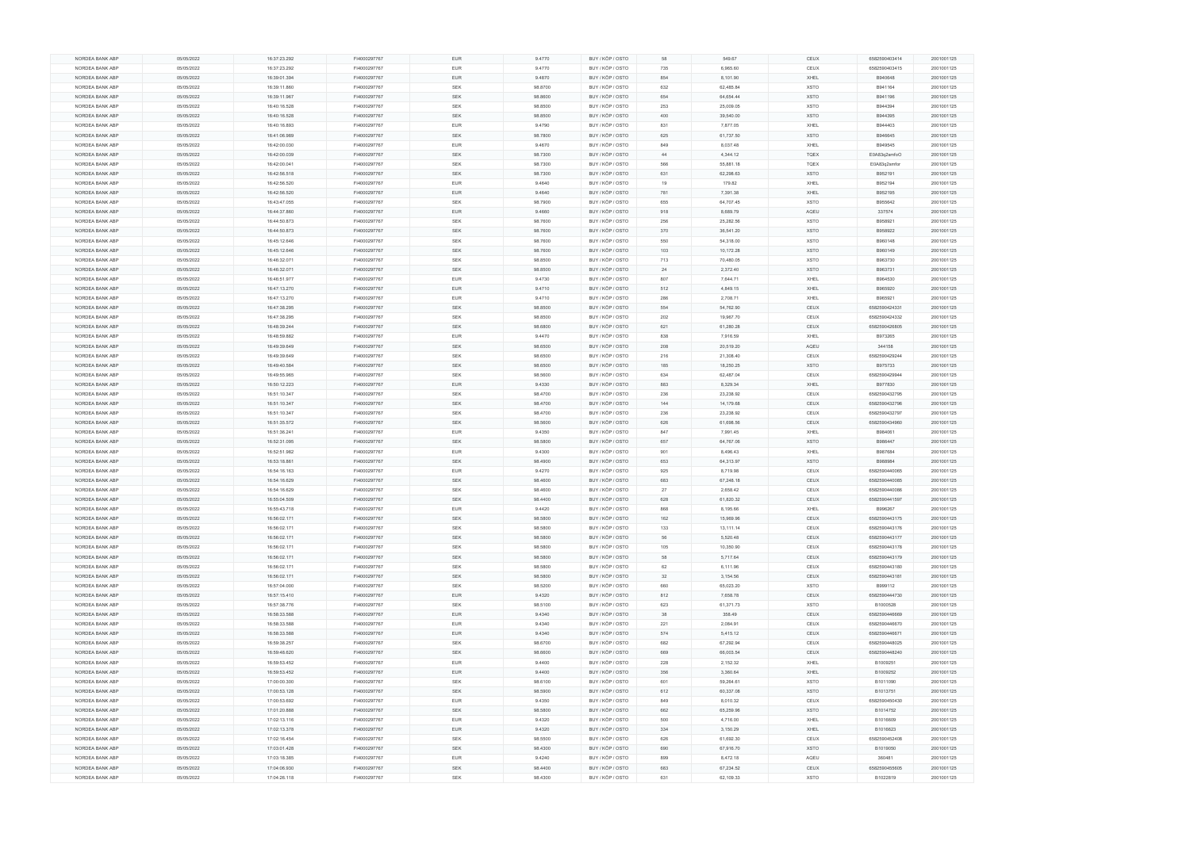| NORDEA BANK ABP | 05/05/2022 | 16:37:23.292 | FI4000297767 | <b>EUR</b> | 9.4770  | BUY / KÖP / OSTO | 58  | 549.67    | CEUX        | 6582590403414 | 2001001125 |
|-----------------|------------|--------------|--------------|------------|---------|------------------|-----|-----------|-------------|---------------|------------|
| NORDEA BANK ABP | 05/05/2022 | 16:37:23.292 | FI4000297767 | <b>EUR</b> | 9.4770  | BUY / KÖP / OSTO | 735 | 6,965.60  | CEUX        | 6582590403415 | 2001001125 |
| NORDEA BANK ABP | 05/05/2022 | 16:39:01.394 | FI4000297767 | <b>EUR</b> | 9.4870  | BUY / KÖP / OSTO | 854 | 8,101.90  | XHEL        | B940648       | 2001001125 |
| NORDEA BANK ABP | 05/05/2022 | 16:39:11.860 | FI4000297767 | SEK        | 98.8700 | BUY / KÖP / OSTO | 632 | 62,485.84 | <b>XSTO</b> | B941164       | 2001001125 |
|                 |            |              |              |            |         |                  |     |           |             |               |            |
| NORDEA BANK ABP | 05/05/2022 | 16:39:11.967 | FI4000297767 | <b>SEK</b> | 98.8600 | BUY / KÖP / OSTO | 654 | 64,654.44 | <b>XSTO</b> | B941196       | 2001001125 |
| NORDEA BANK ABP | 05/05/2022 | 16:40:16.528 | FI4000297767 | <b>SEK</b> | 98.8500 | BUY / KÖP / OSTO | 253 | 25,009.05 | <b>XSTO</b> | B944394       | 2001001125 |
| NORDEA BANK ABP | 05/05/2022 | 16:40:16.528 | FI4000297767 | <b>SEK</b> | 98.8500 | BUY / KÖP / OSTO | 400 | 39,540.00 | <b>XSTO</b> | B944395       | 2001001125 |
| NORDEA BANK ABP | 05/05/2022 | 16:40:16.893 | FI4000297767 | <b>EUR</b> | 9.4790  | BUY / KÖP / OSTO | 831 | 7,877.05  | XHEL        | B944403       | 2001001125 |
|                 |            |              |              | <b>SEK</b> |         |                  |     |           |             |               |            |
| NORDEA BANK ABP | 05/05/2022 | 16:41:06.989 | FI4000297767 |            | 98.7800 | BUY / KÖP / OSTO | 625 | 61,737.50 | <b>XSTO</b> | B946645       | 2001001125 |
| NORDEA BANK ABP | 05/05/2022 | 16:42:00.030 | FI4000297767 | <b>EUR</b> | 9.4670  | BUY / KÖP / OSTO | 849 | 8,037.48  | XHEL        | B949545       | 2001001125 |
| NORDEA BANK ABP | 05/05/2022 | 16:42:00.039 | FI4000297767 | <b>SEK</b> | 98.7300 | BUY / KÖP / OSTO | 44  | 4,344.12  | <b>TQEX</b> | E0A83q2smfoO  | 2001001125 |
| NORDEA BANK ABP | 05/05/2022 | 16:42:00.041 | FI4000297767 | SEK        | 98.7300 | BUY / KÖP / OSTO | 566 | 55,881.18 | TQEX        | E0A83q2smfor  | 2001001125 |
| NORDEA BANK ABP | 05/05/2022 | 16:42:56.518 | FI4000297767 | <b>SEK</b> | 98.7300 | BUY / KÖP / OSTO | 631 | 62,298.63 | <b>XSTO</b> | B952191       | 2001001125 |
|                 |            |              |              |            |         |                  |     |           |             |               |            |
| NORDEA BANK ABP | 05/05/2022 | 16:42:56.520 | FI4000297767 | <b>EUR</b> | 9.4640  | BUY / KÖP / OSTO | 19  | 179.82    | XHEL        | B952194       | 2001001125 |
| NORDEA BANK ABP | 05/05/2022 | 16:42:56.520 | FI4000297767 | <b>EUR</b> | 9.4640  | BUY / KÖP / OSTO | 781 | 7,391.38  | XHEL        | B952195       | 2001001125 |
| NORDEA BANK ABP | 05/05/2022 | 16:43:47.055 | FI4000297767 | SEK        | 98.7900 | BUY / KÖP / OSTO | 655 | 64,707.45 | <b>XSTO</b> | B955642       | 2001001125 |
| NORDEA BANK ABP | 05/05/2022 | 16:44:37.860 | FI4000297767 | <b>EUR</b> | 9.4660  | BUY / KÖP / OSTO | 918 | 8,689.79  | AQEU        | 337574        | 2001001125 |
| NORDEA BANK ABP | 05/05/2022 | 16:44:50.873 | FI4000297767 | <b>SEK</b> | 98.7600 | BUY / KÖP / OSTO | 256 | 25,282.56 | <b>XSTO</b> | B958921       | 2001001125 |
|                 |            |              |              |            |         |                  |     |           |             |               |            |
| NORDEA BANK ABP | 05/05/2022 | 16:44:50.873 | FI4000297767 | SEK        | 98.7600 | BUY / KÖP / OSTO | 370 | 36,541.20 | <b>XSTO</b> | B958922       | 2001001125 |
| NORDEA BANK ABP | 05/05/2022 | 16:45:12.646 | FI4000297767 | <b>SEK</b> | 98.7600 | BUY / KÖP / OSTO | 550 | 54,318.00 | <b>XSTO</b> | B960148       | 2001001125 |
| NORDEA BANK ABP | 05/05/2022 | 16:45:12.646 | FI4000297767 | <b>SEK</b> | 98.7600 | BUY / KÖP / OSTO | 103 | 10,172.28 | <b>XSTO</b> | B960149       | 2001001125 |
| NORDEA BANK ABP | 05/05/2022 | 16:46:32.071 | FI4000297767 | SEK        | 98.8500 | BUY / KÖP / OSTO | 713 | 70,480.05 | <b>XSTO</b> | B963730       | 2001001125 |
| NORDEA BANK ABP | 05/05/2022 | 16:46:32.071 | FI4000297767 | <b>SEK</b> | 98.8500 | BUY / KÖP / OSTO | 24  | 2,372.40  | <b>XSTO</b> | B963731       | 2001001125 |
|                 |            |              |              |            |         |                  |     |           |             |               |            |
| NORDEA BANK ABP | 05/05/2022 | 16:46:51.977 | FI4000297767 | <b>EUR</b> | 9.4730  | BUY / KÖP / OSTO | 807 | 7,644.71  | XHEL        | B964530       | 2001001125 |
| NORDEA BANK ABP | 05/05/2022 | 16:47:13.270 | FI4000297767 | <b>EUR</b> | 9.4710  | BUY / KÖP / OSTO | 512 | 4,849.15  | XHEL        | B965920       | 2001001125 |
| NORDEA BANK ABP | 05/05/2022 | 16:47:13.270 | FI4000297767 | <b>EUR</b> | 9.4710  | BUY / KÖP / OSTO | 286 | 2,708.71  | XHEL        | B965921       | 2001001125 |
| NORDEA BANK ABP | 05/05/2022 | 16:47:38.295 | FI4000297767 | <b>SEK</b> | 98.8500 | BUY / KÖP / OSTO | 554 | 54,762.90 | CEUX        | 6582590424331 | 2001001125 |
|                 |            |              |              |            |         |                  |     |           |             |               |            |
| NORDEA BANK ABP | 05/05/2022 | 16:47:38.295 | FI4000297767 | <b>SEK</b> | 98.8500 | BUY / KÖP / OSTO | 202 | 19,967.70 | CEUX        | 6582590424332 | 2001001125 |
| NORDEA BANK ABP | 05/05/2022 | 16:48:39.244 | FI4000297767 | SEK        | 98.6800 | BUY / KÖP / OSTO | 621 | 61,280.28 | CEUX        | 6582590426805 | 2001001125 |
| NORDEA BANK ABP | 05/05/2022 | 16:48:59.882 | FI4000297767 | EUR        | 9.4470  | BUY / KÖP / OSTO | 838 | 7,916.59  | XHEL        | B973265       | 2001001125 |
| NORDEA BANK ABP | 05/05/2022 | 16:49:39.649 | FI4000297767 | <b>SEK</b> | 98.6500 | BUY / KÖP / OSTO | 208 | 20,519.20 | AQEU        | 344158        | 2001001125 |
| NORDEA BANK ABP | 05/05/2022 |              | FI4000297767 | SEK        |         | BUY / KÖP / OSTO |     |           |             |               | 2001001125 |
|                 |            | 16:49:39.649 |              |            | 98.6500 |                  | 216 | 21,308.40 | CEUX        | 6582590429244 |            |
| NORDEA BANK ABP | 05/05/2022 | 16:49:40.584 | FI4000297767 | <b>SEK</b> | 98.6500 | BUY / KÖP / OSTO | 185 | 18,250.25 | <b>XSTO</b> | B975733       | 2001001125 |
| NORDEA BANK ABP | 05/05/2022 | 16:49:55.965 | FI4000297767 | SEK        | 98.5600 | BUY / KÖP / OSTO | 634 | 62,487.04 | CEUX        | 6582590429944 | 2001001125 |
| NORDEA BANK ABP | 05/05/2022 | 16:50:12.223 | FI4000297767 | <b>EUR</b> | 9.4330  | BUY / KÖP / OSTO | 883 | 8,329.34  | XHEL        | B977830       | 2001001125 |
| NORDEA BANK ABP | 05/05/2022 | 16:51:10.347 | FI4000297767 | <b>SEK</b> | 98.4700 | BUY / KÖP / OSTO | 236 | 23,238.92 | CEUX        | 6582590432795 | 2001001125 |
|                 |            |              |              |            |         |                  |     |           |             |               |            |
| NORDEA BANK ABP | 05/05/2022 | 16:51:10.347 | FI4000297767 | <b>SEK</b> | 98.4700 | BUY / KÖP / OSTO | 144 | 14,179.68 | CEUX        | 6582590432796 | 2001001125 |
| NORDEA BANK ABP | 05/05/2022 | 16:51:10.347 | FI4000297767 | <b>SEK</b> | 98.4700 | BUY / KÖP / OSTO | 236 | 23,238.92 | CEUX        | 6582590432797 | 2001001125 |
| NORDEA BANK ABP | 05/05/2022 | 16:51:35.572 | FI4000297767 | <b>SEK</b> | 98.5600 | BUY / KÖP / OSTO | 626 | 61,698.56 | CEUX        | 6582590434960 | 2001001125 |
| NORDEA BANK ABP | 05/05/2022 | 16:51:36.241 | FI4000297767 | <b>EUR</b> | 9.4350  | BUY / KÖP / OSTO | 847 | 7,991.45  | XHEL        | B984061       | 2001001125 |
| NORDEA BANK ABP | 05/05/2022 | 16:52:31.095 | FI4000297767 | <b>SEK</b> | 98.5800 | BUY / KÖP / OSTO | 657 | 64,767.06 | <b>XSTO</b> | B986447       | 2001001125 |
|                 |            |              |              |            |         |                  |     |           |             |               |            |
| NORDEA BANK ABP | 05/05/2022 | 16:52:51.982 | FI4000297767 | EUR        | 9.4300  | BUY / KÖP / OSTO | 901 | 8,496.43  | XHEL        | B987684       | 2001001125 |
| NORDEA BANK ABP | 05/05/2022 | 16:53:18.861 | FI4000297767 | <b>SEK</b> | 98.4900 | BUY / KÖP / OSTO | 653 | 64,313.97 | <b>XSTO</b> | B988984       | 2001001125 |
| NORDEA BANK ABP | 05/05/2022 | 16:54:16.163 | FI4000297767 | <b>EUR</b> | 9.4270  | BUY / KÖP / OSTO | 925 | 8,719.98  | CEUX        | 6582590440065 | 2001001125 |
| NORDEA BANK ABP | 05/05/2022 | 16:54:16.629 | FI4000297767 | <b>SEK</b> | 98.4600 | BUY / KÖP / OSTO | 683 | 67,248.18 | CEUX        | 6582590440085 | 2001001125 |
|                 |            |              |              |            |         |                  |     |           |             |               |            |
| NORDEA BANK ABP | 05/05/2022 | 16:54:16.629 | FI4000297767 | <b>SEK</b> | 98.4600 | BUY / KÖP / OSTO | 27  | 2,658.42  | CEUX        | 6582590440086 | 2001001125 |
| NORDEA BANK ABP | 05/05/2022 | 16:55:04.509 | FI4000297767 | <b>SEK</b> | 98.4400 | BUY / KÖP / OSTO | 628 | 61,820.32 | CEUX        | 6582590441597 | 2001001125 |
| NORDEA BANK ABP | 05/05/2022 | 16:55:43.718 | FI4000297767 | EUR        | 9.4420  | BUY / KÖP / OSTO | 868 | 8,195.66  | XHEL        | B996267       | 2001001125 |
| NORDEA BANK ABP | 05/05/2022 | 16:56:02.171 | FI4000297767 | <b>SEK</b> | 98.5800 | BUY / KÖP / OSTO | 162 | 15,969.96 | CEUX        | 6582590443175 | 2001001125 |
| NORDEA BANK ABP | 05/05/2022 | 16:56:02.171 | FI4000297767 | <b>SEK</b> | 98.5800 | BUY / KÖP / OSTO | 133 | 13,111.14 | CEUX        | 6582590443176 | 2001001125 |
|                 |            |              |              |            |         |                  |     |           |             |               |            |
| NORDEA BANK ABP | 05/05/2022 | 16:56:02.171 | FI4000297767 | <b>SEK</b> | 98.5800 | BUY / KÖP / OSTO | 56  | 5,520.48  | CEUX        | 6582590443177 | 2001001125 |
| NORDEA BANK ABP | 05/05/2022 | 16:56:02.171 | FI4000297767 | <b>SEK</b> | 98.5800 | BUY / KÖP / OSTO | 105 | 10,350.90 | CEUX        | 6582590443178 | 2001001125 |
| NORDEA BANK ABP | 05/05/2022 | 16:56:02.171 | FI4000297767 | <b>SEK</b> | 98.5800 | BUY / KÖP / OSTO | 58  | 5,717.64  | CEUX        | 6582590443179 | 2001001125 |
| NORDEA BANK ABP | 05/05/2022 | 16:56:02.171 | FI4000297767 | SEK        | 98.5800 | BUY / KÖP / OSTO | 62  | 6,111.96  | CEUX        | 6582590443180 | 2001001125 |
| NORDEA BANK ABP | 05/05/2022 | 16:56:02.171 | FI4000297767 | <b>SEK</b> | 98.5800 | BUY / KÖP / OSTO | 32  | 3,154.56  | CEUX        | 6582590443181 | 2001001125 |
|                 |            |              |              |            |         |                  |     |           |             |               |            |
| NORDEA BANK ABP | 05/05/2022 | 16:57:04.000 | FI4000297767 | <b>SEK</b> | 98.5200 | BUY / KÖP / OSTO | 660 | 65,023.20 | <b>XSTO</b> | B999112       | 2001001125 |
| NORDEA BANK ABP | 05/05/2022 | 16:57:15.410 | FI4000297767 | <b>EUR</b> | 9.4320  | BUY / KÖP / OSTO | 812 | 7,658.78  | CEUX        | 6582590444730 | 2001001125 |
| NORDEA BANK ABP | 05/05/2022 | 16:57:38.776 | FI4000297767 | <b>SEK</b> | 98.5100 | BUY / KÖP / OSTO | 623 | 61,371.73 | <b>XSTO</b> | B1000528      | 2001001125 |
| NORDEA BANK ABP | 05/05/2022 | 16:58:33.588 | FI4000297767 | <b>EUR</b> | 9.4340  | BUY / KÖP / OSTO | 38  | 358.49    | CEUX        | 6582590446669 | 2001001125 |
| NORDEA BANK ABP | 05/05/2022 | 16:58:33.588 | FI4000297767 | <b>EUR</b> | 9.4340  | BUY / KÖP / OSTO | 221 | 2,084.91  | CEUX        | 6582590446670 | 2001001125 |
|                 |            |              |              |            |         |                  |     |           |             |               |            |
| NORDEA BANK ABP | 05/05/2022 | 16:58:33.588 | FI4000297767 | <b>EUR</b> | 9.4340  | BUY / KÖP / OSTO | 574 | 5,415.12  | CEUX        | 6582590446671 | 2001001125 |
| NORDEA BANK ABP | 05/05/2022 | 16:59:38.257 | FI4000297767 | <b>SEK</b> | 98.6700 | BUY / KÖP / OSTO | 682 | 67,292.94 | CEUX        | 6582590448025 | 2001001125 |
| NORDEA BANK ABP | 05/05/2022 | 16:59:48.620 | FI4000297767 | <b>SEK</b> | 98.6600 | BUY / KÖP / OSTO | 669 | 66,003.54 | CEUX        | 6582590448240 | 2001001125 |
| NORDEA BANK ABP | 05/05/2022 | 16:59:53.452 | FI4000297767 | EUR        | 9.4400  | BUY / KÖP / OSTO | 228 | 2,152.32  | XHEL        | B1009251      | 2001001125 |
|                 |            |              |              |            |         |                  |     |           |             |               |            |
| NORDEA BANK ABP | 05/05/2022 | 16:59:53.452 | FI4000297767 | <b>EUR</b> | 9.4400  | BUY / KÖP / OSTO | 356 | 3,360.64  | <b>XHEL</b> | B1009252      | 2001001125 |
| NORDEA BANK ABP | 05/05/2022 | 17:00:00.300 | FI4000297767 | <b>SEK</b> | 98.6100 | BUY / KÖP / OSTO | 601 | 59,264.61 | <b>XSTO</b> | B1011090      | 2001001125 |
| NORDEA BANK ABP | 05/05/2022 | 17:00:53.128 | FI4000297767 | <b>SEK</b> | 98.5900 | BUY / KÖP / OSTO | 612 | 60,337.08 | <b>XSTO</b> | B1013751      | 2001001125 |
| NORDEA BANK ABP | 05/05/2022 | 17:00:53.692 | FI4000297767 | <b>EUR</b> | 9.4350  | BUY / KÖP / OSTO | 849 | 8,010.32  | CEUX        | 6582590450430 | 2001001125 |
| NORDEA BANK ABP | 05/05/2022 | 17:01:20.888 | FI4000297767 | SEK        | 98.5800 | BUY / KÖP / OSTO | 662 | 65,259.96 | <b>XSTO</b> | B1014752      |            |
|                 |            |              |              |            |         |                  |     |           |             |               | 2001001125 |
| NORDEA BANK ABP | 05/05/2022 | 17:02:13.116 | FI4000297767 | <b>EUR</b> | 9.4320  | BUY / KÖP / OSTO | 500 | 4,716.00  | XHEL        | B1016609      | 2001001125 |
| NORDEA BANK ABP | 05/05/2022 | 17:02:13.378 | FI4000297767 | <b>EUR</b> | 9.4320  | BUY / KÖP / OSTO | 334 | 3,150.29  | XHEL        | B1016623      | 2001001125 |
| NORDEA BANK ABP | 05/05/2022 | 17:02:16.454 | FI4000297767 | SEK        | 98.5500 | BUY / KÖP / OSTO | 626 | 61,692.30 | CEUX        | 6582590452408 | 2001001125 |
| NORDEA BANK ABP | 05/05/2022 | 17:03:01.428 | FI4000297767 | <b>SEK</b> | 98.4300 | BUY / KÖP / OSTO | 690 | 67,916.70 | <b>XSTO</b> | B1019050      | 2001001125 |
|                 | 05/05/2022 | 17:03:18.385 | FI4000297767 |            |         |                  |     | 8,472.18  |             |               |            |
| NORDEA BANK ABP |            |              |              | EUR        | 9.4240  | BUY / KÖP / OSTO | 899 |           | AQEU        | 360481        | 2001001125 |
| NORDEA BANK ABP | 05/05/2022 | 17:04:06.930 | FI4000297767 | <b>SEK</b> | 98.4400 | BUY / KÖP / OSTO | 683 | 67,234.52 | CEUX        | 6582590455605 | 2001001125 |
| NORDEA BANK ABP | 05/05/2022 | 17:04:26.118 | FI4000297767 | <b>SEK</b> | 98.4300 | BUY / KÖP / OSTO | 631 | 62,109.33 | <b>XSTO</b> | B1022819      | 2001001125 |
|                 |            |              |              |            |         |                  |     |           |             |               |            |